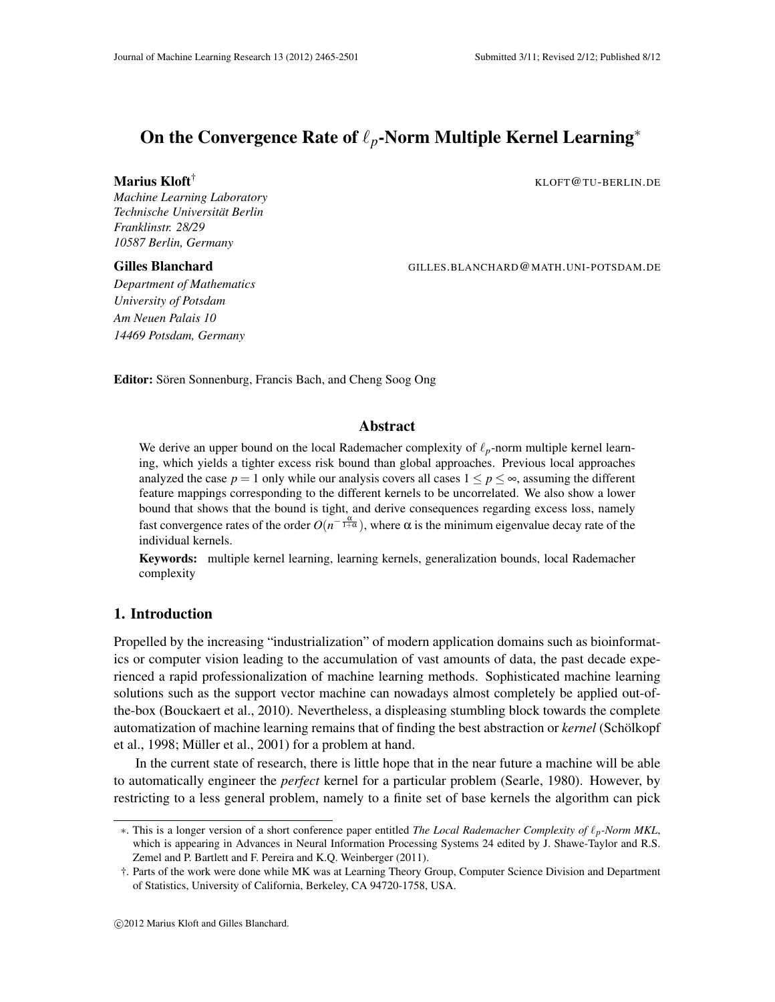# On the Convergence Rate of ℓ*p*-Norm Multiple Kernel Learning<sup>∗</sup>

Marius Kloft<sup>†</sup> KLOFT@TU-BERLIN.DE

*Machine Learning Laboratory Technische Universitat Berlin ¨ Franklinstr. 28/29 10587 Berlin, Germany*

Gilles Blanchard GILLES.BLANCHARD@MATH.UNI-POTSDAM.DE

*Department of Mathematics University of Potsdam Am Neuen Palais 10 14469 Potsdam, Germany*

Editor: Sören Sonnenburg, Francis Bach, and Cheng Soog Ong

#### Abstract

We derive an upper bound on the local Rademacher complexity of ℓ*p*-norm multiple kernel learning, which yields a tighter excess risk bound than global approaches. Previous local approaches analyzed the case  $p = 1$  only while our analysis covers all cases  $1 \le p \le \infty$ , assuming the different feature mappings corresponding to the different kernels to be uncorrelated. We also show a lower bound that shows that the bound is tight, and derive consequences regarding excess loss, namely fast convergence rates of the order  $O(n^{-\frac{\alpha}{1+\alpha}})$ , where  $\alpha$  is the minimum eigenvalue decay rate of the individual kernels.

Keywords: multiple kernel learning, learning kernels, generalization bounds, local Rademacher complexity

# 1. Introduction

Propelled by the increasing "industrialization" of modern application domains such as bioinformatics or computer vision leading to the accumulation of vast amounts of data, the past decade experienced a rapid professionalization of machine learning methods. Sophisticated machine learning solutions such as the support vector machine can nowadays almost completely be applied out-ofthe-box (Bouckaert et al., 2010). Nevertheless, a displeasing stumbling block towards the complete automatization of machine learning remains that of finding the best abstraction or *kernel* (Scholkopf ¨ et al., 1998; Müller et al., 2001) for a problem at hand.

In the current state of research, there is little hope that in the near future a machine will be able to automatically engineer the *perfect* kernel for a particular problem (Searle, 1980). However, by restricting to a less general problem, namely to a finite set of base kernels the algorithm can pick

<sup>∗</sup>. This is a longer version of a short conference paper entitled *The Local Rademacher Complexity of* ℓ*p-Norm MKL*, which is appearing in Advances in Neural Information Processing Systems 24 edited by J. Shawe-Taylor and R.S. Zemel and P. Bartlett and F. Pereira and K.Q. Weinberger (2011).

<sup>†.</sup> Parts of the work were done while MK was at Learning Theory Group, Computer Science Division and Department of Statistics, University of California, Berkeley, CA 94720-1758, USA.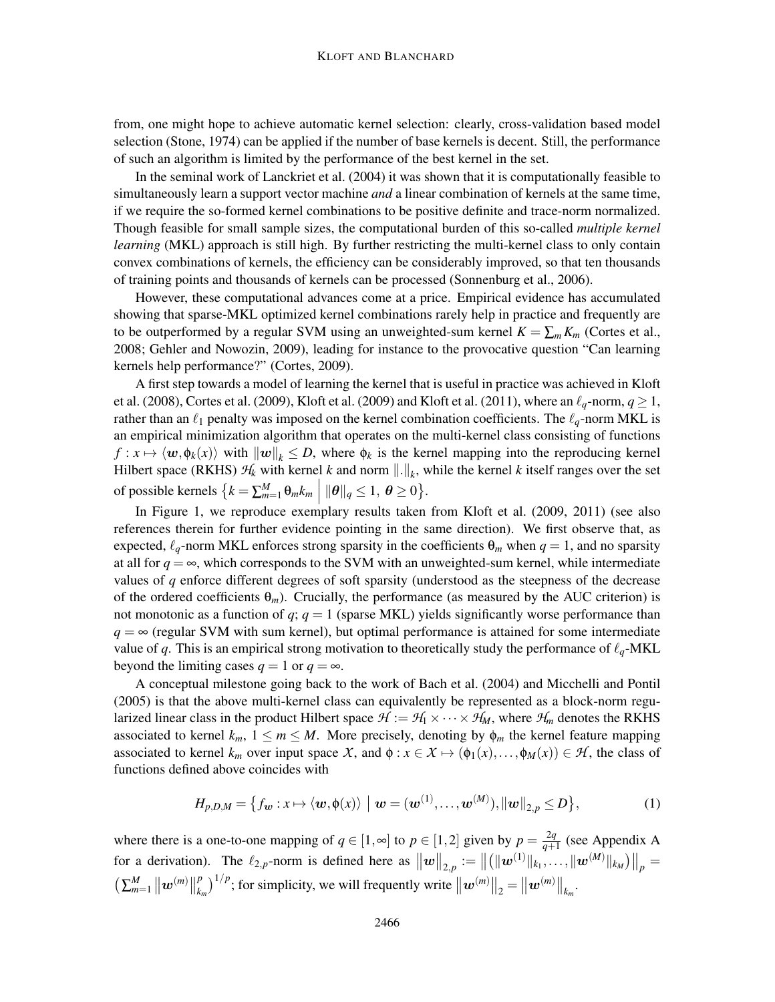from, one might hope to achieve automatic kernel selection: clearly, cross-validation based model selection (Stone, 1974) can be applied if the number of base kernels is decent. Still, the performance of such an algorithm is limited by the performance of the best kernel in the set.

In the seminal work of Lanckriet et al. (2004) it was shown that it is computationally feasible to simultaneously learn a support vector machine *and* a linear combination of kernels at the same time, if we require the so-formed kernel combinations to be positive definite and trace-norm normalized. Though feasible for small sample sizes, the computational burden of this so-called *multiple kernel learning* (MKL) approach is still high. By further restricting the multi-kernel class to only contain convex combinations of kernels, the efficiency can be considerably improved, so that ten thousands of training points and thousands of kernels can be processed (Sonnenburg et al., 2006).

However, these computational advances come at a price. Empirical evidence has accumulated showing that sparse-MKL optimized kernel combinations rarely help in practice and frequently are to be outperformed by a regular SVM using an unweighted-sum kernel  $K = \sum_m K_m$  (Cortes et al., 2008; Gehler and Nowozin, 2009), leading for instance to the provocative question "Can learning kernels help performance?" (Cortes, 2009).

A first step towards a model of learning the kernel that is useful in practice was achieved in Kloft et al. (2008), Cortes et al. (2009), Kloft et al. (2009) and Kloft et al. (2011), where an  $\ell_q$ -norm,  $q \ge 1$ , rather than an  $\ell_1$  penalty was imposed on the kernel combination coefficients. The  $\ell_q$ -norm MKL is an empirical minimization algorithm that operates on the multi-kernel class consisting of functions  $f: x \mapsto \langle w, \phi_k(x) \rangle$  with  $\|w\|_k \leq D$ , where  $\phi_k$  is the kernel mapping into the reproducing kernel Hilbert space (RKHS)  $H_k$  with kernel *k* and norm  $||.||_k$ , while the kernel *k* itself ranges over the set of possible kernels  $\{k = \sum_{m=1}^{M} \theta_m k_m \mid ||\boldsymbol{\theta}||_q \leq 1, \ \boldsymbol{\theta} \geq 0\}.$ 

In Figure 1, we reproduce exemplary results taken from Kloft et al. (2009, 2011) (see also references therein for further evidence pointing in the same direction). We first observe that, as expected,  $\ell_q$ -norm MKL enforces strong sparsity in the coefficients  $\Theta_m$  when  $q = 1$ , and no sparsity at all for  $q = \infty$ , which corresponds to the SVM with an unweighted-sum kernel, while intermediate values of *q* enforce different degrees of soft sparsity (understood as the steepness of the decrease of the ordered coefficients θ*m*). Crucially, the performance (as measured by the AUC criterion) is not monotonic as a function of  $q$ ;  $q = 1$  (sparse MKL) yields significantly worse performance than  $q = \infty$  (regular SVM with sum kernel), but optimal performance is attained for some intermediate value of *q*. This is an empirical strong motivation to theoretically study the performance of  $\ell_q$ -MKL beyond the limiting cases  $q = 1$  or  $q = \infty$ .

A conceptual milestone going back to the work of Bach et al. (2004) and Micchelli and Pontil (2005) is that the above multi-kernel class can equivalently be represented as a block-norm regularized linear class in the product Hilbert space  $\mathcal{H} := \mathcal{H}_1 \times \cdots \times \mathcal{H}_M$ , where  $\mathcal{H}_m$  denotes the RKHS associated to kernel  $k_m$ ,  $1 \le m \le M$ . More precisely, denoting by  $\phi_m$  the kernel feature mapping associated to kernel  $k_m$  over input space X, and  $\phi : x \in X \mapsto (\phi_1(x), \dots, \phi_M(x)) \in \mathcal{H}$ , the class of functions defined above coincides with

$$
H_{p,D,M} = \left\{ f_{\boldsymbol{w}} : x \mapsto \langle \boldsymbol{w}, \phi(x) \rangle \mid \boldsymbol{w} = (\boldsymbol{w}^{(1)}, \dots, \boldsymbol{w}^{(M)}), ||\boldsymbol{w}||_{2,p} \le D \right\},\tag{1}
$$

where there is a one-to-one mapping of  $q \in [1, \infty]$  to  $p \in [1, 2]$  given by  $p = \frac{2q}{q+1}$  $\frac{2q}{q+1}$  (see Appendix A for a derivation). The  $\ell_{2,p}$ -norm is defined here as  $||w||_{2,p} := ||(||w^{(1)}||_{k_1}, \ldots, ||w^{(M)}||_{k_M})||_p =$  $\left( \sum_{m=1}^{M} || \bm{w}^{(m)} ||_{k}^{p} \right)$  $\int_{k_m}^{p}$ ,  $\int_{k_m}^{1/p}$ ; for simplicity, we will frequently write  $\left\| \boldsymbol{w}^{(m)} \right\|_2 = \left\| \boldsymbol{w}^{(m)} \right\|_{k_m}$ .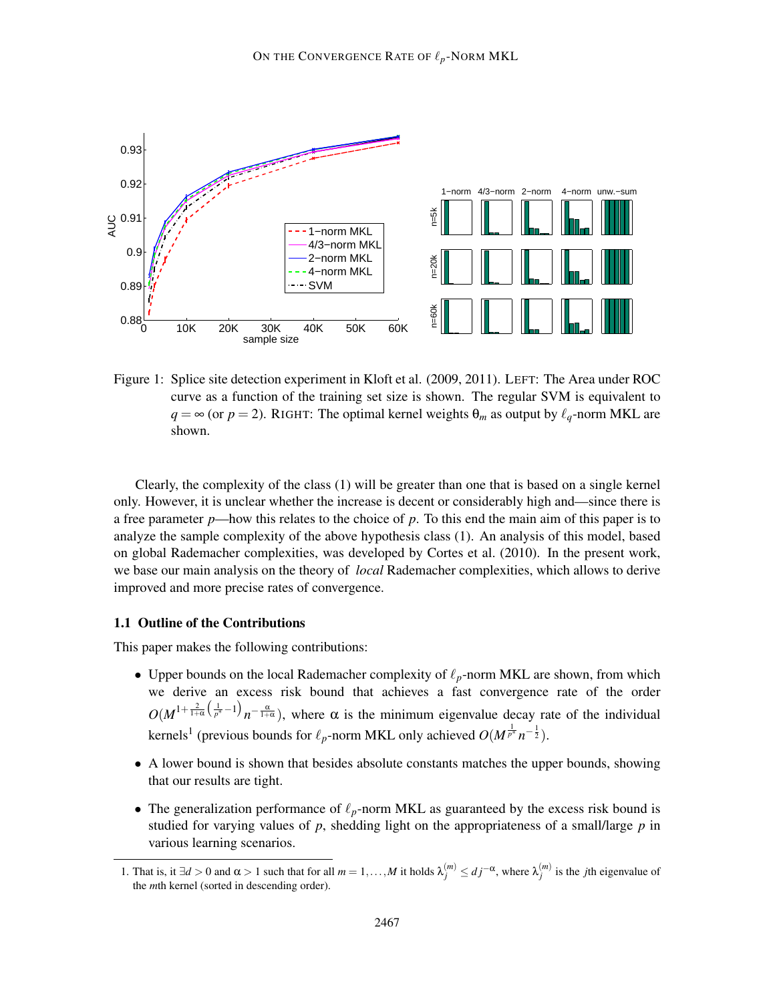

Figure 1: Splice site detection experiment in Kloft et al. (2009, 2011). LEFT: The Area under ROC curve as a function of the training set size is shown. The regular SVM is equivalent to  $q = \infty$  (or  $p = 2$ ). RIGHT: The optimal kernel weights  $\theta_m$  as output by  $\ell_q$ -norm MKL are shown.

Clearly, the complexity of the class (1) will be greater than one that is based on a single kernel only. However, it is unclear whether the increase is decent or considerably high and—since there is a free parameter *p*—how this relates to the choice of *p*. To this end the main aim of this paper is to analyze the sample complexity of the above hypothesis class (1). An analysis of this model, based on global Rademacher complexities, was developed by Cortes et al. (2010). In the present work, we base our main analysis on the theory of *local* Rademacher complexities, which allows to derive improved and more precise rates of convergence.

#### 1.1 Outline of the Contributions

This paper makes the following contributions:

- Upper bounds on the local Rademacher complexity of  $\ell_p$ -norm MKL are shown, from which we derive an excess risk bound that achieves a fast convergence rate of the order  $O(M^{1+\frac{2}{1+\alpha}\left(\frac{1}{p^*}-1\right)}$  $n^{-\frac{\alpha}{1+\alpha}}$ ), where  $\alpha$  is the minimum eigenvalue decay rate of the individual kernels<sup>1</sup> (previous bounds for  $\ell_p$ -norm MKL only achieved  $O(M^{\frac{1}{p^*}}n^{-\frac{1}{2}})$ .
- A lower bound is shown that besides absolute constants matches the upper bounds, showing that our results are tight.
- The generalization performance of  $\ell_p$ -norm MKL as guaranteed by the excess risk bound is studied for varying values of *p*, shedding light on the appropriateness of a small/large *p* in various learning scenarios.

<sup>1.</sup> That is, it ∃*d* > 0 and α > 1 such that for all *m* = 1, ...,*M* it holds  $λ_j^{(m)} ≤ d_j^{-α}$ , where  $λ_j^{(m)}$  is the *j*th eigenvalue of the *m*th kernel (sorted in descending order).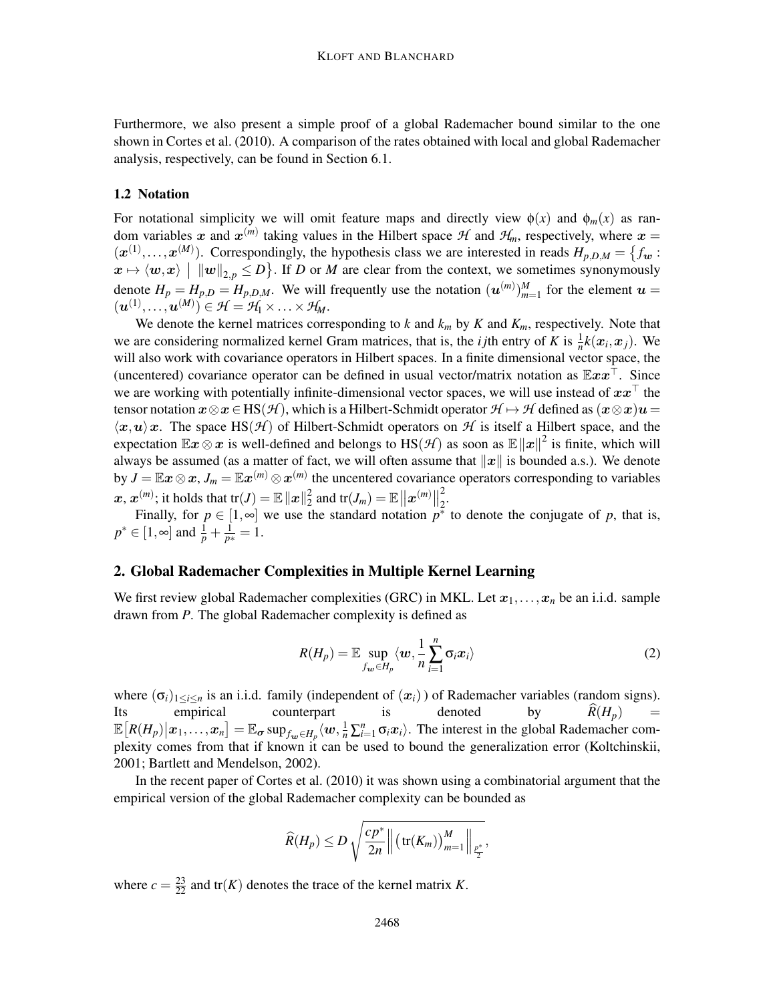Furthermore, we also present a simple proof of a global Rademacher bound similar to the one shown in Cortes et al. (2010). A comparison of the rates obtained with local and global Rademacher analysis, respectively, can be found in Section 6.1.

# 1.2 Notation

For notational simplicity we will omit feature maps and directly view  $\phi(x)$  and  $\phi_m(x)$  as random variables x and  $x^{(m)}$  taking values in the Hilbert space  $H$  and  $H_m$ , respectively, where  $x =$  $(\mathbf{x}^{(1)},...,\mathbf{x}^{(M)})$ . Correspondingly, the hypothesis class we are interested in reads  $H_{p,D,M} = \{f_w :$  $\langle x \mapsto \langle w, x \rangle \mid ||w||_{2, p} \leq D$ . If *D* or *M* are clear from the context, we sometimes synonymously denote  $H_p = H_{p,D} = H_{p,D,M}$ . We will frequently use the notation  $(u^{(m)})_{m=1}^M$  for the element  $u =$  $(\boldsymbol{u}^{(1)},\ldots,\boldsymbol{u}^{(M)})\in\mathcal{H}=\mathcal{H}_1\times\ldots\times\mathcal{H}_M.$ 

We denote the kernel matrices corresponding to  $k$  and  $k_m$  by  $K$  and  $K_m$ , respectively. Note that we are considering normalized kernel Gram matrices, that is, the *i j*th entry of *K* is  $\frac{1}{n}k(x_i, x_j)$ . We will also work with covariance operators in Hilbert spaces. In a finite dimensional vector space, the (uncentered) covariance operator can be defined in usual vector/matrix notation as  $\mathbb{E}xx^\top$ . Since we are working with potentially infinite-dimensional vector spaces, we will use instead of  $xx<sup>†</sup>$  the tensor notation  $x \otimes x \in HS(\mathcal{H})$ , which is a Hilbert-Schmidt operator  $\mathcal{H} \mapsto \mathcal{H}$  defined as  $(x \otimes x)u =$  $\langle x,u\rangle x$ . The space HS( $\mathcal{H}$ ) of Hilbert-Schmidt operators on  $\mathcal{H}$  is itself a Hilbert space, and the expectation  $\mathbb{E}x \otimes x$  is well-defined and belongs to  $\text{HS}(\mathcal{H})$  as soon as  $\mathbb{E}||x||^2$  is finite, which will always be assumed (as a matter of fact, we will often assume that  $||x||$  is bounded a.s.). We denote by  $J = \mathbb{E}x \otimes x$ ,  $J_m = \mathbb{E}x^{(m)} \otimes x^{(m)}$  the uncentered covariance operators corresponding to variables  $\boldsymbol{x},\,\boldsymbol{x}^{(m)};$  it holds that  $\text{tr}(J)=\mathbb{E}\left\Vert \boldsymbol{x}\right\Vert _{2}^{2}$  $\frac{2}{2}$  and  $\text{tr}(J_m) = \mathbb{E} \left\| \boldsymbol{x}^{(m)} \right\|_2^2$  $\frac{2}{2}$ .

Finally, for  $p \in [1, \infty]$  we use the standard notation  $p^*$  to denote the conjugate of *p*, that is,  $p^* \in [1, \infty]$  and  $\frac{1}{p} + \frac{1}{p^*} = 1$ .

#### 2. Global Rademacher Complexities in Multiple Kernel Learning

We first review global Rademacher complexities (GRC) in MKL. Let  $x_1, \ldots, x_n$  be an i.i.d. sample drawn from *P*. The global Rademacher complexity is defined as

$$
R(H_p) = \mathbb{E} \sup_{f_{\boldsymbol{w}} \in H_p} \langle \boldsymbol{w}, \frac{1}{n} \sum_{i=1}^n \sigma_i x_i \rangle \tag{2}
$$

where  $(\sigma_i)_{1 \le i \le n}$  is an i.i.d. family (independent of  $(x_i)$ ) of Rademacher variables (random signs).<br>Its empirical counterpart is denoted by  $\hat{R}(H_n)$  = Its empirical counterpart is denoted by  $R(H_p) = \mathbb{E}[R(H_p)|x_1,\ldots,x_n] = \mathbb{E}_{\sigma} \sup_{f_w \in H_p} \langle w, \frac{1}{n} \sum_{i=1}^n \sigma_i x_i \rangle$ . The interest in the global Rademacher complexity comes from that if known it can be used to bound the generalization error (Koltchinskii, 2001; Bartlett and Mendelson, 2002).

In the recent paper of Cortes et al. (2010) it was shown using a combinatorial argument that the empirical version of the global Rademacher complexity can be bounded as

$$
\widehat{R}(H_p) \le D \sqrt{\frac{cp^*}{2n} \left\| \left( \text{tr}(K_m) \right)_{m=1}^M \right\|_{\frac{p^*}{2}}},
$$

where  $c = \frac{23}{22}$  and tr(*K*) denotes the trace of the kernel matrix *K*.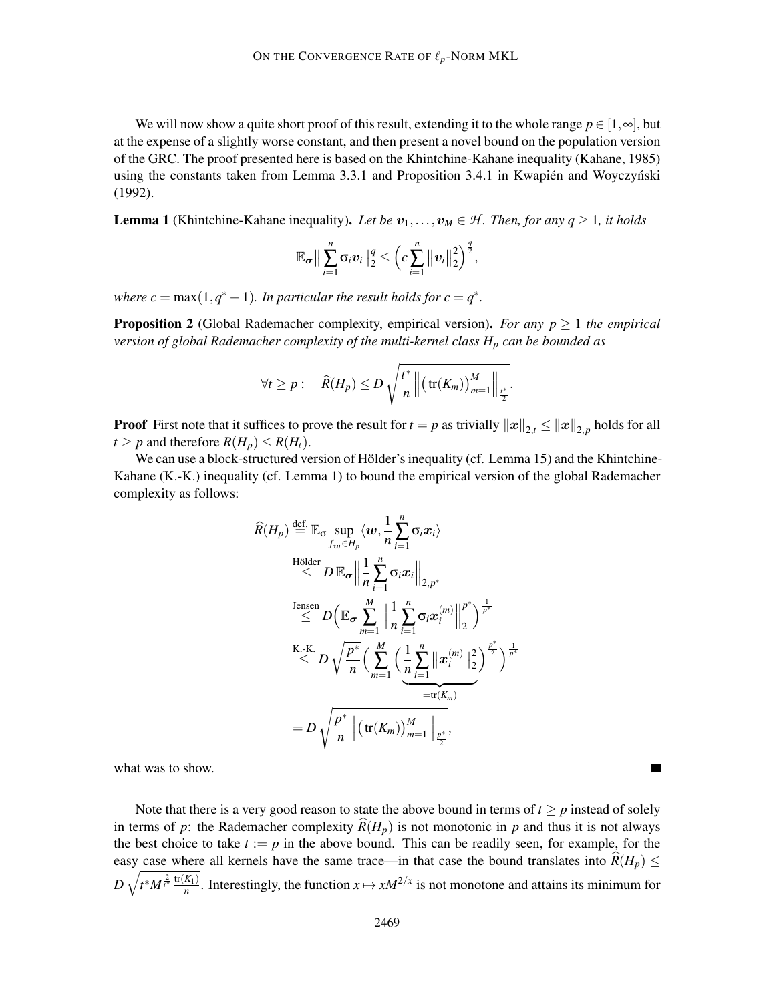We will now show a quite short proof of this result, extending it to the whole range  $p \in [1, \infty]$ , but at the expense of a slightly worse constant, and then present a novel bound on the population version of the GRC. The proof presented here is based on the Khintchine-Kahane inequality (Kahane, 1985) using the constants taken from Lemma 3.3.1 and Proposition 3.4.1 in Kwapién and Woyczyński (1992).

**Lemma 1** (Khintchine-Kahane inequality). Let be  $v_1, \ldots, v_M \in \mathcal{H}$ . Then, for any  $q \ge 1$ , it holds

$$
\mathbb{E}_{\sigma} \big\| \sum_{i=1}^n \sigma_i v_i \big\|_2^q \leq \bigg( c \sum_{i=1}^n \big\| v_i \big\|_2^2 \bigg)^{\frac{q}{2}},
$$

*where*  $c = \max(1, q^* - 1)$ *. In particular the result holds for*  $c = q^*$ *.* 

**Proposition 2** (Global Rademacher complexity, empirical version). *For any*  $p \geq 1$  *the empirical version of global Rademacher complexity of the multi-kernel class H<sup>p</sup> can be bounded as*

$$
\forall t \geq p: \quad \widehat{R}(H_p) \leq D \sqrt{\frac{t^*}{n} \left\| \left( \text{tr}(K_m) \right)_{m=1}^M \right\|_{\frac{t^*}{2}}}.
$$

**Proof** First note that it suffices to prove the result for  $t = p$  as trivially  $||x||_{2,t} \le ||x||_{2,p}$  holds for all  $t \geq p$  and therefore  $R(H_p) \leq R(H_t)$ .

We can use a block-structured version of Hölder's inequality (cf. Lemma 15) and the Khintchine-Kahane (K.-K.) inequality (cf. Lemma 1) to bound the empirical version of the global Rademacher complexity as follows:

$$
\widehat{R}(H_p) \stackrel{\text{def.}}{=} \mathbb{E}_{\sigma} \sup_{f_{\mathbf{w}} \in H_p} \langle \mathbf{w}, \frac{1}{n} \sum_{i=1}^n \sigma_i x_i \rangle
$$
\n
$$
\stackrel{\text{Hölder}}{\leq} D \mathbb{E}_{\sigma} \left\| \frac{1}{n} \sum_{i=1}^n \sigma_i x_i \right\|_{2, p^*}
$$
\n
$$
\stackrel{\text{Jensen}}{\leq} D \left( \mathbb{E}_{\sigma} \sum_{m=1}^M \left\| \frac{1}{n} \sum_{i=1}^n \sigma_i x_i^{(m)} \right\|_2^p \right)^{\frac{1}{p^*}}
$$
\n
$$
\stackrel{\text{K.-K.}}{\leq} D \sqrt{\frac{p^*}{n}} \left( \sum_{m=1}^M \left( \frac{1}{n} \sum_{i=1}^n \|\mathbf{x}_i^{(m)}\|_2^2 \right)^{\frac{p^*}{2}} \right)^{\frac{1}{p^*}}
$$
\n
$$
= D \sqrt{\frac{p^*}{n}} \left\| (\text{tr}(K_m))_{m=1}^M \right\|_{\frac{p^*}{2}},
$$

what was to show.

Note that there is a very good reason to state the above bound in terms of  $t \geq p$  instead of solely in terms of *p*: the Rademacher complexity  $R(H_p)$  is not monotonic in *p* and thus it is not always the best choice to take  $t := p$  in the above bound. This can be readily seen, for example, for the easy case where all kernels have the same trace—in that case the bound translates into  $R(H_p) \leq$  $D\sqrt{t^*M^{\frac{2}{t^*}}\frac{\text{tr}(K_1)}{n}}$  $\frac{K_1}{n}$ . Interestingly, the function  $x \mapsto xM^{2/x}$  is not monotone and attains its minimum for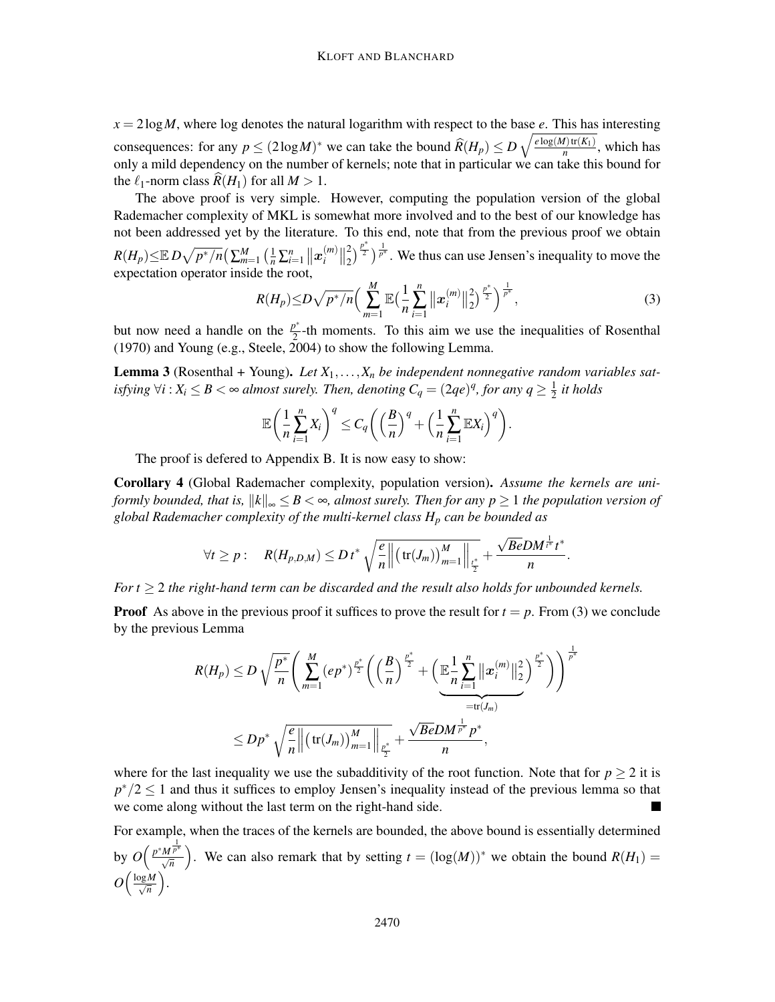$x = 2\log M$ , where log denotes the natural logarithm with respect to the base *e*. This has interesting consequences: for any  $p \le (2\log M)^*$  we can take the bound  $\widehat{R}(H_p) \le D\sqrt{\frac{e\log(M)\text{tr}(K_1)}{n}}$  $\frac{n}{n}$ <sup> $\frac{n}{n}$ </sup>, which has only a mild dependency on the number of kernels; note that in particular we can take this bound for the  $\ell_1$ -norm class  $R(H_1)$  for all  $M > 1$ .

The above proof is very simple. However, computing the population version of the global Rademacher complexity of MKL is somewhat more involved and to the best of our knowledge has not been addressed yet by the literature. To this end, note that from the previous proof we obtain  $R(H_p) \leq \mathbb{E} \, D \sqrt{p^*/n} \big( \sum_{m=1}^M \big( \frac{1}{n} \sum_{i=1}^n \big\| \boldsymbol{x}^{(m)}_i \big)$  $\binom{m}{i}$  $\Big\|_2^2$  $\binom{2}{2}^{\frac{p^*}{2}}$   $\frac{1}{p^*}$ . We thus can use Jensen's inequality to move the expectation operator inside the root,

$$
R(H_p) \le D\sqrt{p^*/n} \Big( \sum_{m=1}^M \mathbb{E} \big( \frac{1}{n} \sum_{i=1}^n \big\| x_i^{(m)} \big\|_2^2 \big)^{\frac{p^*}{2}} \Big)^{\frac{1}{p^*}}, \tag{3}
$$

but now need a handle on the  $\frac{p^*}{2}$  $\frac{p}{2}$ -th moments. To this aim we use the inequalities of Rosenthal (1970) and Young (e.g., Steele, 2004) to show the following Lemma.

Lemma 3 (Rosenthal + Young). *Let X*1,...,*X<sup>n</sup> be independent nonnegative random variables satisfying*  $\forall i: X_i \leq B < \infty$  almost surely. Then, denoting  $C_q = (2qe)^q$ , for any  $q \geq \frac{1}{2}$ 2 *it holds*

$$
\mathbb{E}\bigg(\frac{1}{n}\sum_{i=1}^n X_i\bigg)^q \leq C_q \bigg(\bigg(\frac{B}{n}\bigg)^q + \bigg(\frac{1}{n}\sum_{i=1}^n \mathbb{E}X_i\bigg)^q\bigg).
$$

The proof is defered to Appendix B. It is now easy to show:

Corollary 4 (Global Rademacher complexity, population version). *Assume the kernels are uniformly bounded, that is,*  $||k||_{\infty} \leq B < \infty$ , almost surely. Then for any  $p \geq 1$  the population version of *global Rademacher complexity of the multi-kernel class H<sup>p</sup> can be bounded as*

$$
\forall t \geq p: \quad R(H_{p,D,M}) \leq D \, t^* \sqrt{\frac{e}{n} \left\| \left( \text{tr}(J_m) \right)_{m=1}^M \right\|_{\frac{t^*}{2}}} + \frac{\sqrt{Be} D M^{\frac{1}{t^*}} t^*}{n}.
$$

*For t* ≥ 2 *the right-hand term can be discarded and the result also holds for unbounded kernels.*

**Proof** As above in the previous proof it suffices to prove the result for  $t = p$ . From (3) we conclude by the previous Lemma

$$
R(H_p) \le D \sqrt{\frac{p^*}{n}} \left( \sum_{m=1}^M (ep^*)^{\frac{p^*}{2}} \left( \left( \frac{B}{n} \right)^{\frac{p^*}{2}} + \left( \underbrace{\mathbb{E} \frac{1}{n} \sum_{i=1}^n ||x_i^{(m)}||_2^2}_{= \text{tr}(J_m)} \right)^{\frac{p^*}{2}} \right) \right)^{\frac{1}{p^*}}
$$
  

$$
\le Dp^* \sqrt{\frac{e}{n} ||(\text{tr}(J_m))_{m=1}^M ||_{\frac{p^*}{2}}} + \frac{\sqrt{Be}DM^{\frac{1}{p^*}} p^*}{n},
$$

where for the last inequality we use the subadditivity of the root function. Note that for  $p \ge 2$  it is  $p^*/2 \leq 1$  and thus it suffices to employ Jensen's inequality instead of the previous lemma so that we come along without the last term on the right-hand side.

For example, when the traces of the kernels are bounded, the above bound is essentially determined by  $O\left(\frac{p^*M^{\frac{1}{p^*}}}{\sqrt{n}}\right)$ ). We can also remark that by setting  $t = (\log(M))^*$  we obtain the bound  $R(H_1)$  =  $O\left(\frac{\log M}{\sqrt{n}}\right)$ .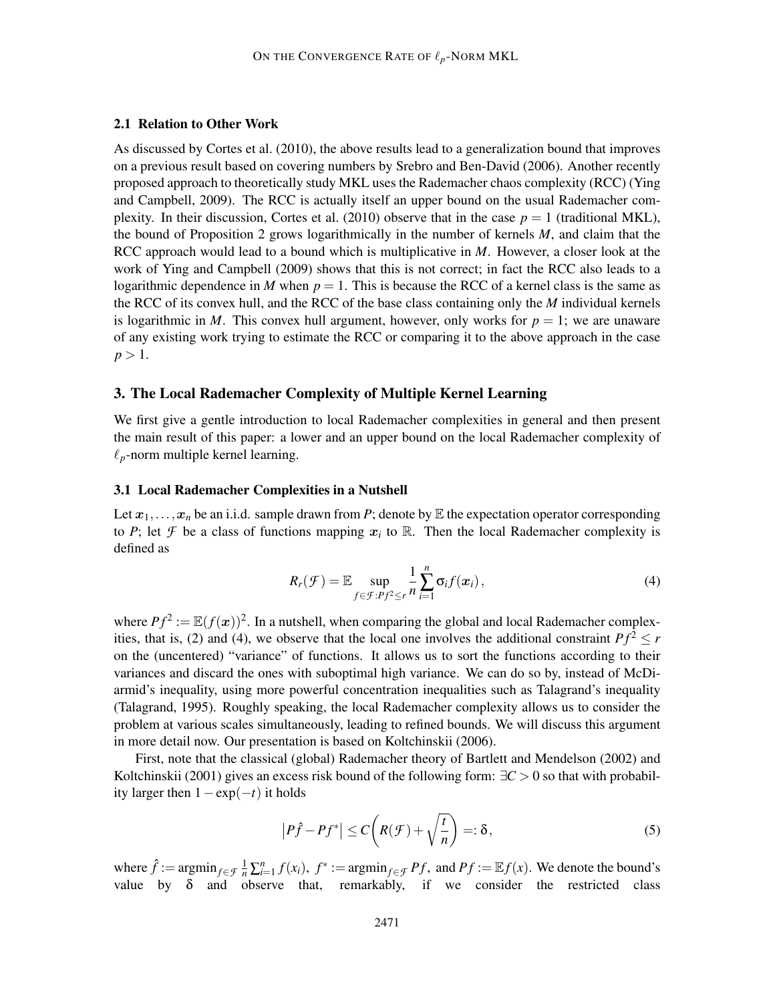#### 2.1 Relation to Other Work

As discussed by Cortes et al. (2010), the above results lead to a generalization bound that improves on a previous result based on covering numbers by Srebro and Ben-David (2006). Another recently proposed approach to theoretically study MKL uses the Rademacher chaos complexity (RCC) (Ying and Campbell, 2009). The RCC is actually itself an upper bound on the usual Rademacher complexity. In their discussion, Cortes et al. (2010) observe that in the case  $p = 1$  (traditional MKL), the bound of Proposition 2 grows logarithmically in the number of kernels *M*, and claim that the RCC approach would lead to a bound which is multiplicative in *M*. However, a closer look at the work of Ying and Campbell (2009) shows that this is not correct; in fact the RCC also leads to a logarithmic dependence in *M* when  $p = 1$ . This is because the RCC of a kernel class is the same as the RCC of its convex hull, and the RCC of the base class containing only the *M* individual kernels is logarithmic in *M*. This convex hull argument, however, only works for  $p = 1$ ; we are unaware of any existing work trying to estimate the RCC or comparing it to the above approach in the case  $p > 1$ .

### 3. The Local Rademacher Complexity of Multiple Kernel Learning

We first give a gentle introduction to local Rademacher complexities in general and then present the main result of this paper: a lower and an upper bound on the local Rademacher complexity of  $\ell_p$ -norm multiple kernel learning.

#### 3.1 Local Rademacher Complexities in a Nutshell

Let  $x_1, \ldots, x_n$  be an i.i.d. sample drawn from *P*; denote by  $E$  the expectation operator corresponding to *P*; let *F* be a class of functions mapping  $x_i$  to R. Then the local Rademacher complexity is defined as

$$
R_r(\mathcal{F}) = \mathbb{E} \sup_{f \in \mathcal{F}:Pf^2 \leq r} \frac{1}{n} \sum_{i=1}^n \sigma_i f(x_i), \qquad (4)
$$

where  $Pf^2 := \mathbb{E}(f(\boldsymbol{x}))^2$ . In a nutshell, when comparing the global and local Rademacher complexities, that is, (2) and (4), we observe that the local one involves the additional constraint  $Pf^2 \le r$ on the (uncentered) "variance" of functions. It allows us to sort the functions according to their variances and discard the ones with suboptimal high variance. We can do so by, instead of McDiarmid's inequality, using more powerful concentration inequalities such as Talagrand's inequality (Talagrand, 1995). Roughly speaking, the local Rademacher complexity allows us to consider the problem at various scales simultaneously, leading to refined bounds. We will discuss this argument in more detail now. Our presentation is based on Koltchinskii (2006).

First, note that the classical (global) Rademacher theory of Bartlett and Mendelson (2002) and Koltchinskii (2001) gives an excess risk bound of the following form: ∃*C* > 0 so that with probability larger then  $1 - \exp(-t)$  it holds

$$
\left|P\hat{f} - Pf^*\right| \le C\left(R(\mathcal{F}) + \sqrt{\frac{t}{n}}\right) = \delta,
$$
\n(5)

where  $\hat{f} := \operatorname{argmin}_{f \in \mathcal{F}} \frac{1}{n} \sum_{i=1}^{n} f(x_i)$ ,  $f^* := \operatorname{argmin}_{f \in \mathcal{F}} Pf$ , and  $Pf := \mathbb{E} f(x)$ . We denote the bound's value by  $\delta$  and observe that, remarkably, if we consider the restricted class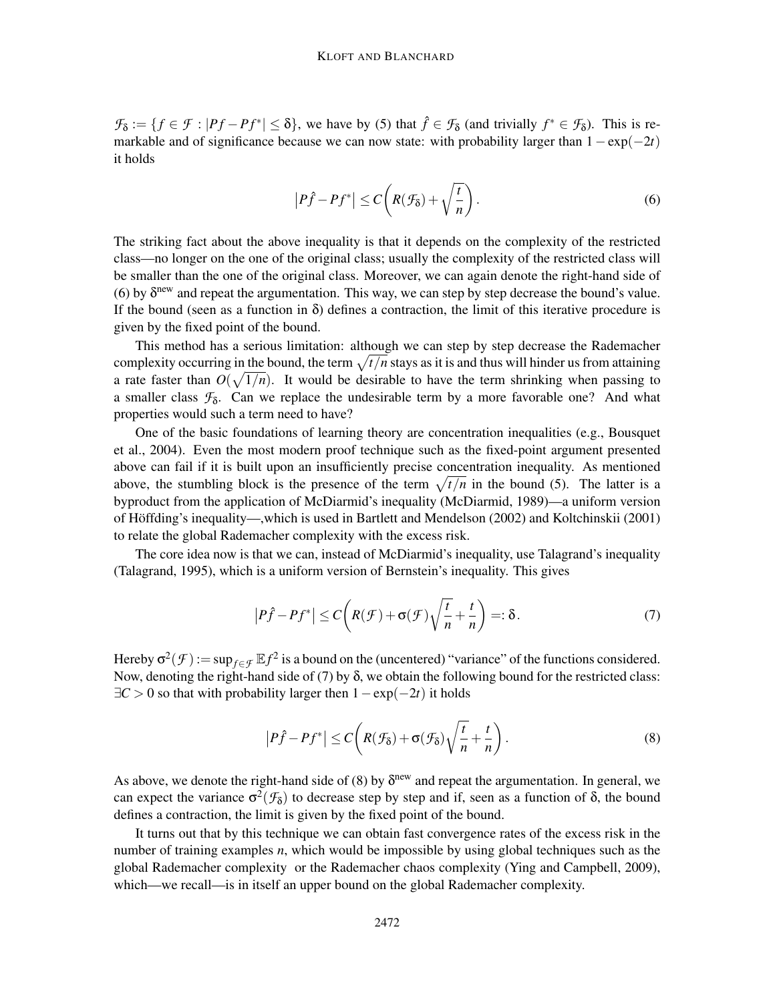$\mathcal{F}_{\delta} := \{ f \in \mathcal{F} : |P f - P f^*| \leq \delta \}$ , we have by (5) that  $\hat{f} \in \mathcal{F}_{\delta}$  (and trivially  $f^* \in \mathcal{F}_{\delta}$ ). This is remarkable and of significance because we can now state: with probability larger than 1−exp(−2*t*) it holds

$$
\left|P\hat{f} - Pf^*\right| \le C\left(R(\mathcal{F}_\delta) + \sqrt{\frac{t}{n}}\right). \tag{6}
$$

The striking fact about the above inequality is that it depends on the complexity of the restricted class—no longer on the one of the original class; usually the complexity of the restricted class will be smaller than the one of the original class. Moreover, we can again denote the right-hand side of (6) by  $\delta^{\text{new}}$  and repeat the argumentation. This way, we can step by step decrease the bound's value. If the bound (seen as a function in  $\delta$ ) defines a contraction, the limit of this iterative procedure is given by the fixed point of the bound.

This method has a serious limitation: although we can step by step decrease the Rademacher complexity occurring in the bound, the term  $\sqrt{t/n}$  stays as it is and thus will hinder us from attaining a rate faster than  $O(\sqrt{1/n})$ . It would be desirable to have the term shrinking when passing to a smaller class  $\mathcal{F}_{\delta}$ . Can we replace the undesirable term by a more favorable one? And what properties would such a term need to have?

One of the basic foundations of learning theory are concentration inequalities (e.g., Bousquet et al., 2004). Even the most modern proof technique such as the fixed-point argument presented above can fail if it is built upon an insufficiently precise concentration inequality. As mentioned above, the stumbling block is the presence of the term  $\sqrt{t/n}$  in the bound (5). The latter is a byproduct from the application of McDiarmid's inequality (McDiarmid, 1989)—a uniform version of Höffding's inequality—,which is used in Bartlett and Mendelson (2002) and Koltchinskii (2001) to relate the global Rademacher complexity with the excess risk.

The core idea now is that we can, instead of McDiarmid's inequality, use Talagrand's inequality (Talagrand, 1995), which is a uniform version of Bernstein's inequality. This gives

$$
\left|P\hat{f} - Pf^*\right| \le C\left(R(\mathcal{F}) + \sigma(\mathcal{F})\sqrt{\frac{t}{n}} + \frac{t}{n}\right) = \delta.
$$
 (7)

Hereby  $\sigma^2(\mathcal{F}) := \sup_{f \in \mathcal{F}} \mathbb{E} f^2$  is a bound on the (uncentered) "variance" of the functions considered. Now, denoting the right-hand side of  $(7)$  by  $\delta$ , we obtain the following bound for the restricted class: ∃*C* > 0 so that with probability larger then 1−exp(−2*t*) it holds

$$
\left|P\hat{f} - Pf^*\right| \le C\left(R(\mathcal{F}_{\delta}) + \sigma(\mathcal{F}_{\delta})\sqrt{\frac{t}{n}} + \frac{t}{n}\right).
$$
\n(8)

As above, we denote the right-hand side of (8) by  $\delta^{new}$  and repeat the argumentation. In general, we can expect the variance  $\sigma^2(\mathcal{F}_{\delta})$  to decrease step by step and if, seen as a function of  $\delta$ , the bound defines a contraction, the limit is given by the fixed point of the bound.

It turns out that by this technique we can obtain fast convergence rates of the excess risk in the number of training examples *n*, which would be impossible by using global techniques such as the global Rademacher complexity or the Rademacher chaos complexity (Ying and Campbell, 2009), which—we recall—is in itself an upper bound on the global Rademacher complexity.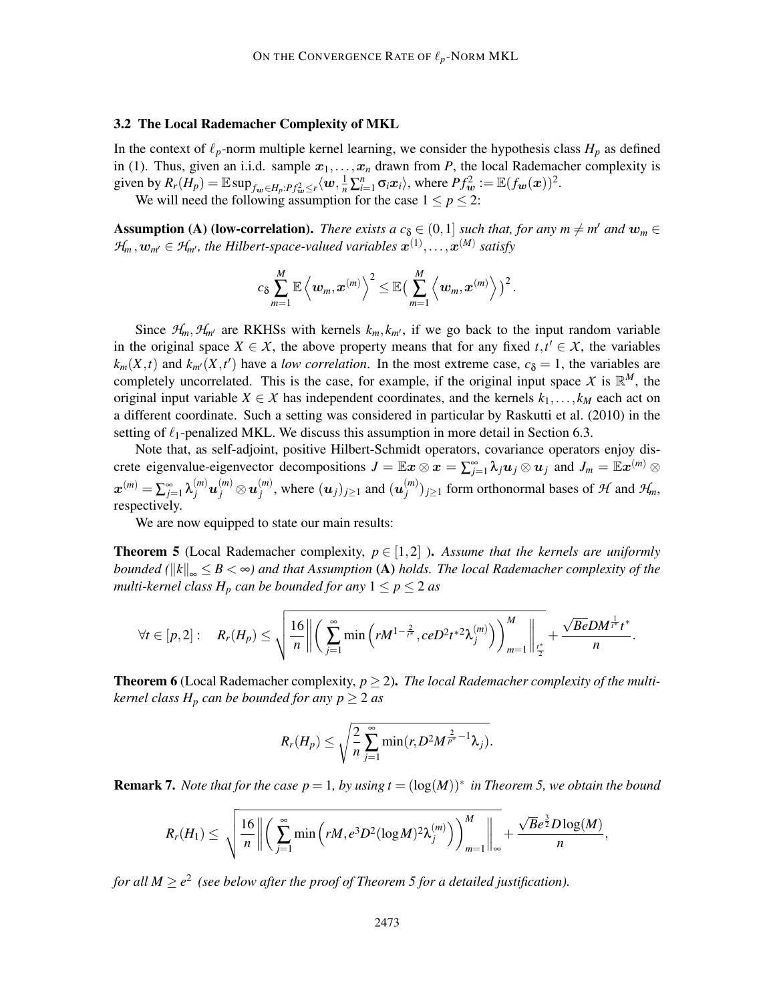#### 3.2 The Local Rademacher Complexity of MKL

In the context of  $\ell_p$ -norm multiple kernel learning, we consider the hypothesis class  $H_p$  as defined in (1). Thus, given an i.i.d. sample  $x_1, \ldots, x_n$  drawn from *P*, the local Rademacher complexity is given by  $R_r(H_p) = \mathbb{E}\sup_{f_w \in H_p: Pf_w^2 \le r} \langle w, \frac{1}{n} \sum_{i=1}^n \sigma_i x_i \rangle$ , where  $Pf_w^2 := \mathbb{E}(f_w(x))^2$ . We will need the following assumption for the case  $1 \le p \le 2$ :

**Assumption (A) (low-correlation).** *There exists a*  $c_{\delta} \in (0,1]$  *such that, for any m*  $\neq$  *m' and*  $w_m \in$  $\mathcal{H}_m, w_{m'} \in \mathcal{H}_{m'}$ , the Hilbert-space-valued variables  $\mathbf{x}^{(1)}, \ldots, \mathbf{x}^{(M)}$  satisfy

$$
c_{\delta}\sum_{m=1}^M\mathbb{E}\left\langle \boldsymbol{w}_m,\boldsymbol{x}^{(m)} \right\rangle^2 \leq \mathbb{E}\big(\sum_{m=1}^M\left\langle \boldsymbol{w}_m,\boldsymbol{x}^{(m)} \right\rangle \big)^2.
$$

Since  $H_m$ ,  $H_{m'}$  are RKHSs with kernels  $k_m$ ,  $k_{m'}$ , if we go back to the input random variable in the original space  $X \in \mathcal{X}$ , the above property means that for any fixed  $t, t' \in \mathcal{X}$ , the variables  $k_m(X,t)$  and  $k_{m'}(X,t')$  have a *low correlation*. In the most extreme case,  $c_{\delta} = 1$ , the variables are completely uncorrelated. This is the case, for example, if the original input space  $X$  is  $\mathbb{R}^M$ , the original input variable  $X \in \mathcal{X}$  has independent coordinates, and the kernels  $k_1, \ldots, k_M$  each act on a different coordinate. Such a setting was considered in particular by Raskutti et al. (2010) in the setting of  $\ell_1$ -penalized MKL. We discuss this assumption in more detail in Section 6.3.

Note that, as self-adjoint, positive Hilbert-Schmidt operators, covariance operators enjoy discrete eigenvalue-eigenvector decompositions  $J = \mathbb{E}x \otimes x = \sum_{j=1}^{\infty} \lambda_j u_j \otimes u_j$  and  $J_m = \mathbb{E}x^{(m)} \otimes x$  $\boldsymbol{x}^{(m)} = \sum_{j=1}^\infty \lambda_j^{(m)} \boldsymbol{u}_j^{(m)} \otimes \boldsymbol{u}_j^{(m)}$  $\mathbf{u}_{j}^{(m)}$ , where  $(\mathbf{u}_{j})_{j\geq 1}$  and  $(\mathbf{u}_{j}^{(m)})$  $\mathcal{F}_{j}^{(m)}$ )<sub>*j*≥1</sub> form orthonormal bases of  $\mathcal{H}$  and  $\mathcal{H}_{m}$ , respectively.

We are now equipped to state our main results:

**Theorem 5** (Local Rademacher complexity,  $p \in [1,2]$ ). Assume that the kernels are uniformly *bounded* ( $||k||_{\infty} \leq B < \infty$ ) and that Assumption (A) holds. The local Rademacher complexity of the *multi-kernel class*  $H_p$  *can be bounded for any*  $1 \leq p \leq 2$  *as* 

$$
\forall t \in [p,2]: \quad R_r(H_p) \leq \sqrt{\frac{16}{n} \left\| \left( \sum_{j=1}^{\infty} \min \left( r M^{1-\frac{2}{t^*}}, c e D^2 t^{*2} \lambda_j^{(m)} \right) \right)_{m=1}^M \right\|_{\frac{t^*}{2}}} + \frac{\sqrt{Be} D M^{\frac{1}{t^*}} t^*}{n}.
$$

**Theorem 6** (Local Rademacher complexity,  $p \ge 2$ ). The local Rademacher complexity of the multi*kernel class*  $H_p$  *can be bounded for any p*  $\geq$  2 *as* 

$$
R_r(H_p)\leq \sqrt{\frac{2}{n}\sum_{j=1}^\infty\min(r,D^2M^{\frac{2}{p^*}-1}\lambda_j)}.
$$

**Remark 7.** *Note that for the case*  $p = 1$ *, by using t* =  $(\log(M))^*$  *in Theorem 5, we obtain the bound* 

$$
R_r(H_1) \leq \sqrt{\frac{16}{n} \left\| \left( \sum_{j=1}^{\infty} \min\left( rM, e^{3} D^2 (\log M)^2 \lambda_j^{(m)} \right) \right)_{m=1}^M \right\|_{\infty}} + \frac{\sqrt{B} e^{\frac{3}{2}} D \log(M)}{n},
$$

for all  $M \ge e^2$  (see below after the proof of Theorem 5 for a detailed justification).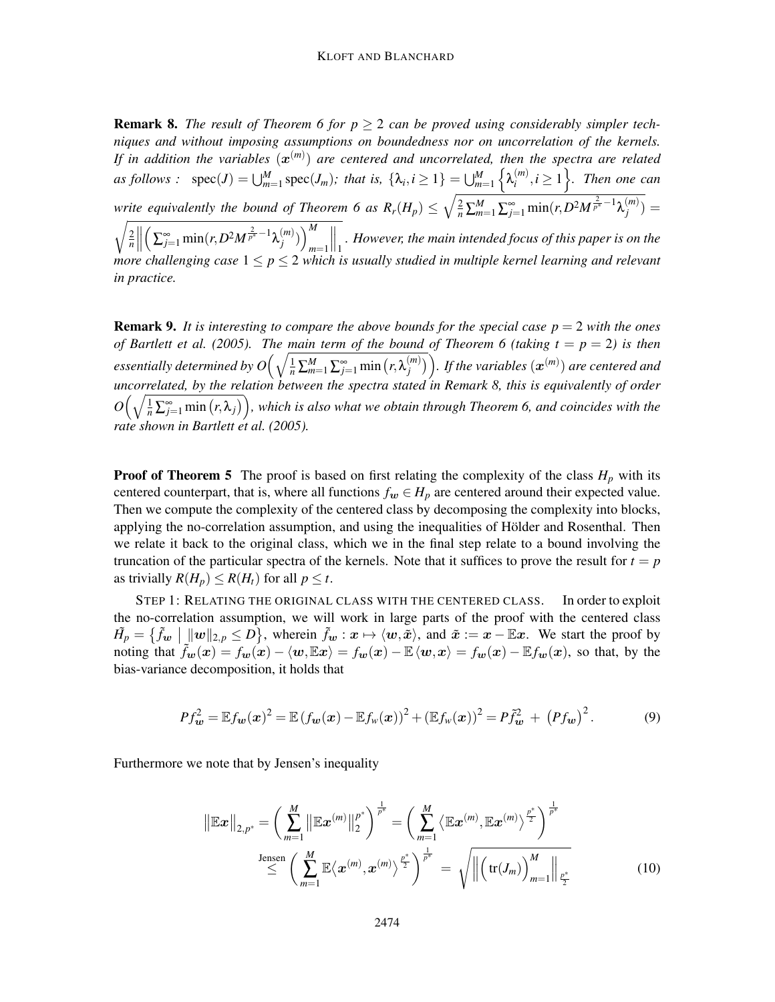**Remark 8.** The result of Theorem 6 for  $p \geq 2$  can be proved using considerably simpler tech*niques and without imposing assumptions on boundedness nor on uncorrelation of the kernels.* If in addition the variables  $(\bm{x}^{(m)})$  are centered and uncorrelated, then the spectra are related  $as$  *follows* :  $spec(J) = \bigcup_{m=1}^{M} spec(J_m)$ ; that is,  $\{\lambda_i, i \geq 1\} = \bigcup_{m=1}^{M}$  $\left\{ \lambda_{i}^{(m)}\right\}$  $\left\{\begin{matrix} (m) \\ i \end{matrix}\right\}$ , *Then one can write equivalently the bound of Theorem 6 as*  $R_r(H_p) \leq \sqrt{\frac{2}{n} \sum_{m=1}^{M} \sum_{j=1}^{\infty} \min(r, D^2 M^{\frac{2}{p^*}-1} \lambda_j^{(m)}}$  $\binom{m}{j}$  =  $\sqrt{2}$ *n*  $\left(\sum_{j=1}^{\infty} \min(r, D^2 M^{\frac{2}{p^*}-1} \lambda_j^{(m)}\right)$  $\binom{m}{j}$ )<sup>M</sup> *m*=1  $\big\|_1$ *. However, the main intended focus of this paper is on the more challenging case*  $1 \leq p \leq 2$  *which is usually studied in multiple kernel learning and relevant in practice.*

**Remark 9.** It is interesting to compare the above bounds for the special case  $p = 2$  with the ones *of Bartlett et al.* (2005). The main term of the bound of Theorem 6 (taking  $t = p = 2$ ) is then  $\hat{P}_{\text{res}}$  *essentially determined by O* $\Big(\sqrt{\frac{1}{n}\sum_{m=1}^{M}\sum_{j=1}^{\infty}\min\big(r,\lambda_j^{(m)}\big)}$  $\binom{\overline{[m]}{\overline{[m]}}}{j}$ . If the variables  $(\boldsymbol{x}^{(m)})$  are centered and *uncorrelated, by the relation between the spectra stated in Remark 8, this is equivalently of order*  $O\Big(\sqrt{\frac{1}{n}\sum_{j=1}^{\infty}\min\big(r,\lambda_j\big)}\Big)$ , which is also what we obtain through Theorem 6, and coincides with the *rate shown in Bartlett et al. (2005).*

**Proof of Theorem 5** The proof is based on first relating the complexity of the class  $H_p$  with its centered counterpart, that is, where all functions  $f_w \in H_p$  are centered around their expected value. Then we compute the complexity of the centered class by decomposing the complexity into blocks, applying the no-correlation assumption, and using the inequalities of Hölder and Rosenthal. Then we relate it back to the original class, which we in the final step relate to a bound involving the truncation of the particular spectra of the kernels. Note that it suffices to prove the result for  $t = p$ as trivially  $R(H_p) \leq R(H_t)$  for all  $p \leq t$ .

STEP 1: RELATING THE ORIGINAL CLASS WITH THE CENTERED CLASS. In order to exploit the no-correlation assumption, we will work in large parts of the proof with the centered class  $H^{\tilde{p}}_p = \{\tilde{f}_w \mid \underline{w} \|_{2,p} \leq D\}$ , wherein  $\tilde{f}_w : x \mapsto \langle w, \tilde{x} \rangle$ , and  $\tilde{x} := x - \mathbb{E}x$ . We start the proof by noting that  $\tilde{f}_{w}(x) = f_{w}(x) - \langle w, \mathbb{E}x \rangle = f_{w}(x) - \mathbb{E} \langle w, x \rangle = f_{w}(x) - \mathbb{E} f_{w}(x)$ , so that, by the bias-variance decomposition, it holds that

$$
Pf_{\bm{w}}^2 = \mathbb{E}f_{\bm{w}}(\bm{x})^2 = \mathbb{E}(f_{\bm{w}}(\bm{x}) - \mathbb{E}f_{\bm{w}}(\bm{x}))^2 + (\mathbb{E}f_{\bm{w}}(\bm{x}))^2 = P\tilde{f}_{\bm{w}}^2 + (Pf_{\bm{w}})^2.
$$
 (9)

Furthermore we note that by Jensen's inequality

$$
\|\mathbb{E} \mathbf{x}\|_{2,p^*} = \left(\sum_{m=1}^M \left\|\mathbb{E} \mathbf{x}^{(m)}\right\|_2^{p^*}\right)^{\frac{1}{p^*}} = \left(\sum_{m=1}^M \left\langle \mathbb{E} \mathbf{x}^{(m)}, \mathbb{E} \mathbf{x}^{(m)}\right\rangle^{\frac{p^*}{2}}\right)^{\frac{1}{p^*}} \n\leq \left(\sum_{m=1}^M \mathbb{E} \left\langle \mathbf{x}^{(m)}, \mathbf{x}^{(m)} \right\rangle^{\frac{p^*}{2}}\right)^{\frac{1}{p^*}} = \sqrt{\left\|\left(\text{tr}(J_m)\right)_{m=1}^M\right\|_{\frac{p^*}{2}}}
$$
\n(10)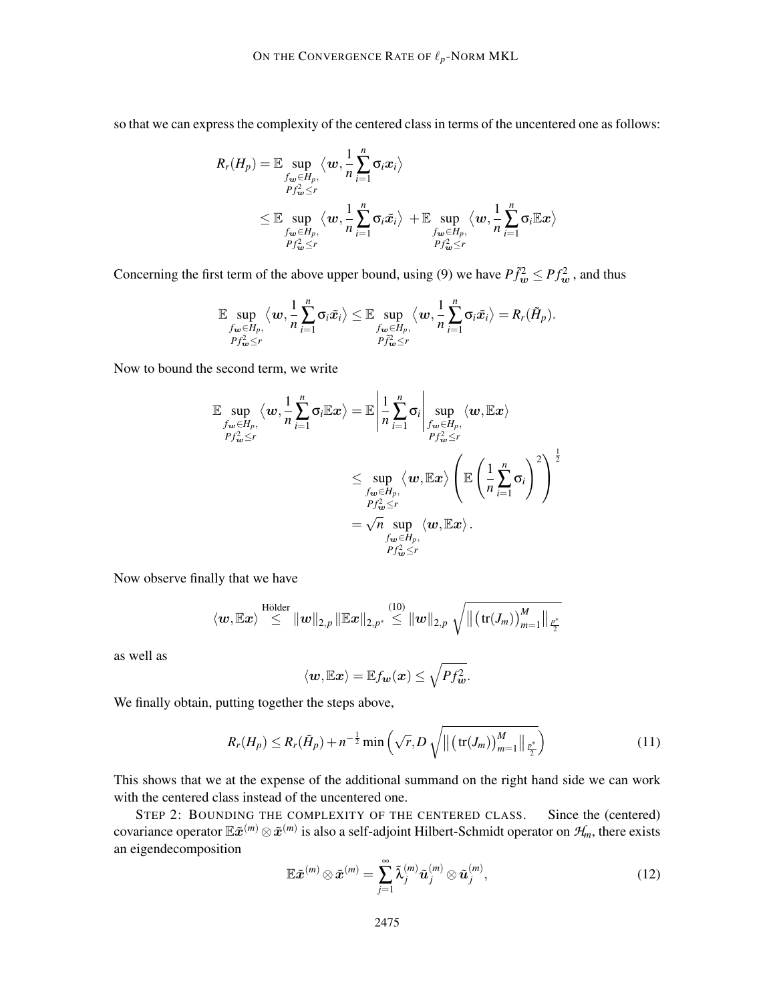so that we can express the complexity of the centered class in terms of the uncentered one as follows:

$$
R_r(H_p) = \mathbb{E} \sup_{\substack{f_w \in H_p, \\Pf_w^2 \le r}} \langle w, \frac{1}{n} \sum_{i=1}^n \sigma_i x_i \rangle
$$
  

$$
\le \mathbb{E} \sup_{\substack{f_w \in H_p, \\Pf_w^2 \le r}} \langle w, \frac{1}{n} \sum_{i=1}^n \sigma_i \tilde{x}_i \rangle + \mathbb{E} \sup_{\substack{f_w \in H_p, \\Pf_w^2 \le r}} \langle w, \frac{1}{n} \sum_{i=1}^n \sigma_i \mathbb{E} x \rangle
$$

Concerning the first term of the above upper bound, using (9) we have  $P\tilde{f}_w^2 \leq P f_w^2$ , and thus

$$
\mathbb{E}\sup_{\substack{f_{\boldsymbol{w}}\in H_p,\\Pf_{\boldsymbol{w}}^2\leq r}}\big\langle \boldsymbol{w},\frac{1}{n}\sum_{i=1}^n\sigma_i\tilde{x}_i\big\rangle\leq \mathbb{E}\sup_{\substack{f_{\boldsymbol{w}}\in H_p,\\Pf_{\boldsymbol{w}}^2\leq r}}\big\langle \boldsymbol{w},\frac{1}{n}\sum_{i=1}^n\sigma_i\tilde{x}_i\big\rangle=R_r(\tilde{H}_p).
$$

Now to bound the second term, we write

$$
\mathbb{E} \sup_{\substack{f_w \in H_p, \\P f_w \le r}} \langle w, \frac{1}{n} \sum_{i=1}^n \sigma_i \mathbb{E} x \rangle = \mathbb{E} \left| \frac{1}{n} \sum_{i=1}^n \sigma_i \right| \sup_{\substack{f_w \in H_p, \\P f_w \le r}} \langle w, \mathbb{E} x \rangle \left( \mathbb{E} \left( \frac{1}{n} \sum_{i=1}^n \sigma_i \right)^2 \right)^{\frac{1}{2}}
$$
\n
$$
\le \sup_{\substack{f_w \in H_p, \\P f_w \le r}} \langle w, \mathbb{E} x \rangle \left( \mathbb{E} \left( \frac{1}{n} \sum_{i=1}^n \sigma_i \right)^2 \right)^{\frac{1}{2}}
$$
\n
$$
= \sqrt{n} \sup_{\substack{f_w \in H_p, \\P f_w \le r}} \langle w, \mathbb{E} x \rangle.
$$

Now observe finally that we have

$$
\left\langle\bm{w},\mathbb{E}\bm{x}\right\rangle\overset{\text{Hölder}}{\leq} \left\|\bm{w}\right\|_{2,p}\left\|\mathbb{E}\bm{x}\right\|_{2,p^*}\overset{(10)}{\leq} \left\|\bm{w}\right\|_{2,p}\sqrt{\left\|\left(\text{tr}(J_m)\right)_{m=1}^M\right\|_{\frac{p^*}{2}}}
$$

as well as

$$
\langle \boldsymbol{w}, \mathbb{E} \boldsymbol{x} \rangle = \mathbb{E} f_{\boldsymbol{w}}(\boldsymbol{x}) \leq \sqrt{P f_{\boldsymbol{w}}^2}.
$$

We finally obtain, putting together the steps above,

$$
R_r(H_p) \le R_r(\tilde{H}_p) + n^{-\frac{1}{2}} \min\left(\sqrt{r}, D\sqrt{\left\|\left(\text{tr}(J_m)\right)_{m=1}^M\right\|_{\frac{p^*}{2}}}\right) \tag{11}
$$

This shows that we at the expense of the additional summand on the right hand side we can work with the centered class instead of the uncentered one.

STEP 2: BOUNDING THE COMPLEXITY OF THE CENTERED CLASS. Since the (centered) covariance operator  $\mathbb{E} \tilde{\bm{x}}^{(m)} \otimes \tilde{\bm{x}}^{(m)}$  is also a self-adjoint Hilbert-Schmidt operator on  $\mathcal{H}_m$ , there exists an eigendecomposition

$$
\mathbb{E}\tilde{\boldsymbol{x}}^{(m)}\otimes\tilde{\boldsymbol{x}}^{(m)}=\sum_{j=1}^{\infty}\tilde{\lambda}_j^{(m)}\tilde{\boldsymbol{u}}_j^{(m)}\otimes\tilde{\boldsymbol{u}}_j^{(m)},
$$
\n(12)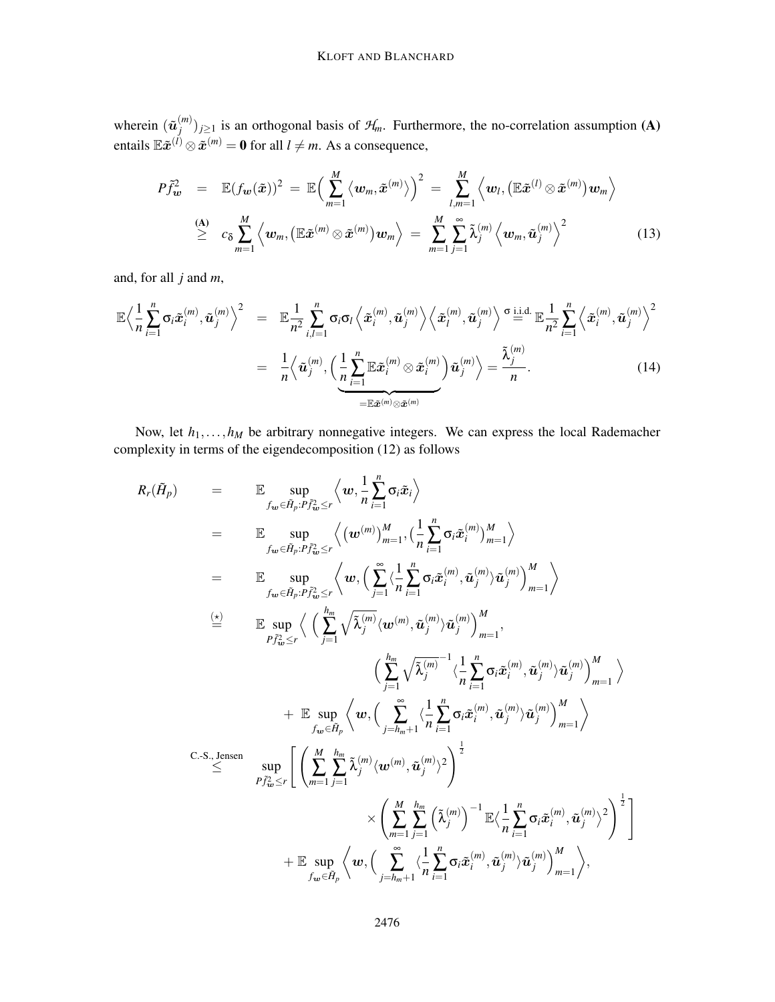wherein  $(\tilde{u}_i^{(m)})$  $\mathcal{F}_{j}^{(m)}$ )<sub>*j*≥1</sub> is an orthogonal basis of  $\mathcal{H}_{m}$ . Furthermore, the no-correlation assumption (A) entails  $\mathbb{E} \tilde{\boldsymbol{x}}^{(l)} \otimes \tilde{\boldsymbol{x}}^{(m)} = \mathbf{0}$  for all  $l \neq m$ . As a consequence,

$$
P\tilde{f}_{\boldsymbol{w}}^2 = \mathbb{E}(f_{\boldsymbol{w}}(\tilde{\boldsymbol{x}}))^2 = \mathbb{E}\Big(\sum_{m=1}^M \langle \boldsymbol{w}_m, \tilde{\boldsymbol{x}}^{(m)} \rangle \Big)^2 = \sum_{l,m=1}^M \langle \boldsymbol{w}_l, (\mathbb{E}\tilde{\boldsymbol{x}}^{(l)} \otimes \tilde{\boldsymbol{x}}^{(m)}) \boldsymbol{w}_m \rangle
$$
  
\n(A)  $c_{\delta} \sum_{m=1}^M \langle \boldsymbol{w}_m, (\mathbb{E}\tilde{\boldsymbol{x}}^{(m)} \otimes \tilde{\boldsymbol{x}}^{(m)}) \boldsymbol{w}_m \rangle = \sum_{m=1}^M \sum_{j=1}^\infty \tilde{\lambda}_j^{(m)} \langle \boldsymbol{w}_m, \tilde{\boldsymbol{u}}_j^{(m)} \rangle^2$  (13)

and, for all *j* and *m*,

$$
\mathbb{E}\Big\langle \frac{1}{n}\sum_{i=1}^{n} \sigma_{i}\tilde{\boldsymbol{x}}_{i}^{(m)}, \tilde{\boldsymbol{u}}_{j}^{(m)} \Big\rangle^{2} = \mathbb{E} \frac{1}{n^{2}} \sum_{i,l=1}^{n} \sigma_{i} \sigma_{l} \Big\langle \tilde{\boldsymbol{x}}_{i}^{(m)}, \tilde{\boldsymbol{u}}_{j}^{(m)} \Big\rangle \Big\langle \tilde{\boldsymbol{x}}_{l}^{(m)}, \tilde{\boldsymbol{u}}_{j}^{(m)} \Big\rangle \stackrel{\sigma \text{ i.i.d.}}{=} \mathbb{E} \frac{1}{n^{2}} \sum_{i=1}^{n} \Big\langle \tilde{\boldsymbol{x}}_{i}^{(m)}, \tilde{\boldsymbol{u}}_{j}^{(m)} \Big\rangle^{2} \n= \frac{1}{n} \Big\langle \tilde{\boldsymbol{u}}_{j}^{(m)}, \Big( \underbrace{\frac{1}{n} \sum_{i=1}^{n} \mathbb{E} \tilde{\boldsymbol{x}}_{i}^{(m)} \otimes \tilde{\boldsymbol{x}}_{i}^{(m)}}_{= \mathbb{E} \tilde{\boldsymbol{x}}^{(m)} \otimes \tilde{\boldsymbol{x}}^{(m)}} \Big) \tilde{\boldsymbol{u}}_{j}^{(m)} \Big\rangle = \frac{\tilde{\lambda}_{j}^{(m)}}{n}.
$$
\n(14)

Now, let  $h_1, \ldots, h_M$  be arbitrary nonnegative integers. We can express the local Rademacher complexity in terms of the eigendecomposition (12) as follows

$$
R_r(\tilde{H}_p) = \mathbb{E} \sup_{f_{\mathbf{w}} \in \tilde{H}_p : P_{f_{\mathbf{w}}^2 \le r}} \left\langle \mathbf{w}, \frac{1}{n} \sum_{i=1}^n \sigma_i \tilde{x}_i \right\rangle
$$
  
\n
$$
= \mathbb{E} \sup_{f_{\mathbf{w}} \in \tilde{H}_p : P_{f_{\mathbf{w}}^2 \le r}} \left\langle \mathbf{w}^{(m)} \right\rangle_{m=1}^M, \left\langle \frac{1}{n} \sum_{i=1}^n \sigma_i \tilde{x}_i^{(m)} \right\rangle_{m=1}^M \right\rangle
$$
  
\n
$$
= \mathbb{E} \sup_{f_{\mathbf{w}} \in \tilde{H}_p : P_{f_{\mathbf{w}}^2 \le r}} \left\langle \mathbf{w}, \left( \sum_{j=1}^\infty \left\langle \frac{1}{n} \sum_{i=1}^n \sigma_i \tilde{x}_i^{(m)}, \tilde{u}_j^{(m)} \right\rangle \tilde{u}_j^{(m)} \right\rangle_{m=1}^M \right\rangle
$$
  
\n
$$
\stackrel{\left(\frac{\mathbf{x}}{\sum_{i=1}^n} \sum_{j=1}^n \left\langle \tilde{u}_i^{(m)}, \left\langle \sum_{j=1}^n \left\langle \tilde{\lambda}_j^{(m)} \langle \mathbf{w}^{(m)}, \tilde{u}_j^{(m)} \right\rangle \tilde{u}_j^{(m)} \right\rangle_{m=1}^M \right\rangle}{\left\langle \sum_{j=1}^n \left\langle \tilde{\lambda}_j^{(m)} \right\rangle \tilde{u}_j^{(m)}, \tilde{u}_j^{(m)} \right\rangle \tilde{u}_j^{(m)} \right\rangle_{m=1}^M} \right\rangle}
$$
  
\n
$$
+ \mathbb{E} \sup_{f_{\mathbf{w}} \in \tilde{H}_p} \left\langle \mathbf{w}, \left( \sum_{j=h_m+1}^\infty \left\langle \frac{1}{n} \sum_{i=1}^n \sigma_i \tilde{x}_i^{(m)}, \tilde{u}_j^{(m)} \right\rangle \tilde{u}_j^{(m)} \right\rangle_{m=1}^M \right\rangle
$$
  
\nC-S., Jensen  
\n
$$
\le
$$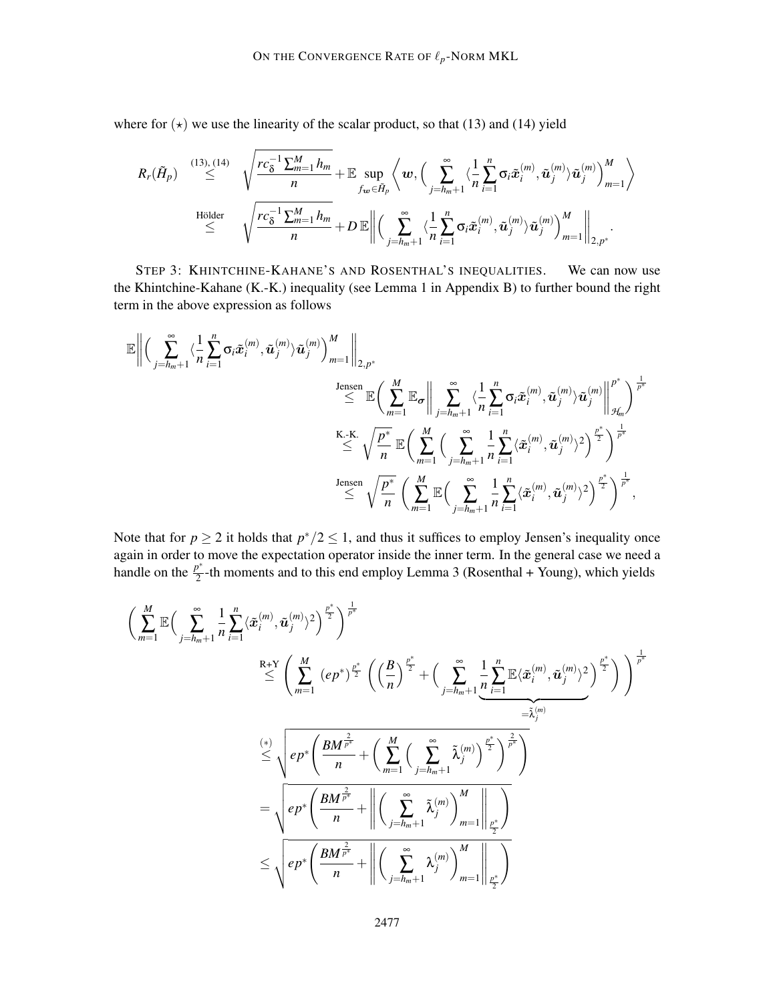where for  $(\star)$  we use the linearity of the scalar product, so that (13) and (14) yield

$$
R_r(\tilde{H}_p) \overset{(13),(14)}{\leq} \sqrt{\frac{rc_{\delta}^{-1}\sum_{m=1}^M h_m}{n}} + \mathbb{E}\sup_{f_{\boldsymbol{w}} \in \tilde{H}_p} \left\langle \boldsymbol{w}, \Big( \sum_{j=h_m+1}^{\infty} \langle \frac{1}{n} \sum_{i=1}^n \sigma_i \tilde{\boldsymbol{x}}_i^{(m)}, \tilde{\boldsymbol{u}}_j^{(m)} \rangle \tilde{\boldsymbol{u}}_j^{(m)} \Big) \right\rangle_{m=1}^M \right\rangle
$$
  
\nHölder  
\n
$$
\leq \sqrt{\frac{rc_{\delta}^{-1}\sum_{m=1}^M h_m}{n}} + D \mathbb{E} \left\| \Big( \sum_{j=h_m+1}^{\infty} \langle \frac{1}{n} \sum_{i=1}^n \sigma_i \tilde{\boldsymbol{x}}_i^{(m)}, \tilde{\boldsymbol{u}}_j^{(m)} \rangle \tilde{\boldsymbol{u}}_j^{(m)} \rangle \right)_{m=1}^M \right\|_{2,p^*}.
$$

STEP 3: KHINTCHINE-KAHANE'S AND ROSENTHAL'S INEQUALITIES. We can now use the Khintchine-Kahane (K.-K.) inequality (see Lemma 1 in Appendix B) to further bound the right term in the above expression as follows

$$
\begin{aligned} \mathbb{E}\bigg\|\Big(\sum_{j=h_m+1}^{\infty}\langle\frac{1}{n}\sum_{i=1}^{n}\sigma_i\tilde{\boldsymbol{x}}_i^{(m)},\tilde{\boldsymbol{u}}_j^{(m)}\rangle\tilde{\boldsymbol{u}}_j^{(m)}\Big)_{m=1}^M\bigg\|_{2,p^*} \\ & \qquad \leq \mathbb{E}\Big(\sum_{m=1}^M\mathbb{E}_{\boldsymbol{\sigma}}\bigg\|\sum_{j=h_m+1}^{\infty}\langle\frac{1}{n}\sum_{i=1}^{n}\sigma_i\tilde{\boldsymbol{x}}_i^{(m)},\tilde{\boldsymbol{u}}_j^{(m)}\rangle\tilde{\boldsymbol{u}}_j^{(m)}\bigg\|_{\mathcal{H}_m}^{p^*}\Big)^{\frac{1}{p^*}} \\ & \qquad \leq \sqrt{\frac{p^*}{n}}\,\mathbb{E}\Big(\sum_{m=1}^M\Big(\sum_{j=h_m+1}^{\infty}\sum_{n=1}^{\infty}\langle\tilde{\boldsymbol{x}}_i^{(m)},\tilde{\boldsymbol{u}}_j^{(m)}\rangle^2\Big)^{\frac{p^*}{2}}\Big)^{\frac{1}{p^*}} \\ & \qquad \leq \sqrt{\frac{p^*}{n}}\,\left(\sum_{m=1}^M\mathbb{E}\Big(\sum_{j=h_m+1}^{\infty}\sum_{n=1}^{\infty}\langle\tilde{\boldsymbol{x}}_i^{(m)},\tilde{\boldsymbol{u}}_j^{(m)}\rangle^2\Big)^{\frac{p^*}{2}}\right)^{\frac{1}{p^*}}, \end{aligned}
$$

Note that for  $p \ge 2$  it holds that  $p^*/2 \le 1$ , and thus it suffices to employ Jensen's inequality once again in order to move the expectation operator inside the inner term. In the general case we need a handle on the  $\frac{p^*}{2}$  $\frac{p}{2}$ -th moments and to this end employ Lemma 3 (Rosenthal + Young), which yields

$$
\begin{aligned} &\bigg(\sum_{m=1}^{M}\mathbb{E}\Big(\sum_{j=h_m+1}^{\infty}\frac{1}{n}\sum_{i=1}^{n}\langle \tilde{\boldsymbol{x}}_i^{(m)},\tilde{\boldsymbol{u}}_j^{(m)}\rangle^2\bigg)^{\frac{p^*}{2}}\bigg)^{\frac{1}{p^*}} \\ &\leq \Bigg(\sum_{m=1}^{R+Y}\left(e p^*\right)^{\frac{p^*}{2}}\left(\left(\frac{B}{n}\right)^{\frac{p^*}{2}}+\Big(\sum_{j=h_m+1}^{\infty}\frac{1}{n}\sum_{i=1}^{n}\mathbb{E}\langle \tilde{\boldsymbol{x}}_i^{(m)},\tilde{\boldsymbol{u}}_j^{(m)}\rangle^2\right)^{\frac{p^*}{2}}\Bigg)\Bigg)^{\frac{1}{p^*}} \\ &\leq \sqrt{e p^*\Bigg(\frac{BM^{\frac{2}{p^*}}}{n}+\Bigg(\sum_{m=1}^{M}\Big(\sum_{j=h_m+1}^{\infty}\tilde{\lambda}_j^{(m)}\Big)^{\frac{p^*}{2}}\Bigg)^{\frac{2}{p^*}}\Bigg)} \\ &=\sqrt{e p^*\Bigg(\frac{BM^{\frac{2}{p^*}}}{n}+\bigg\|\bigg(\sum_{j=h_m+1}^{\infty}\tilde{\lambda}_j^{(m)}\bigg)^{M}\bigg|_{m=1}^{\frac{2}{p^*}}\Bigg)} \\ &\leq \sqrt{e p^*\Bigg(\frac{BM^{\frac{2}{p^*}}}{n}+\bigg\|\bigg(\sum_{j=h_m+1}^{\infty}\tilde{\lambda}_j^{(m)}\bigg)^{M}\bigg|_{m=1}^{\frac{2}{p^*}}\Bigg) } \end{aligned}
$$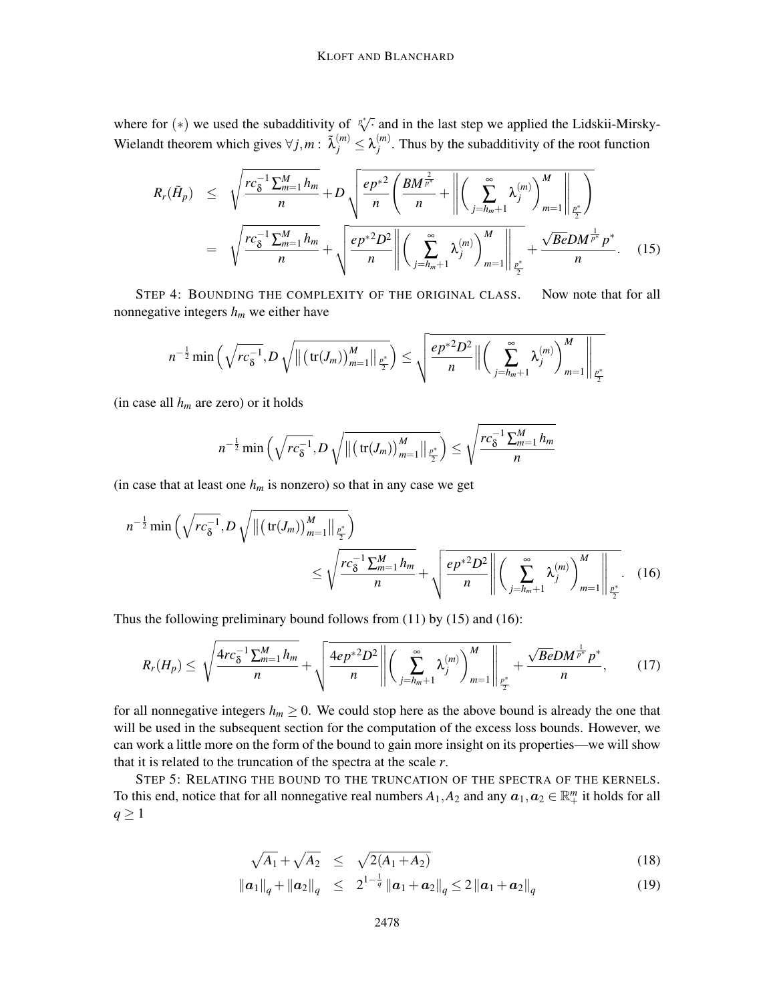where for (\*) we used the subadditivity of <sup>*p*√⋅</sup> and in the last step we applied the Lidskii-Mirsky-Wielandt theorem which gives  $\forall j, m : \tilde{\lambda}_j^{(m)} \leq \lambda_j^{(m)}$  $j^{(m)}$ . Thus by the subadditivity of the root function

$$
R_{r}(\tilde{H}_{p}) \leq \sqrt{\frac{rc_{\delta}^{-1}\sum_{m=1}^{M}h_{m}}{n}} + D \sqrt{\frac{ep^{*2}}{n}\left(\frac{BM^{\frac{2}{p^{*}}}}{n} + \left\|\left(\sum_{j=h_{m}+1}^{\infty}\lambda_{j}^{(m)}\right)\right\|_{m=1}^{M}\right\|_{\frac{p^{*}}{2}}}}{\left\|\left(\sum_{j=h_{m}+1}^{\infty}\lambda_{j}^{(m)}\right)\right\|_{m=1}^{M}} + \sqrt{\frac{re_{\delta}^{-1}\sum_{m=1}^{M}h_{m}}{n}} + \sqrt{\frac{ep^{*2}D^{2}}{n}\left\|\left(\sum_{j=h_{m}+1}^{\infty}\lambda_{j}^{(m)}\right)\right\|_{m=1}^{M}} + \frac{\sqrt{Be}DM^{\frac{1}{p^{*}}}p^{*}}{n}}.
$$
 (15)

STEP 4: BOUNDING THE COMPLEXITY OF THE ORIGINAL CLASS. Now note that for all nonnegative integers *h<sup>m</sup>* we either have

$$
n^{-\frac{1}{2}}\min\left(\sqrt{rc_{\delta}^{-1}}, D\sqrt{\|\big(\text{tr}(J_m)\big)_{m=1}^M\|_{\frac{p^*}{2}}}\right) \leq \sqrt{\frac{ep^{*2}D^2}{n}\|\big(\sum_{j=h_m+1}^{\infty}\lambda_j^{(m)}\big)_{m=1}^M\|_{\frac{p^*}{2}}}
$$

(in case all *h<sup>m</sup>* are zero) or it holds

$$
n^{-\frac{1}{2}}\min\left(\sqrt{rc_{\delta}^{-1}}, D\sqrt{\left\|\left(\text{tr}(J_m)\right)_{m=1}^{M}\right\|_{\frac{p^*}{2}}}\right) \leq \sqrt{\frac{rc_{\delta}^{-1}\sum_{m=1}^{M}h_m}{n}}
$$

(in case that at least one  $h_m$  is nonzero) so that in any case we get

$$
n^{-\frac{1}{2}}\min\left(\sqrt{rc_{\delta}^{-1}}, D\sqrt{\left\|\left(\text{tr}(J_m)\right)_{m=1}^{M}\right\|_{\frac{p^*}{2}}}\right) \leq \sqrt{\frac{rc_{\delta}^{-1}\sum_{m=1}^{M}h_m}{n}} + \sqrt{\frac{ep^{*2}D^2}{n}\left\|\left(\sum_{j=h_m+1}^{\infty}\lambda_j^{(m)}\right)_{m=1}^{M}\right\|_{\frac{p^*}{2}}}.
$$
 (16)

Thus the following preliminary bound follows from (11) by (15) and (16):

$$
R_r(H_p) \leq \sqrt{\frac{4rc_{\delta}^{-1}\sum_{m=1}^{M}h_m}{n}} + \sqrt{\frac{4ep^{*2}D^2}{n}\left\|\left(\sum_{j=h_m+1}^{\infty}\lambda_j^{(m)}\right)_{m=1}^M\right\|_{\frac{p^*}{2}}} + \frac{\sqrt{Be}DM^{\frac{1}{p^*}}p^*}{n},\qquad(17)
$$

for all nonnegative integers  $h_m \geq 0$ . We could stop here as the above bound is already the one that will be used in the subsequent section for the computation of the excess loss bounds. However, we can work a little more on the form of the bound to gain more insight on its properties—we will show that it is related to the truncation of the spectra at the scale *r*.

STEP 5: RELATING THE BOUND TO THE TRUNCATION OF THE SPECTRA OF THE KERNELS. To this end, notice that for all nonnegative real numbers  $A_1$ ,  $A_2$  and any  $a_1$ ,  $a_2 \in \mathbb{R}^m_+$  it holds for all  $q \geq 1$ 

$$
\sqrt{A_1} + \sqrt{A_2} \le \sqrt{2(A_1 + A_2)} \tag{18}
$$

$$
\|\bm{a}_1\|_q + \|\bm{a}_2\|_q \leq 2^{1-\frac{1}{q}} \|\bm{a}_1 + \bm{a}_2\|_q \leq 2 \|\bm{a}_1 + \bm{a}_2\|_q
$$
\n(19)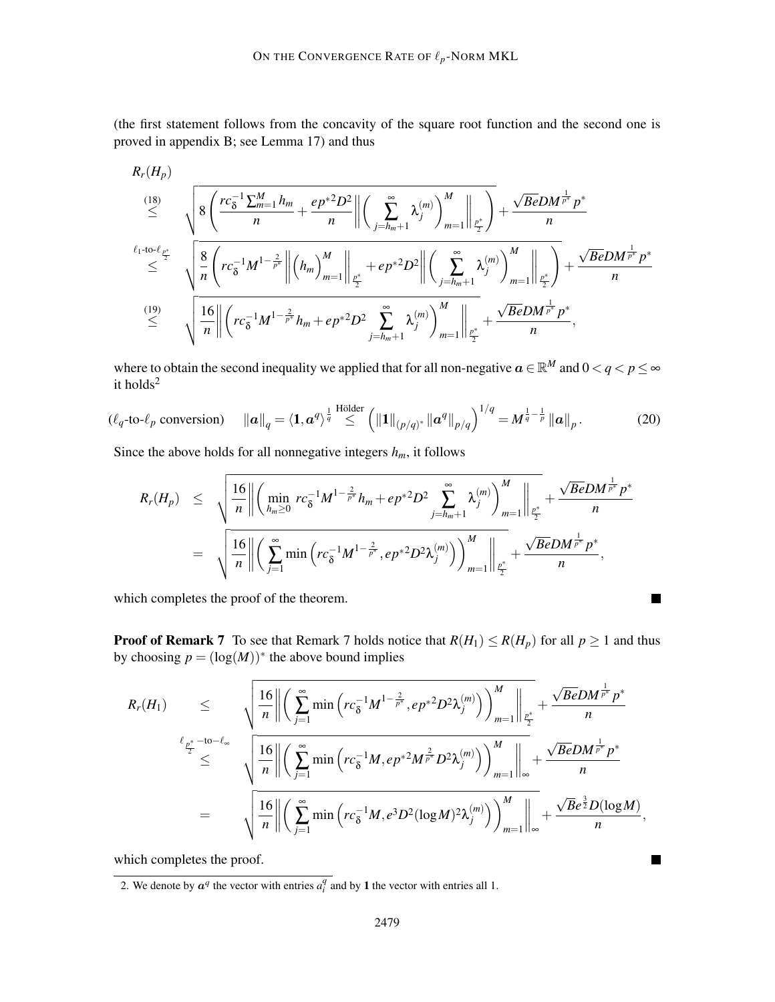(the first statement follows from the concavity of the square root function and the second one is proved in appendix B; see Lemma 17) and thus

$$
\begin{array}{lll}\nR_r(H_p) & & & & & \\
\stackrel{(18)}{\leq} & \sqrt{8\left(\frac{rc_0^{-1}\sum_{m=1}^M h_m}{n} + \frac{ep^{*2}D^2}{n}\right)\left(\sum_{j=h_m+1}^{\infty}\lambda_j^{(m)}\right)^M m=1\Big|\Big|\frac{1}{p^*}\Big|} + \frac{\sqrt{Be}DM^{\frac{1}{p^*}}p^*}{n} \\
& & & & & \\
\stackrel{\ell_1\text{-to-}\ell_{p^*}}{\leq} & \sqrt{\frac{8}{n}\left(rc_0^{-1}M^{1-\frac{2}{p^*}}\right\|(h_m)\big|_{m=1}^M\Big|\Big|\frac{1}{p^*} + ep^{*2}D^2\Big|\Big|\Big(\sum_{j=h_m+1}^{\infty}\lambda_j^{(m)}\Big)\Big|^M m=1\Big|\Big|\frac{1}{p^*}\Big|} + \frac{\sqrt{Be}DM^{\frac{1}{p^*}}p^*}{n} \\
& & & & & \\
\stackrel{(19)}{\leq} & \sqrt{\frac{16}{n}\Big|\Big|\Big(rc_0^{-1}M^{1-\frac{2}{p^*}}h_m+ep^{*2}D^2\sum_{j=h_m+1}^{\infty}\lambda_j^{(m)}\Big)\Big|^M m=1\Big|\Big|\frac{1}{p^*}\Big|} + \frac{\sqrt{Be}DM^{\frac{1}{p^*}}p^*}{n},\n\end{array}
$$

where to obtain the second inequality we applied that for all non-negative  $a \in \mathbb{R}^M$  and  $0 < q < p \le \infty$ it holds<sup>2</sup>

$$
(\ell_q \text{-to-}\ell_p \text{ conversion}) \quad \|\boldsymbol{a}\|_q = \langle \mathbf{1}, \boldsymbol{a}^q \rangle^{\frac{1}{q}} \stackrel{\text{Hölder}}{\leq} \left( \|\mathbf{1}\|_{(p/q)^*} \|\boldsymbol{a}^q\|_{p/q} \right)^{1/q} = M^{\frac{1}{q} - \frac{1}{p}} \|\boldsymbol{a}\|_p. \tag{20}
$$

Since the above holds for all nonnegative integers  $h_m$ , it follows

$$
R_r(H_p) \leq \sqrt{\frac{16}{n} \left\| \left( \min_{h_m \geq 0} rc_{\delta}^{-1} M^{1-\frac{2}{p^*}} h_m + ep^{*2} D^2 \sum_{j=h_m+1}^{\infty} \lambda_j^{(m)} \right)_{m=1}^M \right\|_{\frac{p^*}{2}}} + \frac{\sqrt{Be} DM^{\frac{1}{p^*}} p^*}{n}
$$
  
=  $\sqrt{\frac{16}{n} \left\| \left( \sum_{j=1}^{\infty} \min \left( rc_{\delta}^{-1} M^{1-\frac{2}{p^*}}, ep^{*2} D^2 \lambda_j^{(m)} \right) \right)_{m=1}^M \right\|_{\frac{p^*}{2}}} + \frac{\sqrt{Be} DM^{\frac{1}{p^*}} p^*}{n},$ 

which completes the proof of the theorem.

**Proof of Remark 7** To see that Remark 7 holds notice that  $R(H_1) \le R(H_p)$  for all  $p \ge 1$  and thus by choosing  $p = (\log(M))^*$  the above bound implies

 $\blacksquare$ 

 $\blacksquare$ 

$$
R_r(H_1) \leq \sqrt{\frac{16}{n} \left\| \left( \sum_{j=1}^{\infty} \min \left( r c_{\delta}^{-1} M^{1-\frac{2}{p^*}}, e p^{*2} D^2 \lambda_j^{(m)} \right) \right)_{m=1}^M \right\|_{\frac{p^*}{2}}} + \frac{\sqrt{Be} D M^{\frac{1}{p^*}} p^*}{n}
$$
  

$$
\leq \sqrt{\frac{16}{n} \left\| \left( \sum_{j=1}^{\infty} \min \left( r c_{\delta}^{-1} M, e p^{*2} M^{\frac{2}{p^*}} D^2 \lambda_j^{(m)} \right) \right)_{m=1}^M \right\|_{\infty}} + \frac{\sqrt{Be} D M^{\frac{1}{p^*}} p^*}{n}
$$
  

$$
= \sqrt{\frac{16}{n} \left\| \left( \sum_{j=1}^{\infty} \min \left( r c_{\delta}^{-1} M, e^3 D^2 (\log M)^2 \lambda_j^{(m)} \right) \right)_{m=1}^M \right\|_{\infty}} + \frac{\sqrt{Be} D M^{\frac{1}{p^*}} p^*}{n},
$$

which completes the proof.

<sup>2.</sup> We denote by  $a^q$  the vector with entries  $a_i^q$  and by 1 the vector with entries all 1.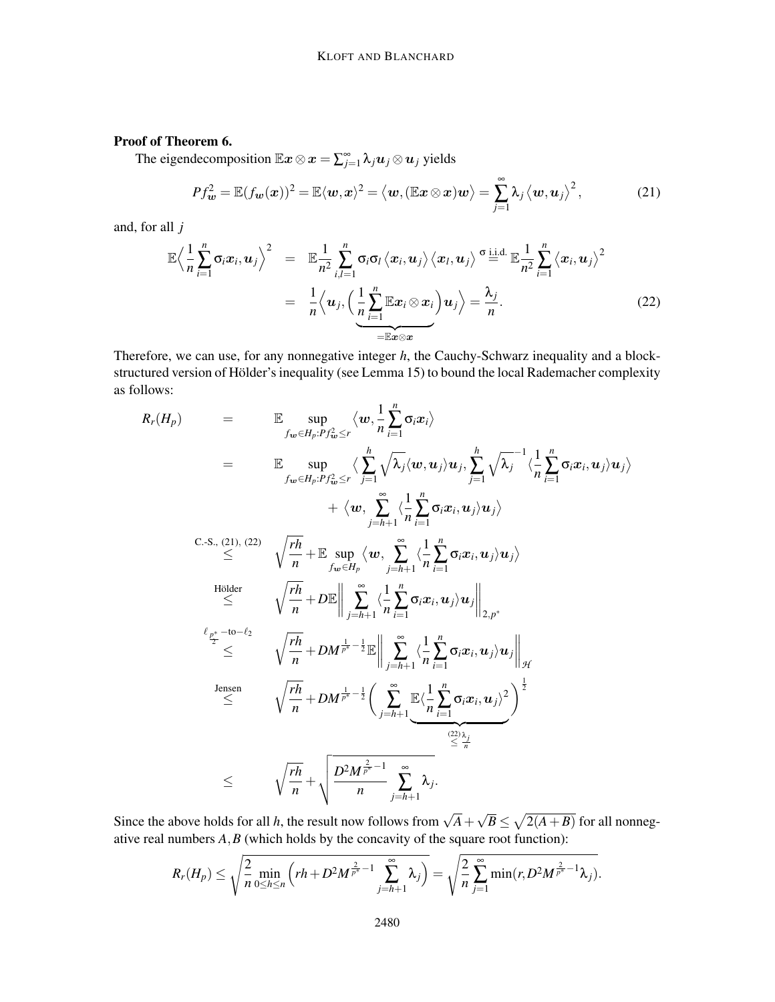### Proof of Theorem 6.

The eigendecomposition  $\mathbb{E} \bm{x} \otimes \bm{x} = \sum_{j=1}^{\infty} \lambda_j \bm{u}_j \otimes \bm{u}_j$  yields

$$
Pf_{\boldsymbol{w}}^2 = \mathbb{E}(f_{\boldsymbol{w}}(\boldsymbol{x}))^2 = \mathbb{E}\langle \boldsymbol{w}, \boldsymbol{x}\rangle^2 = \langle \boldsymbol{w}, (\mathbb{E}\boldsymbol{x}\otimes\boldsymbol{x})\boldsymbol{w}\rangle = \sum_{j=1}^{\infty} \lambda_j \langle \boldsymbol{w}, \boldsymbol{u}_j\rangle^2, \qquad (21)
$$

and, for all *j*

$$
\mathbb{E}\left\langle \frac{1}{n}\sum_{i=1}^{n}\sigma_{i}x_{i}, u_{j} \right\rangle^{2} = \mathbb{E}\frac{1}{n^{2}}\sum_{i,l=1}^{n}\sigma_{i}\sigma_{l}\left\langle x_{i}, u_{j} \right\rangle \left\langle x_{l}, u_{j} \right\rangle^{\sigma} \stackrel{\text{i.i.d.}}{=} \mathbb{E}\frac{1}{n^{2}}\sum_{i=1}^{n}\left\langle x_{i}, u_{j} \right\rangle^{2}
$$
\n
$$
= \frac{1}{n}\left\langle u_{j}, \left( \frac{1}{n}\sum_{i=1}^{n}\mathbb{E}x_{i} \otimes x_{i} \right)u_{j} \right\rangle = \frac{\lambda_{j}}{n}.
$$
\n(22)

Therefore, we can use, for any nonnegative integer *h*, the Cauchy-Schwarz inequality and a blockstructured version of Hölder's inequality (see Lemma 15) to bound the local Rademacher complexity as follows:

$$
R_r(H_p) = \mathbb{E} \sup_{f_{\mathbf{w}} \in H_p: P_{f_{\mathbf{w}}^2} \subseteq r} \langle \mathbf{w}, \frac{1}{n} \sum_{i=1}^n \sigma_i x_i \rangle
$$
  
\n
$$
= \mathbb{E} \sup_{f_{\mathbf{w}} \in H_p: P_{f_{\mathbf{w}}^2} \subseteq r} \langle \sum_{j=1}^h \sqrt{\lambda_j} \langle \mathbf{w}, \mathbf{u}_j \rangle \mathbf{u}_j, \sum_{j=1}^h \sqrt{\lambda_j}^{-1} \langle \frac{1}{n} \sum_{i=1}^n \sigma_i x_i, \mathbf{u}_j \rangle \mathbf{u}_j \rangle
$$
  
\n
$$
+ \langle \mathbf{w}, \sum_{j=h+1}^n \langle \frac{1}{n} \sum_{i=1}^n \sigma_i x_i, \mathbf{u}_j \rangle \mathbf{u}_j \rangle
$$
  
\nC-S., (21), (22)  
\n
$$
\leq \sqrt{\frac{rh}{n}} + \mathbb{E} \sup_{f_{\mathbf{w}} \in H_p} \langle \mathbf{w}, \sum_{j=h+1}^{\infty} \langle \frac{1}{n} \sum_{i=1}^n \sigma_i x_i, \mathbf{u}_j \rangle \mathbf{u}_j \rangle
$$
  
\nHölder  
\n
$$
\leq \sqrt{\frac{rh}{n}} + D \mathbb{E} \Big\| \sum_{j=h+1}^{\infty} \langle \frac{1}{n} \sum_{i=1}^n \sigma_i x_i, \mathbf{u}_j \rangle \mathbf{u}_j \Big\|_{2,p^*}
$$
  
\n
$$
\ell_{\frac{p^*}{2}} \leq \sqrt{\frac{rh}{n}} + DM^{\frac{1}{p^*} - \frac{1}{2}} \mathbb{E} \Big\| \sum_{j=h+1}^{\infty} \langle \frac{1}{n} \sum_{i=1}^n \sigma_i x_i, \mathbf{u}_j \rangle \mathbf{u}_j \Big\|_{\mathcal{H}}
$$
  
\nJensen  
\n
$$
\leq \sqrt{\frac{rh}{n}} + DM^{\frac{1}{p^*} - \frac{1}{2}} \Big( \sum_{j=h+1}^{\infty} \mathbb{E} \langle \frac{1}{n} \sum_{i=1}^n \sigma_i x_i, \mathbf{u}_j \
$$

Since the above holds for all *h*, the result now follows from  $\sqrt{A} + \sqrt{B} \le \sqrt{2(A+B)}$  for all nonnegative real numbers *A*,*B* (which holds by the concavity of the square root function):

$$
R_r(H_p) \leq \sqrt{\frac{2}{n} \min_{0 \leq h \leq n} \left(r h + D^2 M^{\frac{2}{p^*}-1} \sum_{j=h+1}^{\infty} \lambda_j\right)} = \sqrt{\frac{2}{n} \sum_{j=1}^{\infty} \min(r, D^2 M^{\frac{2}{p^*}-1} \lambda_j)}.
$$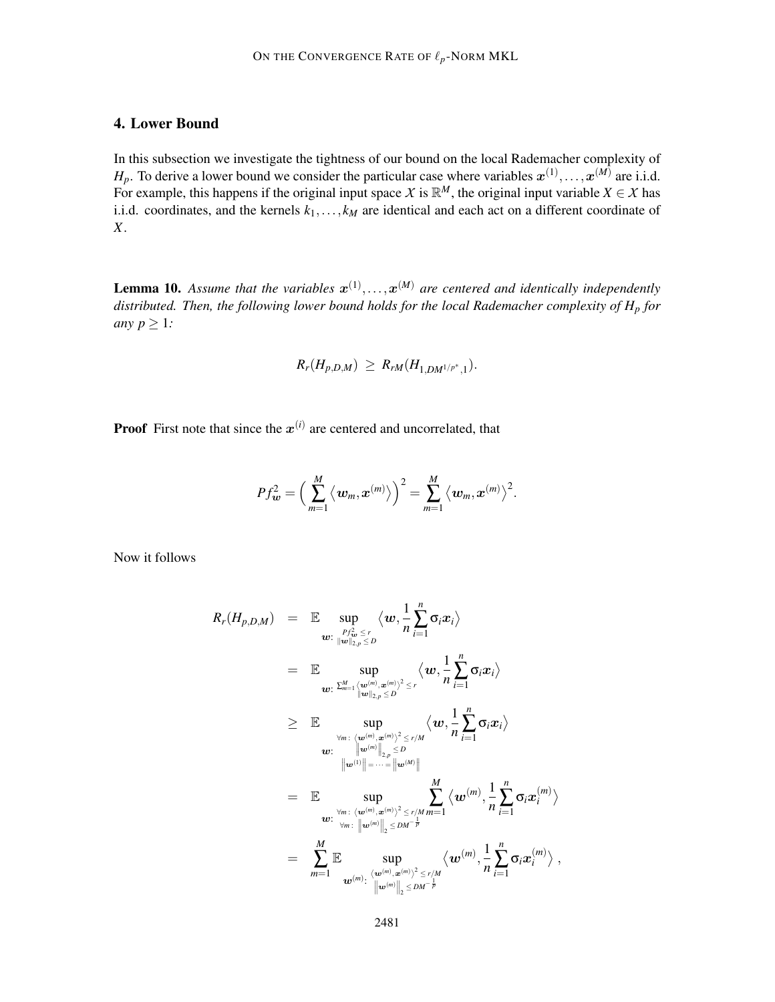# 4. Lower Bound

In this subsection we investigate the tightness of our bound on the local Rademacher complexity of  $H_p$ . To derive a lower bound we consider the particular case where variables  $x^{(1)},...,x^{(M)}$  are i.i.d. For example, this happens if the original input space *X* is  $\mathbb{R}^M$ , the original input variable *X*  $\in$  *X* has i.i.d. coordinates, and the kernels  $k_1, \ldots, k_M$  are identical and each act on a different coordinate of *X*.

**Lemma 10.** Assume that the variables  $x^{(1)},...,x^{(M)}$  are centered and identically independently *distributed. Then, the following lower bound holds for the local Rademacher complexity of H<sup>p</sup> for any*  $p \geq 1$ *:* 

$$
R_r(H_{p,D,M}) \geq R_{rM}(H_{1,DM^{1/p^*},1}).
$$

**Proof** First note that since the  $x^{(i)}$  are centered and uncorrelated, that

$$
Pf_{\boldsymbol{w}}^2 = \Big(\sum_{m=1}^M \big\langle \boldsymbol{w}_m, \boldsymbol{x}^{(m)} \big\rangle \Big)^2 = \sum_{m=1}^M \big\langle \boldsymbol{w}_m, \boldsymbol{x}^{(m)} \big\rangle^2.
$$

Now it follows

$$
R_r(H_{p,D,M}) = \mathbb{E} \sup_{\substack{w:\frac{Pf_w^2 \leq r}{\|w\|_{2,p} \leq D}}} \langle w, \frac{1}{n} \sum_{i=1}^n \sigma_i x_i \rangle
$$
  
\n
$$
= \mathbb{E} \sup_{\substack{w:\sum_{m=1}^M \langle w^{(m)}, x^{(m)} \rangle^2 \leq r \\ \|w\|_{2,p} \leq D}} \langle w, \frac{1}{n} \sum_{i=1}^n \sigma_i x_i \rangle
$$
  
\n
$$
\geq \mathbb{E} \sup_{\substack{\forall m:\ \langle w^{(m)}, x^{(m)} \rangle^2 \leq r/M \\ \|w^{(m)}\|_{2,p} \leq D}} \langle w, \frac{1}{n} \sum_{i=1}^n \sigma_i x_i \rangle
$$
  
\n
$$
w: \lim_{\|w^{(1)}\| = \dots = \|w^{(M)}\|}
$$
  
\n
$$
= \mathbb{E} \sup_{\substack{\forall m:\ \langle w^{(m)}, x^{(m)} \rangle^2 \leq r/M \\ w: \ \forall m:\ \|w^{(m)}\|_2 \leq DM^{-\frac{1}{p}}}} \sum_{i=1}^M \langle w^{(m)}, \frac{1}{n} \sum_{i=1}^n \sigma_i x_i^{(m)} \rangle
$$
  
\n
$$
= \sum_{m=1}^M \mathbb{E} \sup_{\substack{w^{(m)}, w^{(m)} \rangle^2 \leq r/M \\ \|w^{(m)}\|_2 \leq DM^{-\frac{1}{p}}}} \langle w^{(m)}, \frac{1}{n} \sum_{i=1}^n \sigma_i x_i^{(m)} \rangle,
$$

,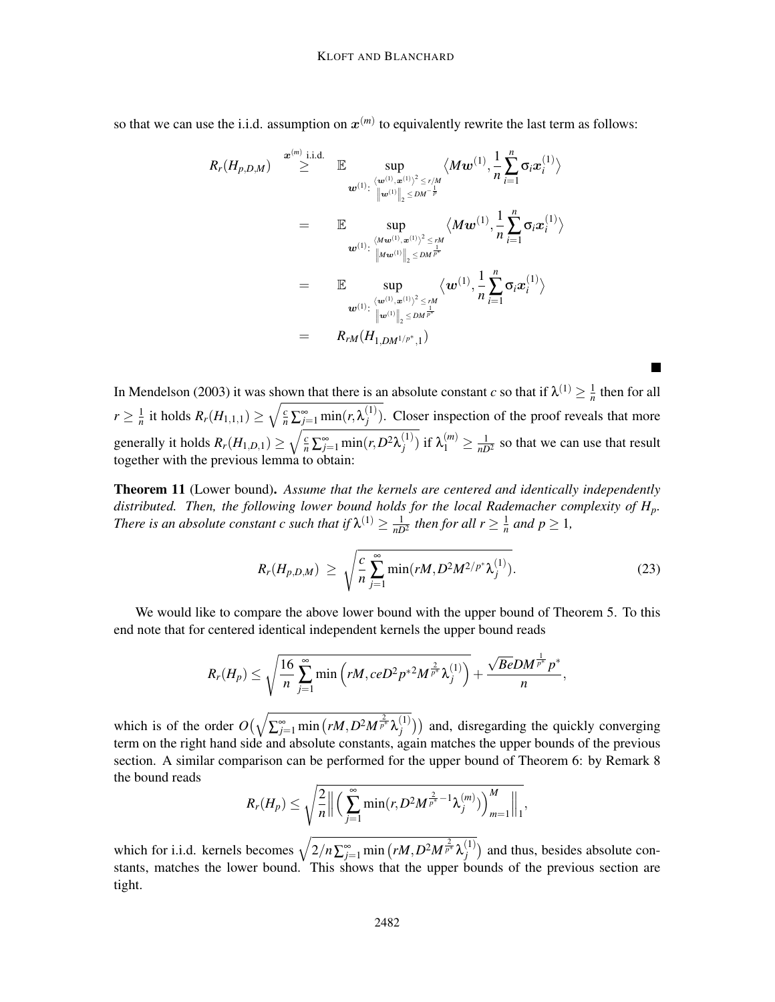so that we can use the i.i.d. assumption on  $x^{(m)}$  to equivalently rewrite the last term as follows:

$$
R_r(H_{p,D,M}) \overset{\mathbf{x}^{(m)} \text{ i.i.d.}}{\geq} \mathbb{E} \underset{\mathbf{w}^{(1)} \colon \langle \mathbf{w}^{(1)}, \mathbf{x}^{(1)} \rangle^2 \leq r/M}{\sup} \langle M\mathbf{w}^{(1)}, \frac{1}{n} \sum_{i=1}^n \sigma_i \mathbf{x}_i^{(1)} \rangle
$$
\n
$$
= \mathbb{E} \underset{\mathbf{w}^{(1)} \colon \langle M\mathbf{w}^{(1)}, \mathbf{x}^{(1)} \rangle^2 \leq rM}{\sup} \langle M\mathbf{w}^{(1)}, \frac{1}{n} \sum_{i=1}^n \sigma_i \mathbf{x}_i^{(1)} \rangle
$$
\n
$$
= \mathbb{E} \underset{\mathbf{w}^{(1)} \colon \langle \mathbf{w}^{(1)}, \mathbf{x}^{(1)} \rangle^2 \leq rM}{\sup} \langle \mathbf{w}^{(1)}, \frac{1}{n} \sum_{i=1}^n \sigma_i \mathbf{x}_i^{(1)} \rangle
$$
\n
$$
= \mathbb{E} \underset{\mathbf{w}^{(1)} \colon \langle \mathbf{w}^{(1)}, \mathbf{x}^{(1)} \rangle^2 \leq rM}{\sup} \langle \mathbf{w}^{(1)}, \frac{1}{n} \sum_{i=1}^n \sigma_i \mathbf{x}_i^{(1)} \rangle
$$
\n
$$
= \underset{\mathbf{w}^{(1)} \colon \langle \mathbf{w}^{(1)}, \mathbf{w}^{(1)} \rangle^2 \leq rM}{\sup} \langle \mathbf{w}^{(1)}, \frac{1}{n} \sum_{i=1}^n \sigma_i \mathbf{x}_i^{(1)} \rangle
$$

In Mendelson (2003) it was shown that there is an absolute constant *c* so that if  $\lambda^{(1)} \geq \frac{1}{n}$  $\frac{1}{n}$  then for all  $r \geq \frac{1}{n}$  $\frac{1}{n}$  it holds  $R_r(H_{1,1,1}) \ge \sqrt{\frac{c}{n} \sum_{j=1}^{\infty} \min(r, \lambda_j^{(1)})}$  $j_j^{(1)}$ ). Closer inspection of the proof reveals that more generally it holds  $R_r(H_{1,D,1}) \ge \sqrt{\frac{c}{n} \sum_{j=1}^{\infty} \min(r, D^2 \lambda_j^{(1)})}$  $\binom{1}{j}$  if  $\lambda_1^{(m)} \ge \frac{1}{nD^2}$  so that we can use that result together with the previous lemma to obtain:

Theorem 11 (Lower bound). *Assume that the kernels are centered and identically independently distributed. Then, the following lower bound holds for the local Rademacher complexity of Hp. There is an absolute constant c such that if*  $\lambda^{(1)} \geq \frac{1}{nD^2}$  *then for all*  $r \geq \frac{1}{n}$  $\frac{1}{n}$  *and*  $p \geq 1$ *,* 

$$
R_r(H_{p,D,M}) \ge \sqrt{\frac{c}{n} \sum_{j=1}^{\infty} \min(rM, D^2 M^{2/p^*} \lambda_j^{(1)})}.
$$
 (23)

We would like to compare the above lower bound with the upper bound of Theorem 5. To this end note that for centered identical independent kernels the upper bound reads

$$
R_r(H_p)\leq \sqrt{\frac{16}{n}\sum_{j=1}^\infty \min\left(rM,ceD^2p^{*2}M^{\frac{2}{p^*}}\lambda_j^{(1)}\right)}+\frac{\sqrt{Be}DM^{\frac{1}{p^*}}p^*}{n},
$$

which is of the order  $O(\sqrt{\sum_{j=1}^{\infty} \min (rM, D^2M^{\frac{2}{p^*}}\lambda_j^{(1)}}))$  $\binom{1}{j}$ ) and, disregarding the quickly converging term on the right hand side and absolute constants, again matches the upper bounds of the previous section. A similar comparison can be performed for the upper bound of Theorem 6: by Remark 8 the bound reads

$$
R_r(H_p) \leq \sqrt{\frac{2}{n} \left\| \left( \sum_{j=1}^{\infty} \min(r, D^2 M^{\frac{2}{p^*}-1} \lambda_j^{(m)}) \right)_{m=1}^M \right\|_1},
$$

which for i.i.d. kernels becomes  $\sqrt{2/n\sum_{j=1}^{\infty} \min (rM, D^2M^{\frac{2}{p^*}}\lambda_j^{(1)}}$  $j^{(1)}$  and thus, besides absolute constants, matches the lower bound. This shows that the upper bounds of the previous section are tight.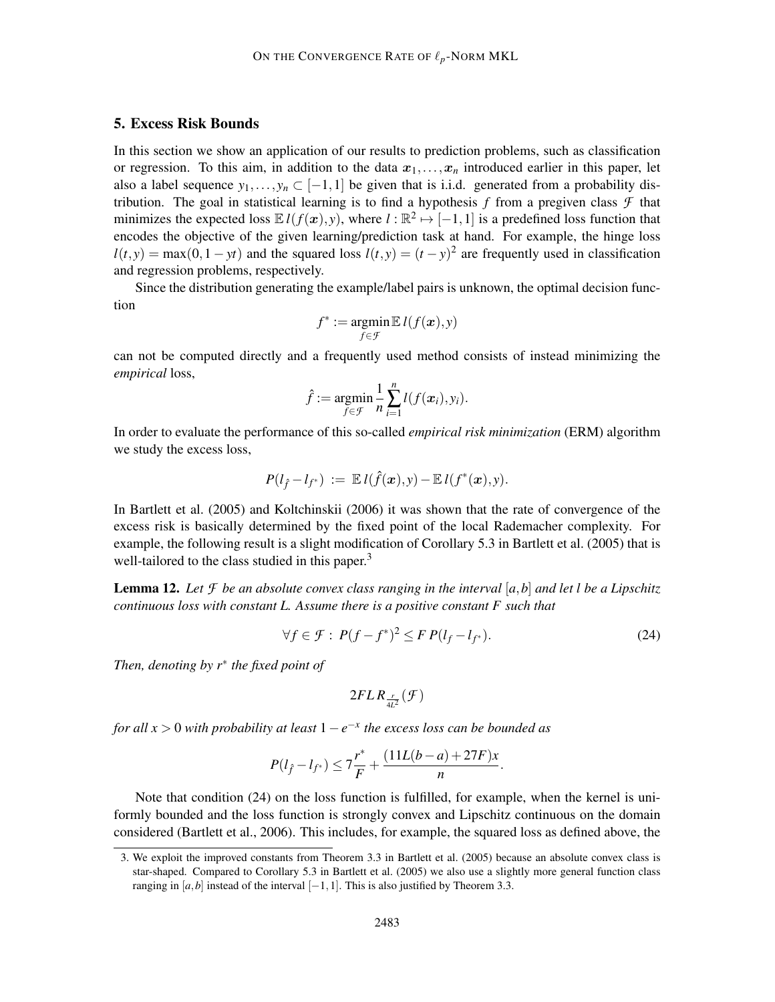### 5. Excess Risk Bounds

In this section we show an application of our results to prediction problems, such as classification or regression. To this aim, in addition to the data  $x_1, \ldots, x_n$  introduced earlier in this paper, let also a label sequence  $y_1, \ldots, y_n \subset [-1,1]$  be given that is i.i.d. generated from a probability distribution. The goal in statistical learning is to find a hypothesis  $f$  from a pregiven class  $\mathcal F$  that minimizes the expected loss  $\mathbb{E} l(f(x), y)$ , where  $l : \mathbb{R}^2 \mapsto [-1, 1]$  is a predefined loss function that encodes the objective of the given learning/prediction task at hand. For example, the hinge loss  $l(t, y) = \max(0, 1 - yt)$  and the squared loss  $l(t, y) = (t - y)^2$  are frequently used in classification and regression problems, respectively.

Since the distribution generating the example/label pairs is unknown, the optimal decision function

$$
f^* := \operatornamewithlimits{argmin}_{f \in \mathcal{F}} \mathbb{E}\, l(f(\boldsymbol{x}),y)
$$

can not be computed directly and a frequently used method consists of instead minimizing the *empirical* loss,

$$
\hat{f} := \underset{f \in \mathcal{F}}{\operatorname{argmin}} \frac{1}{n} \sum_{i=1}^n l(f(\boldsymbol{x}_i), y_i).
$$

In order to evaluate the performance of this so-called *empirical risk minimization* (ERM) algorithm we study the excess loss,

$$
P(l_{\hat{f}}-l_{f^*}) := \mathbb{E} l(\hat{f}(\bm{x}),y) - \mathbb{E} l(f^*(\bm{x}),y).
$$

In Bartlett et al. (2005) and Koltchinskii (2006) it was shown that the rate of convergence of the excess risk is basically determined by the fixed point of the local Rademacher complexity. For example, the following result is a slight modification of Corollary 5.3 in Bartlett et al. (2005) that is well-tailored to the class studied in this paper.<sup>3</sup>

**Lemma 12.** Let  $\mathcal F$  be an absolute convex class ranging in the interval  $[a,b]$  and let l be a Lipschitz *continuous loss with constant L. Assume there is a positive constant F such that*

$$
\forall f \in \mathcal{F}: P(f - f^*)^2 \leq FP(l_f - l_{f^*}).\tag{24}
$$

*Then, denoting by r*∗ *the fixed point of*

$$
2FLR_{\frac{r}{4L^2}}(\mathcal{F})
$$

*for all x* > 0 *with probability at least* 1−*e* −*x the excess loss can be bounded as*

$$
P(l_{\hat{f}} - l_{f^*}) \le 7\frac{r^*}{F} + \frac{(11L(b-a) + 27F)x}{n}.
$$

Note that condition (24) on the loss function is fulfilled, for example, when the kernel is uniformly bounded and the loss function is strongly convex and Lipschitz continuous on the domain considered (Bartlett et al., 2006). This includes, for example, the squared loss as defined above, the

<sup>3.</sup> We exploit the improved constants from Theorem 3.3 in Bartlett et al. (2005) because an absolute convex class is star-shaped. Compared to Corollary 5.3 in Bartlett et al. (2005) we also use a slightly more general function class ranging in [ $a$ , $b$ ] instead of the interval [−1,1]. This is also justified by Theorem 3.3.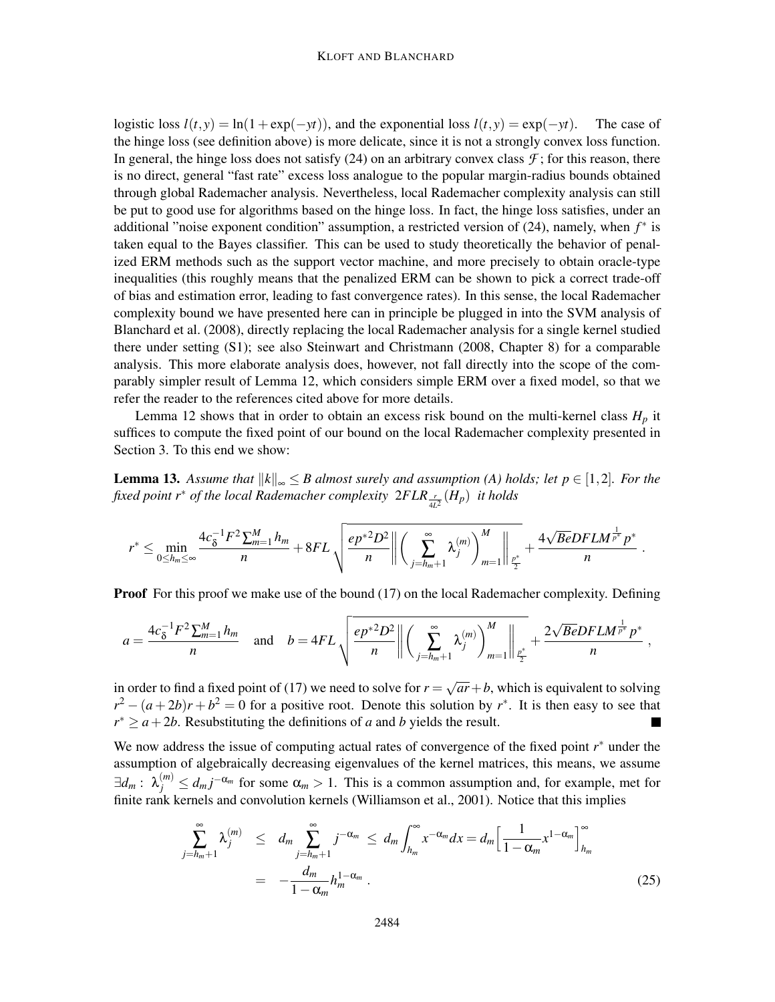logistic loss  $l(t, y) = \ln(1 + \exp(-yt))$ , and the exponential loss  $l(t, y) = \exp(-yt)$ . The case of the hinge loss (see definition above) is more delicate, since it is not a strongly convex loss function. In general, the hinge loss does not satisfy  $(24)$  on an arbitrary convex class  $\mathcal{F}$ ; for this reason, there is no direct, general "fast rate" excess loss analogue to the popular margin-radius bounds obtained through global Rademacher analysis. Nevertheless, local Rademacher complexity analysis can still be put to good use for algorithms based on the hinge loss. In fact, the hinge loss satisfies, under an additional "noise exponent condition" assumption, a restricted version of (24), namely, when *f* ∗ is taken equal to the Bayes classifier. This can be used to study theoretically the behavior of penalized ERM methods such as the support vector machine, and more precisely to obtain oracle-type inequalities (this roughly means that the penalized ERM can be shown to pick a correct trade-off of bias and estimation error, leading to fast convergence rates). In this sense, the local Rademacher complexity bound we have presented here can in principle be plugged in into the SVM analysis of Blanchard et al. (2008), directly replacing the local Rademacher analysis for a single kernel studied there under setting (S1); see also Steinwart and Christmann (2008, Chapter 8) for a comparable analysis. This more elaborate analysis does, however, not fall directly into the scope of the comparably simpler result of Lemma 12, which considers simple ERM over a fixed model, so that we refer the reader to the references cited above for more details.

Lemma 12 shows that in order to obtain an excess risk bound on the multi-kernel class  $H_p$  it suffices to compute the fixed point of our bound on the local Rademacher complexity presented in Section 3. To this end we show:

**Lemma 13.** Assume that  $||k||_{\infty} \leq B$  almost surely and assumption (A) holds; let  $p \in [1,2]$ . For the *fixed point r*∗ *of the local Rademacher complexity* 2*FLR <sup>r</sup>* 4*L* 2 (*Hp*) *it holds*

$$
r^* \leq \min_{0 \leq h_m \leq \infty} \frac{4c_{\delta}^{-1}F^2 \sum_{m=1}^M h_m}{n} + 8FL \sqrt{\frac{ep^{*2}D^2}{n} \left\| \left( \sum_{j=h_m+1}^{\infty} \lambda_j^{(m)} \right)_{m=1}^M \right\|_{\frac{p^*}{2}}} + \frac{4\sqrt{BeDFLM^{\frac{1}{p^*}}p^*}}{n}.
$$

**Proof** For this proof we make use of the bound (17) on the local Rademacher complexity. Defining

$$
a = \frac{4c_{\delta}^{-1}F^2 \sum_{m=1}^{M} h_m}{n} \text{ and } b = 4FL \sqrt{\frac{ep^{*2}D^2}{n} \left\| \left( \sum_{j=h_m+1}^{\infty} \lambda_j^{(m)} \right)_{m=1}^M \right\|_{\frac{p^*}{2}}} + \frac{2\sqrt{BeDFLM}^{\frac{1}{p^*}} p^*}{n},
$$

in order to find a fixed point of (17) we need to solve for  $r = \sqrt{ar} + b$ , which is equivalent to solving  $r^2 - (a+2b)r + b^2 = 0$  for a positive root. Denote this solution by  $r^*$ . It is then easy to see that  $r^* \ge a + 2b$ . Resubstituting the definitions of *a* and *b* yields the result. П

We now address the issue of computing actual rates of convergence of the fixed point *r* ∗ under the assumption of algebraically decreasing eigenvalues of the kernel matrices, this means, we assume  $\exists d_m: \lambda_j^{(m)} \leq d_m j^{-\alpha_m}$  for some  $\alpha_m > 1$ . This is a common assumption and, for example, met for finite rank kernels and convolution kernels (Williamson et al., 2001). Notice that this implies

$$
\sum_{j=h_m+1}^{\infty} \lambda_j^{(m)} \leq d_m \sum_{j=h_m+1}^{\infty} j^{-\alpha_m} \leq d_m \int_{h_m}^{\infty} x^{-\alpha_m} dx = d_m \Big[ \frac{1}{1-\alpha_m} x^{1-\alpha_m} \Big]_{h_m}^{\infty}
$$
\n
$$
= -\frac{d_m}{1-\alpha_m} h_m^{1-\alpha_m} . \tag{25}
$$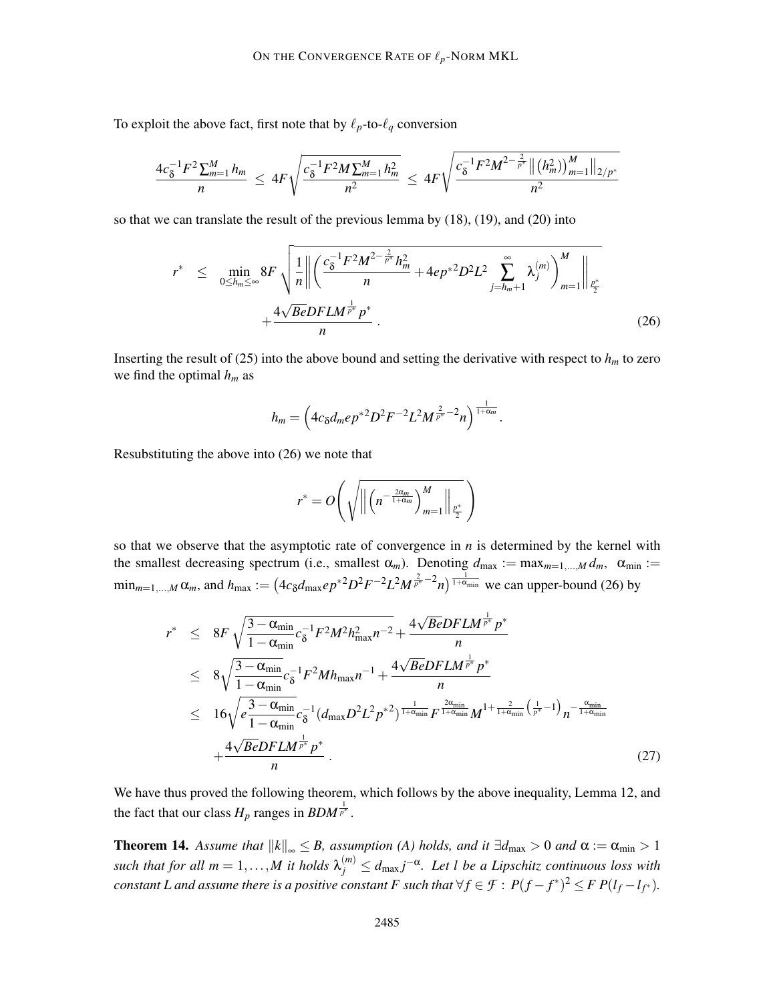To exploit the above fact, first note that by  $\ell_p$ -to- $\ell_q$  conversion

$$
\frac{4c_{\delta}^{-1}F^2\sum_{m=1}^Mh_m}{n} \leq 4F\sqrt{\frac{c_{\delta}^{-1}F^2M\sum_{m=1}^Mh_m^2}{n^2}} \leq 4F\sqrt{\frac{c_{\delta}^{-1}F^2M^{2-\frac{2}{p^*}}\left\|\left(h_m^2\right)\right\|_{m=1}^M\left\|_{2/p^*}}{n^2}}
$$

so that we can translate the result of the previous lemma by (18), (19), and (20) into

$$
r^* \leq \min_{0 \leq h_m \leq \infty} 8F \sqrt{\frac{1}{n} \left\| \left( \frac{c_8^{-1} F^2 M^{2 - \frac{2}{p^*}} h_m^2}{n} + 4ep^{*2} D^2 L^2 \sum_{j=h_m+1}^{\infty} \lambda_j^{(m)} \right)_{m=1}^M \right\|_{\frac{p^*}{2}}} + \frac{4\sqrt{BeDFLM^{\frac{1}{p^*}} p^*}}{n}.
$$
\n(26)

Inserting the result of (25) into the above bound and setting the derivative with respect to  $h_m$  to zero we find the optimal  $h_m$  as

$$
h_m = \left(4c_{\delta}d_mep^{*2}D^2F^{-2}L^2M^{\frac{2}{p^*}-2}n\right)^{\frac{1}{1+\alpha_m}}.
$$

Resubstituting the above into (26) we note that

$$
r^* = O\!\left(\sqrt{\left\|\left(n^{-\frac{2\alpha_m}{1+\alpha_m}}\right)_{m=1}^M\right\|_{\ell_2^*}}\right)
$$

so that we observe that the asymptotic rate of convergence in  $n$  is determined by the kernel with the smallest decreasing spectrum (i.e., smallest  $\alpha_m$ ). Denoting  $d_{\text{max}} := \max_{m=1,\dots,M} d_m$ ,  $\alpha_{\text{min}} :=$  $\min_{m=1,...,M} \alpha_m$ , and  $h_{\text{max}} := (4c_\delta d_{\text{max}} e p^{*2} D^2 F^{-2} L^2 M^{\frac{2}{p^*}-2} n)^{\frac{1}{1+\alpha_{\text{min}}}}$  we can upper-bound (26) by

$$
r^* \leq 8F \sqrt{\frac{3 - \alpha_{\min}}{1 - \alpha_{\min}}} c_{\delta}^{-1} F^2 M^2 h_{\max}^2 n^{-2} + \frac{4\sqrt{BeDFLM}^{\frac{1}{p^*}} p^*}{n}
$$
  
\n
$$
\leq 8\sqrt{\frac{3 - \alpha_{\min}}{1 - \alpha_{\min}}} c_{\delta}^{-1} F^2 M h_{\max} n^{-1} + \frac{4\sqrt{BeDFLM}^{\frac{1}{p^*}} p^*}{n}
$$
  
\n
$$
\leq 16\sqrt{e_{1 - \alpha_{\min}}^{\frac{3 - \alpha_{\min}}{1 - \alpha_{\min}}} c_{\delta}^{-1} (d_{\max} D^2 L^2 p^{*2})^{\frac{1}{1 + \alpha_{\min}}} F^{\frac{2\alpha_{\min}}{1 + \alpha_{\min}}} M^{1 + \frac{2}{1 + \alpha_{\min}}} (\frac{1}{p^*} - 1) n^{-\frac{\alpha_{\min}}{1 + \alpha_{\min}}} + \frac{4\sqrt{BeDFLM}^{\frac{1}{p^*}} p^*}{n}.
$$
\n(27)

We have thus proved the following theorem, which follows by the above inequality, Lemma 12, and the fact that our class  $H_p$  ranges in  $BDM^{\frac{1}{p^*}}$ .

**Theorem 14.** Assume that  $||k||_{\infty} \leq B$ , assumption (A) holds, and it  $\exists d_{\max} > 0$  and  $\alpha := \alpha_{\min} > 1$ such that for all  $m = 1, ..., M$  it holds  $\lambda_j^{(m)} \leq d_{\text{max}} j^{-\alpha}$ . Let l be a Lipschitz continuous loss with *constant L and assume there is a positive constant F such that*  $\forall f \in \mathcal{F}: P(f - f^*)^2 \leq F P(l_f - l_{f^*}).$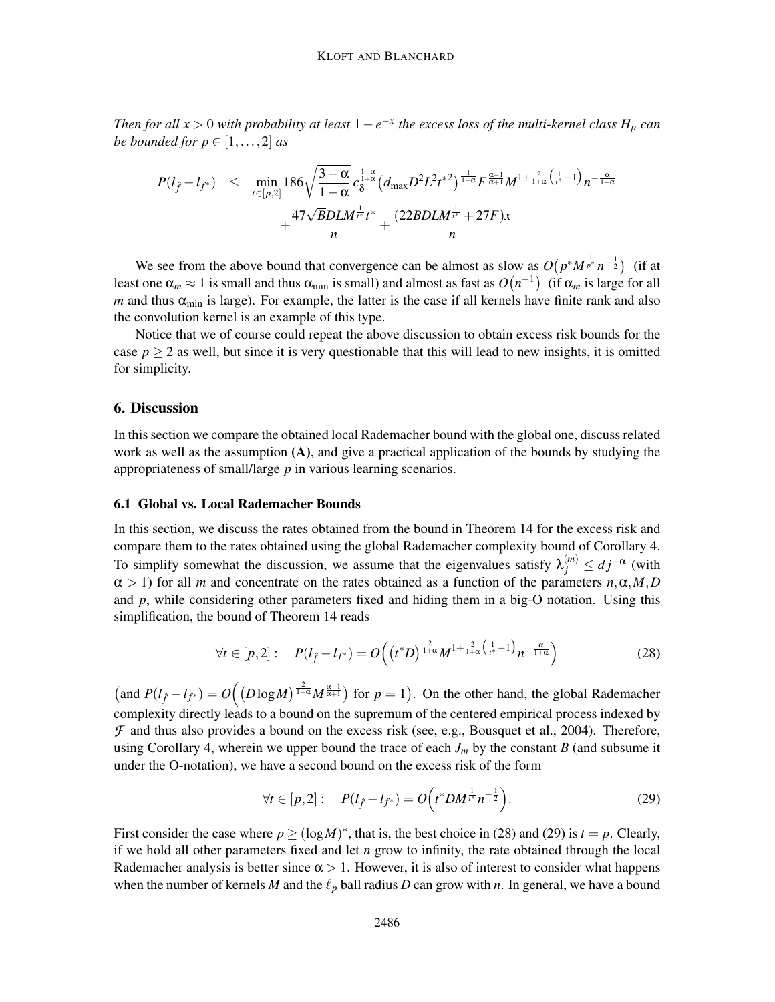*Then for all x* > 0 *with probability at least*  $1 - e^{-x}$  *the excess loss of the multi-kernel class*  $H_p$  *can be bounded for*  $p \in [1, \ldots, 2]$  *as* 

$$
P(l_{\hat{f}} - l_{f^*}) \leq \min_{t \in [p,2]} 186 \sqrt{\frac{3-\alpha}{1-\alpha}} c_{\delta}^{\frac{1-\alpha}{1+\alpha}} (d_{\max} D^2 L^2 t^{*2})^{\frac{1}{1+\alpha}} F^{\frac{\alpha-1}{\alpha+1}} M^{1+\frac{2}{1+\alpha}} (\frac{1}{t^*} - 1)_{n^{-\frac{\alpha}{1+\alpha}}} + \frac{47\sqrt{BDLM^{\frac{1}{12}}} t^*}{n} + \frac{(22BDLM^{\frac{1}{12}} + 27F)x}{n}
$$

We see from the above bound that convergence can be almost as slow as  $O(p^*M^{\frac{1}{p^*}}n^{-\frac{1}{2}})$  (if at least one  $\alpha_m \approx 1$  is small and thus  $\alpha_{\min}$  is small) and almost as fast as  $O(n^{-1})$  (if  $\alpha_m$  is large for all *m* and thus  $\alpha_{\min}$  is large). For example, the latter is the case if all kernels have finite rank and also the convolution kernel is an example of this type.

Notice that we of course could repeat the above discussion to obtain excess risk bounds for the case  $p \ge 2$  as well, but since it is very questionable that this will lead to new insights, it is omitted for simplicity.

#### 6. Discussion

In this section we compare the obtained local Rademacher bound with the global one, discuss related work as well as the assumption (A), and give a practical application of the bounds by studying the appropriateness of small/large *p* in various learning scenarios.

#### 6.1 Global vs. Local Rademacher Bounds

In this section, we discuss the rates obtained from the bound in Theorem 14 for the excess risk and compare them to the rates obtained using the global Rademacher complexity bound of Corollary 4. To simplify somewhat the discussion, we assume that the eigenvalues satisfy  $\lambda_j^{(m)} \leq dj^{-\alpha}$  (with  $\alpha > 1$ ) for all *m* and concentrate on the rates obtained as a function of the parameters *n*,  $\alpha$ , *M*, *D* and  $p$ , while considering other parameters fixed and hiding them in a big-O notation. Using this simplification, the bound of Theorem 14 reads

$$
\forall t \in [p,2]: \quad P(l_f - l_{f^*}) = O\Big((t^*D)^{\frac{2}{1+\alpha}}M^{1+\frac{2}{1+\alpha}\left(\frac{1}{t^*}-1\right)}n^{-\frac{\alpha}{1+\alpha}}\Big) \tag{28}
$$

 $\left(\text{and } P(l_f - l_{f^*}) = O\left(\left(D \log M\right)^{\frac{2}{1+\alpha}} M^{\frac{\alpha-1}{\alpha+1}}\right) \text{ for } p = 1\right)$ . On the other hand, the global Rademacher complexity directly leads to a bound on the supremum of the centered empirical process indexed by *F* and thus also provides a bound on the excess risk (see, e.g., Bousquet et al., 2004). Therefore, using Corollary 4, wherein we upper bound the trace of each  $J_m$  by the constant *B* (and subsume it under the O-notation), we have a second bound on the excess risk of the form

$$
\forall t \in [p, 2]: \quad P(l_{\hat{f}} - l_{f^*}) = O(t^* D M^{\frac{1}{l^*}} n^{-\frac{1}{2}}).
$$
 (29)

First consider the case where  $p \geq (\log M)^*$ , that is, the best choice in (28) and (29) is  $t = p$ . Clearly, if we hold all other parameters fixed and let *n* grow to infinity, the rate obtained through the local Rademacher analysis is better since  $\alpha > 1$ . However, it is also of interest to consider what happens when the number of kernels *M* and the  $\ell_p$  ball radius *D* can grow with *n*. In general, we have a bound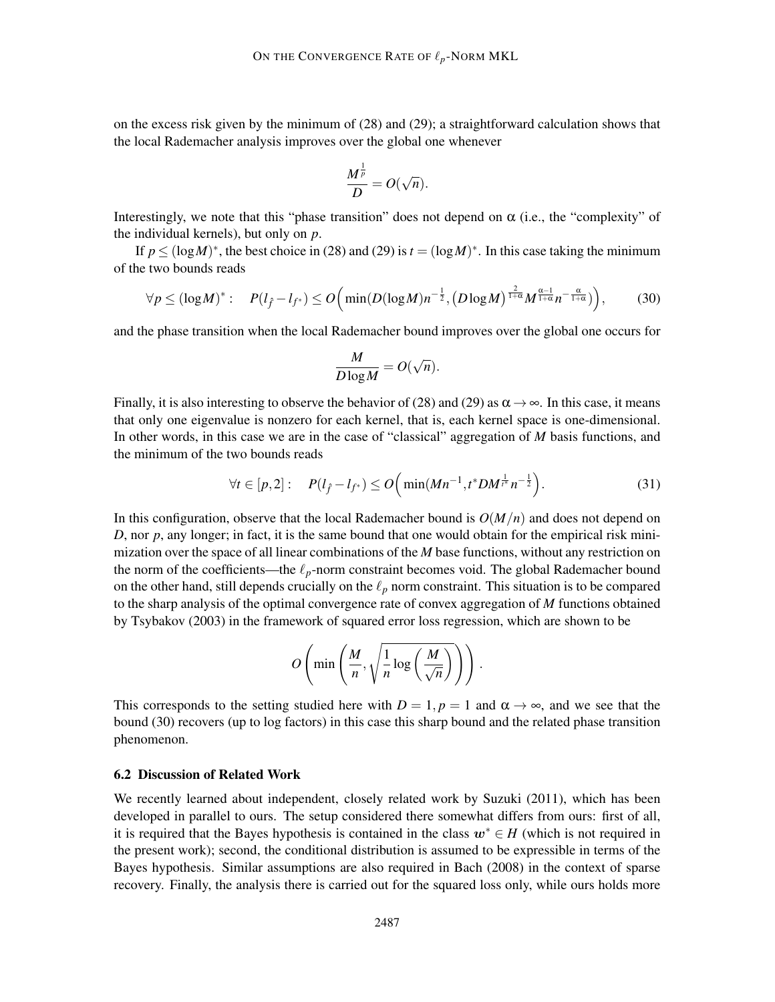on the excess risk given by the minimum of (28) and (29); a straightforward calculation shows that the local Rademacher analysis improves over the global one whenever

$$
\frac{M^{\frac{1}{p}}}{D}=O(\sqrt{n}).
$$

Interestingly, we note that this "phase transition" does not depend on  $\alpha$  (i.e., the "complexity" of the individual kernels), but only on *p*.

If  $p \leq (\log M)^*$ , the best choice in (28) and (29) is  $t = (\log M)^*$ . In this case taking the minimum of the two bounds reads

$$
\forall p \leq (\log M)^{*}: \quad P(l_{\hat{f}} - l_{f^{*}}) \leq O\Big(\min(D(\log M)n^{-\frac{1}{2}}, \big(D\log M\big)^{\frac{2}{1+\alpha}}M^{\frac{\alpha-1}{1+\alpha}}n^{-\frac{\alpha}{1+\alpha}})\Big),\tag{30}
$$

and the phase transition when the local Rademacher bound improves over the global one occurs for

$$
\frac{M}{D \log M} = O(\sqrt{n}).
$$

Finally, it is also interesting to observe the behavior of (28) and (29) as  $\alpha \to \infty$ . In this case, it means that only one eigenvalue is nonzero for each kernel, that is, each kernel space is one-dimensional. In other words, in this case we are in the case of "classical" aggregation of *M* basis functions, and the minimum of the two bounds reads

$$
\forall t \in [p, 2]: \quad P(l_{\hat{f}} - l_{f^*}) \le O\Big(\min(Mn^{-1}, t^*DM^{\frac{1}{k^*}}n^{-\frac{1}{2}}\Big). \tag{31}
$$

In this configuration, observe that the local Rademacher bound is *O*(*M*/*n*) and does not depend on *D*, nor *p*, any longer; in fact, it is the same bound that one would obtain for the empirical risk minimization over the space of all linear combinations of the *M* base functions, without any restriction on the norm of the coefficients—the  $\ell_p$ -norm constraint becomes void. The global Rademacher bound on the other hand, still depends crucially on the  $\ell_p$  norm constraint. This situation is to be compared to the sharp analysis of the optimal convergence rate of convex aggregation of *M* functions obtained by Tsybakov (2003) in the framework of squared error loss regression, which are shown to be

$$
O\left(\min\left(\frac{M}{n},\sqrt{\frac{1}{n}\log\left(\frac{M}{\sqrt{n}}\right)}\right)\right).
$$

This corresponds to the setting studied here with  $D = 1$ ,  $p = 1$  and  $\alpha \rightarrow \infty$ , and we see that the bound (30) recovers (up to log factors) in this case this sharp bound and the related phase transition phenomenon.

#### 6.2 Discussion of Related Work

We recently learned about independent, closely related work by Suzuki (2011), which has been developed in parallel to ours. The setup considered there somewhat differs from ours: first of all, it is required that the Bayes hypothesis is contained in the class  $w^* \in H$  (which is not required in the present work); second, the conditional distribution is assumed to be expressible in terms of the Bayes hypothesis. Similar assumptions are also required in Bach (2008) in the context of sparse recovery. Finally, the analysis there is carried out for the squared loss only, while ours holds more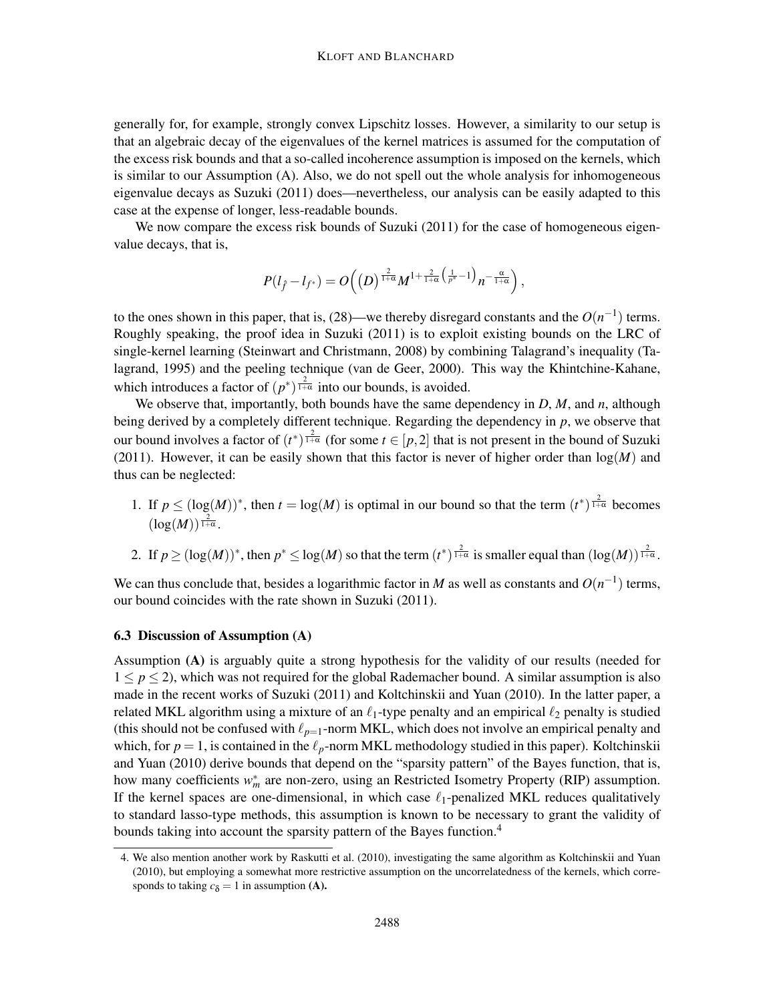generally for, for example, strongly convex Lipschitz losses. However, a similarity to our setup is that an algebraic decay of the eigenvalues of the kernel matrices is assumed for the computation of the excess risk bounds and that a so-called incoherence assumption is imposed on the kernels, which is similar to our Assumption (A). Also, we do not spell out the whole analysis for inhomogeneous eigenvalue decays as Suzuki (2011) does—nevertheless, our analysis can be easily adapted to this case at the expense of longer, less-readable bounds.

We now compare the excess risk bounds of Suzuki (2011) for the case of homogeneous eigenvalue decays, that is,

$$
P(l_{\hat{f}}-l_{f^*})=O\Big(\big(D\big)^{\frac{2}{1+\alpha}}M^{1+\frac{2}{1+\alpha}\big(\frac{1}{p^*}-1\big)}n^{-\frac{\alpha}{1+\alpha}}\Big),
$$

to the ones shown in this paper, that is,  $(28)$ —we thereby disregard constants and the  $O(n^{-1})$  terms. Roughly speaking, the proof idea in Suzuki (2011) is to exploit existing bounds on the LRC of single-kernel learning (Steinwart and Christmann, 2008) by combining Talagrand's inequality (Talagrand, 1995) and the peeling technique (van de Geer, 2000). This way the Khintchine-Kahane, which introduces a factor of  $(p^*)^{\frac{2}{1+\alpha}}$  into our bounds, is avoided.

We observe that, importantly, both bounds have the same dependency in *D*, *M*, and *n*, although being derived by a completely different technique. Regarding the dependency in *p*, we observe that our bound involves a factor of  $(t^*)^{\frac{2}{1+\alpha}}$  (for some  $t \in [p,2]$  that is not present in the bound of Suzuki (2011). However, it can be easily shown that this factor is never of higher order than log(*M*) and thus can be neglected:

- 1. If  $p \leq (\log(M))^*$ , then  $t = \log(M)$  is optimal in our bound so that the term  $(t^*)^{\frac{2}{1+\alpha}}$  becomes  $(\log(M))^{\frac{2}{1+\alpha}}$ .
- 2. If  $p \ge (\log(M))^*$ , then  $p^* \le \log(M)$  so that the term  $(t^*)^{\frac{2}{1+\alpha}}$  is smaller equal than  $(\log(M))^{\frac{2}{1+\alpha}}$ .

We can thus conclude that, besides a logarithmic factor in *M* as well as constants and  $O(n^{-1})$  terms, our bound coincides with the rate shown in Suzuki (2011).

#### 6.3 Discussion of Assumption (A)

Assumption (A) is arguably quite a strong hypothesis for the validity of our results (needed for  $1 \leq p \leq 2$ ), which was not required for the global Rademacher bound. A similar assumption is also made in the recent works of Suzuki (2011) and Koltchinskii and Yuan (2010). In the latter paper, a related MKL algorithm using a mixture of an  $\ell_1$ -type penalty and an empirical  $\ell_2$  penalty is studied (this should not be confused with  $\ell_{p=1}$ -norm MKL, which does not involve an empirical penalty and which, for  $p = 1$ , is contained in the  $\ell_p$ -norm MKL methodology studied in this paper). Koltchinskii and Yuan (2010) derive bounds that depend on the "sparsity pattern" of the Bayes function, that is, how many coefficients  $w_m^*$  are non-zero, using an Restricted Isometry Property (RIP) assumption. If the kernel spaces are one-dimensional, in which case  $\ell_1$ -penalized MKL reduces qualitatively to standard lasso-type methods, this assumption is known to be necessary to grant the validity of bounds taking into account the sparsity pattern of the Bayes function.<sup>4</sup>

<sup>4.</sup> We also mention another work by Raskutti et al. (2010), investigating the same algorithm as Koltchinskii and Yuan (2010), but employing a somewhat more restrictive assumption on the uncorrelatedness of the kernels, which corresponds to taking  $c<sub>δ</sub> = 1$  in assumption (**A**).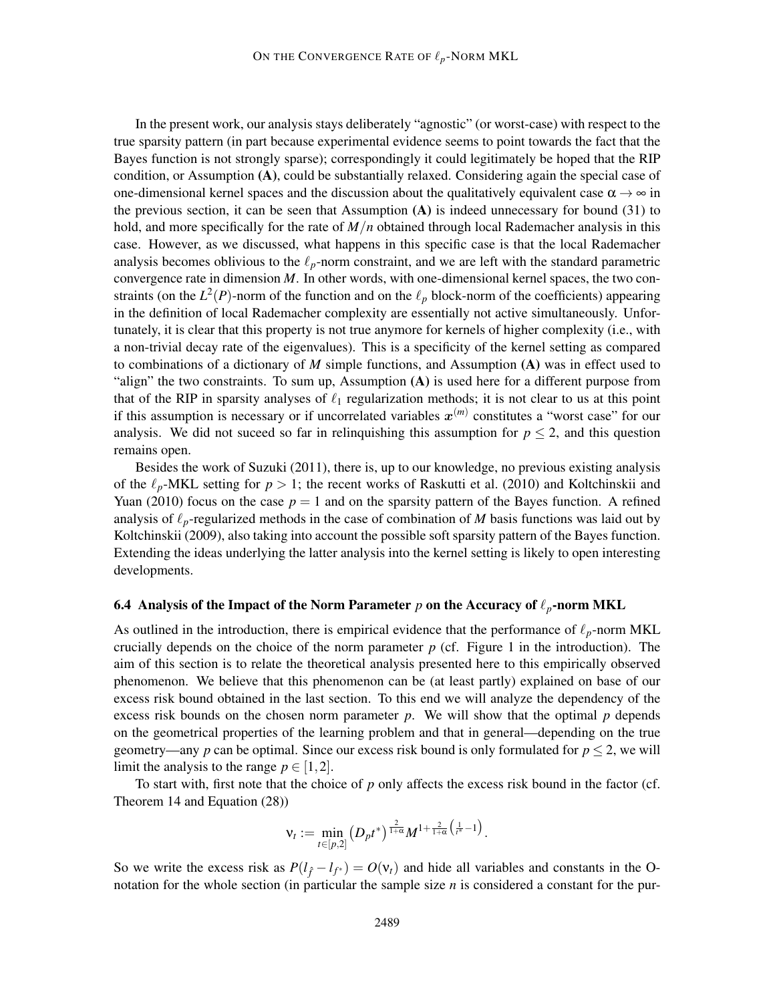In the present work, our analysis stays deliberately "agnostic" (or worst-case) with respect to the true sparsity pattern (in part because experimental evidence seems to point towards the fact that the Bayes function is not strongly sparse); correspondingly it could legitimately be hoped that the RIP condition, or Assumption (A), could be substantially relaxed. Considering again the special case of one-dimensional kernel spaces and the discussion about the qualitatively equivalent case  $\alpha \rightarrow \infty$  in the previous section, it can be seen that Assumption  $(A)$  is indeed unnecessary for bound (31) to hold, and more specifically for the rate of *M*/*n* obtained through local Rademacher analysis in this case. However, as we discussed, what happens in this specific case is that the local Rademacher analysis becomes oblivious to the  $\ell_p$ -norm constraint, and we are left with the standard parametric convergence rate in dimension  $M$ . In other words, with one-dimensional kernel spaces, the two constraints (on the  $L^2(P)$ -norm of the function and on the  $\ell_p$  block-norm of the coefficients) appearing in the definition of local Rademacher complexity are essentially not active simultaneously. Unfortunately, it is clear that this property is not true anymore for kernels of higher complexity (i.e., with a non-trivial decay rate of the eigenvalues). This is a specificity of the kernel setting as compared to combinations of a dictionary of *M* simple functions, and Assumption (A) was in effect used to "align" the two constraints. To sum up, Assumption (A) is used here for a different purpose from that of the RIP in sparsity analyses of  $\ell_1$  regularization methods; it is not clear to us at this point if this assumption is necessary or if uncorrelated variables  $x^{(m)}$  constitutes a "worst case" for our analysis. We did not suceed so far in relinquishing this assumption for  $p \leq 2$ , and this question remains open.

Besides the work of Suzuki (2011), there is, up to our knowledge, no previous existing analysis of the  $\ell_p$ -MKL setting for  $p > 1$ ; the recent works of Raskutti et al. (2010) and Koltchinskii and Yuan (2010) focus on the case  $p = 1$  and on the sparsity pattern of the Bayes function. A refined analysis of ℓ*p*-regularized methods in the case of combination of *M* basis functions was laid out by Koltchinskii (2009), also taking into account the possible soft sparsity pattern of the Bayes function. Extending the ideas underlying the latter analysis into the kernel setting is likely to open interesting developments.

#### 6.4 Analysis of the Impact of the Norm Parameter  $p$  on the Accuracy of  $\ell_p$ -norm MKL

As outlined in the introduction, there is empirical evidence that the performance of  $\ell_p$ -norm MKL crucially depends on the choice of the norm parameter  $p$  (cf. Figure 1 in the introduction). The aim of this section is to relate the theoretical analysis presented here to this empirically observed phenomenon. We believe that this phenomenon can be (at least partly) explained on base of our excess risk bound obtained in the last section. To this end we will analyze the dependency of the excess risk bounds on the chosen norm parameter *p*. We will show that the optimal *p* depends on the geometrical properties of the learning problem and that in general—depending on the true geometry—any *p* can be optimal. Since our excess risk bound is only formulated for  $p \le 2$ , we will limit the analysis to the range  $p \in [1,2]$ .

To start with, first note that the choice of *p* only affects the excess risk bound in the factor (cf. Theorem 14 and Equation (28))

$$
\mathsf{v}_t:=\min_{t\in[p,2]}\left(D_pt^*\right)^{\frac{2}{1+\alpha}}M^{1+\frac{2}{1+\alpha}\left(\frac{1}{t^*}-1\right)}.
$$

So we write the excess risk as  $P(l_{\hat{f}} - l_{f^*}) = O(v_t)$  and hide all variables and constants in the Onotation for the whole section (in particular the sample size *n* is considered a constant for the pur-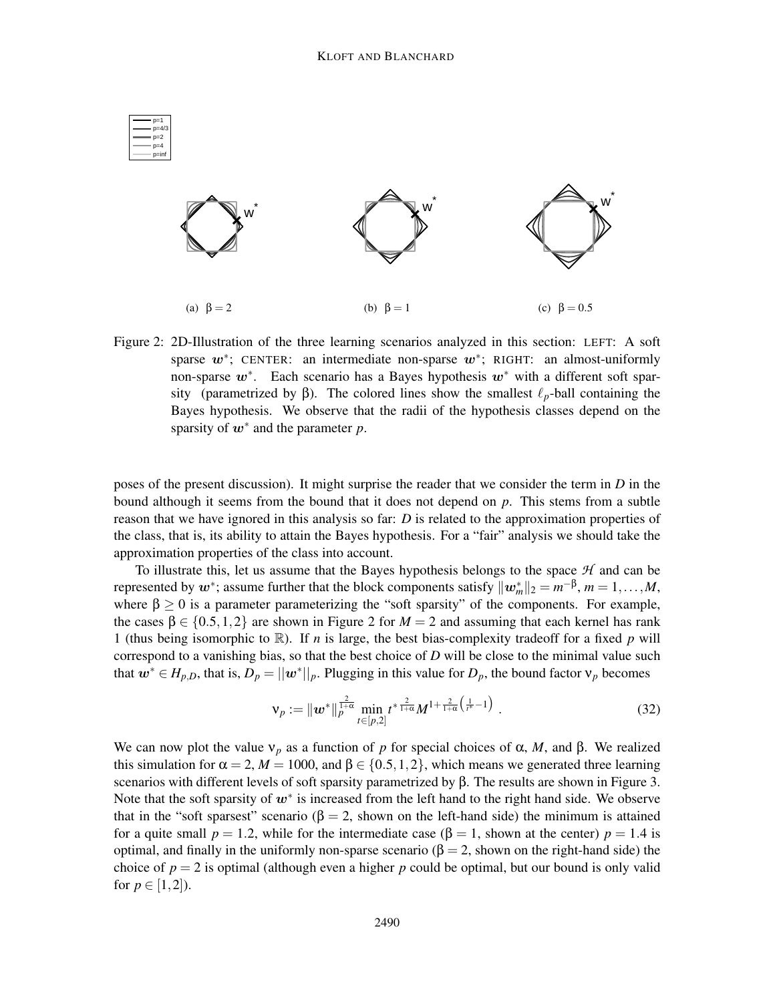

Figure 2: 2D-Illustration of the three learning scenarios analyzed in this section: LEFT: A soft sparse  $w^*$ ; CENTER: an intermediate non-sparse  $w^*$ ; RIGHT: an almost-uniformly non-sparse  $w^*$ . Each scenario has a Bayes hypothesis  $w^*$  with a different soft sparsity (parametrized by β). The colored lines show the smallest  $\ell_p$ -ball containing the Bayes hypothesis. We observe that the radii of the hypothesis classes depend on the sparsity of w∗ and the parameter *p*.

poses of the present discussion). It might surprise the reader that we consider the term in *D* in the bound although it seems from the bound that it does not depend on *p*. This stems from a subtle reason that we have ignored in this analysis so far: *D* is related to the approximation properties of the class, that is, its ability to attain the Bayes hypothesis. For a "fair" analysis we should take the approximation properties of the class into account.

To illustrate this, let us assume that the Bayes hypothesis belongs to the space *H* and can be represented by  $w^*$ ; assume further that the block components satisfy  $\|\mathbf{w}_m^*\|_2 = m^{-\beta}, m = 1, \ldots, M$ , where  $\beta \ge 0$  is a parameter parameterizing the "soft sparsity" of the components. For example, the cases  $\beta \in \{0.5, 1, 2\}$  are shown in Figure 2 for  $M = 2$  and assuming that each kernel has rank 1 (thus being isomorphic to  $\mathbb{R}$ ). If *n* is large, the best bias-complexity tradeoff for a fixed *p* will correspond to a vanishing bias, so that the best choice of *D* will be close to the minimal value such that  $w^* \in H_{p,D}$ , that is,  $D_p = ||w^*||_p$ . Plugging in this value for  $D_p$ , the bound factor  $v_p$  becomes

$$
\nu_p := \| \boldsymbol{w}^* \|_p^{\frac{2}{1+\alpha}} \min_{t \in [p,2]} t^{*\frac{2}{1+\alpha}} M^{1+\frac{2}{1+\alpha}\left(\frac{1}{t^*}-1\right)} . \tag{32}
$$

We can now plot the value  $v_p$  as a function of p for special choices of  $\alpha$ , M, and  $\beta$ . We realized this simulation for  $\alpha = 2$ ,  $M = 1000$ , and  $\beta \in \{0.5, 1, 2\}$ , which means we generated three learning scenarios with different levels of soft sparsity parametrized by β. The results are shown in Figure 3. Note that the soft sparsity of  $w^*$  is increased from the left hand to the right hand side. We observe that in the "soft sparsest" scenario ( $\beta = 2$ , shown on the left-hand side) the minimum is attained for a quite small  $p = 1.2$ , while for the intermediate case  $(\beta = 1)$ , shown at the center)  $p = 1.4$  is optimal, and finally in the uniformly non-sparse scenario ( $\beta = 2$ , shown on the right-hand side) the choice of  $p = 2$  is optimal (although even a higher p could be optimal, but our bound is only valid for  $p \in [1,2]$ ).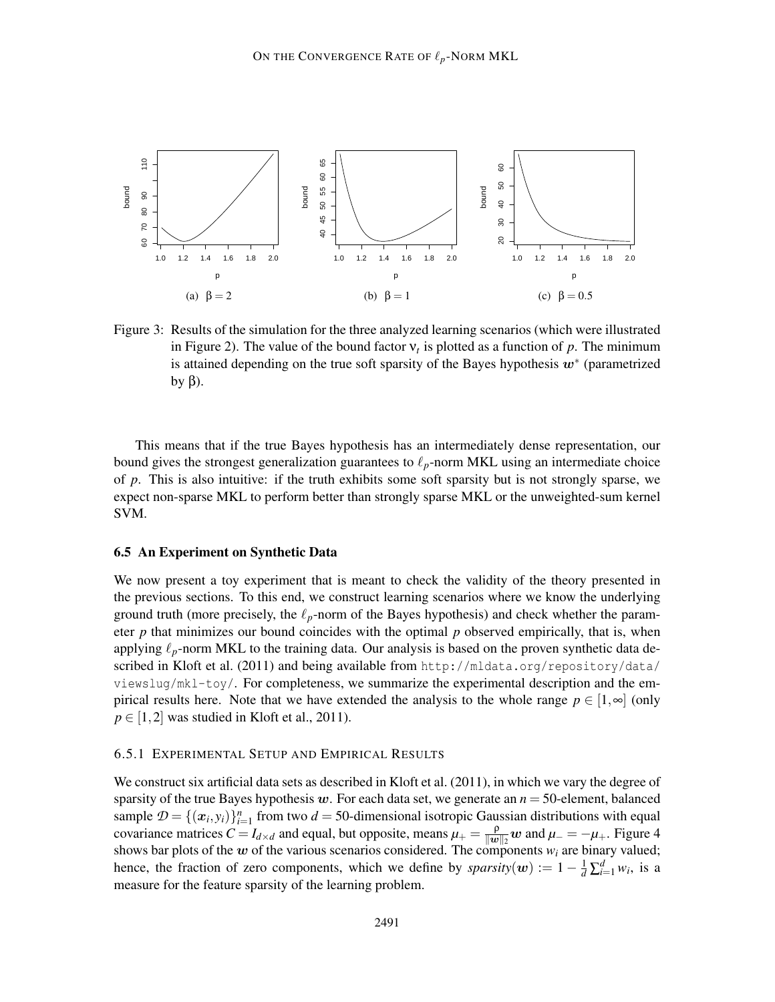

Figure 3: Results of the simulation for the three analyzed learning scenarios (which were illustrated in Figure 2). The value of the bound factor  $v_t$  is plotted as a function of  $p$ . The minimum is attained depending on the true soft sparsity of the Bayes hypothesis  $w^*$  (parametrized by  $β$ ).

This means that if the true Bayes hypothesis has an intermediately dense representation, our bound gives the strongest generalization guarantees to  $\ell_p$ -norm MKL using an intermediate choice of *p*. This is also intuitive: if the truth exhibits some soft sparsity but is not strongly sparse, we expect non-sparse MKL to perform better than strongly sparse MKL or the unweighted-sum kernel SVM.

#### 6.5 An Experiment on Synthetic Data

We now present a toy experiment that is meant to check the validity of the theory presented in the previous sections. To this end, we construct learning scenarios where we know the underlying ground truth (more precisely, the  $\ell_p$ -norm of the Bayes hypothesis) and check whether the parameter  $p$  that minimizes our bound coincides with the optimal  $p$  observed empirically, that is, when applying  $\ell_p$ -norm MKL to the training data. Our analysis is based on the proven synthetic data described in Kloft et al. (2011) and being available from  $http://mldata.org/repository/data/$ viewslug/mkl-toy/. For completeness, we summarize the experimental description and the empirical results here. Note that we have extended the analysis to the whole range  $p \in [1, \infty]$  (only  $p \in [1,2]$  was studied in Kloft et al., 2011).

#### 6.5.1 EXPERIMENTAL SETUP AND EMPIRICAL RESULTS

We construct six artificial data sets as described in Kloft et al. (2011), in which we vary the degree of sparsity of the true Bayes hypothesis  $w$ . For each data set, we generate an  $n = 50$ -element, balanced sample  $\mathcal{D} = \{(\mathbf{x}_i, y_i)\}_{i=1}^n$  from two  $d = 50$ -dimensional isotropic Gaussian distributions with equal covariance matrices  $C = I_{d \times d}$  and equal, but opposite, means  $\mu_{+} = \frac{\rho}{\|w\|}$  $\frac{\rho}{\|w\|_2}$  w and  $\mu$ <sub>−</sub> = − $\mu$ <sub>+</sub>. Figure 4 shows bar plots of the w of the various scenarios considered. The components  $w_i$  are binary valued; hence, the fraction of zero components, which we define by *sparsity*( $w$ ) := 1 –  $\frac{1}{d} \sum_{i=1}^{d} w_i$ , is a measure for the feature sparsity of the learning problem.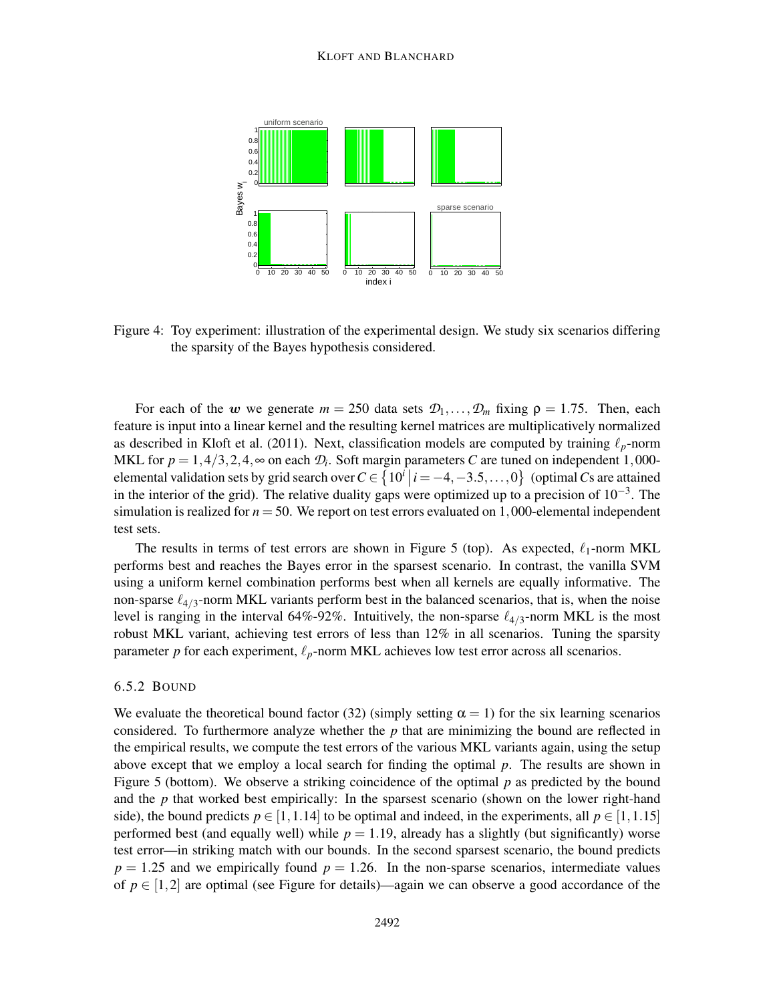

Figure 4: Toy experiment: illustration of the experimental design. We study six scenarios differing the sparsity of the Bayes hypothesis considered.

For each of the w we generate  $m = 250$  data sets  $\mathcal{D}_1, \ldots, \mathcal{D}_m$  fixing  $\rho = 1.75$ . Then, each feature is input into a linear kernel and the resulting kernel matrices are multiplicatively normalized as described in Kloft et al. (2011). Next, classification models are computed by training  $\ell_p$ -norm MKL for  $p = 1, 4/3, 2, 4, \infty$  on each  $\mathcal{D}_i$ . Soft margin parameters *C* are tuned on independent 1,000elemental validation sets by grid search over  $C \in \{10^i | i = -4, -3.5, \ldots, 0\}$  (optimal *C*s are attained in the interior of the grid). The relative duality gaps were optimized up to a precision of  $10^{-3}$ . The simulation is realized for  $n = 50$ . We report on test errors evaluated on 1,000-elemental independent test sets.

The results in terms of test errors are shown in Figure 5 (top). As expected,  $\ell_1$ -norm MKL performs best and reaches the Bayes error in the sparsest scenario. In contrast, the vanilla SVM using a uniform kernel combination performs best when all kernels are equally informative. The non-sparse  $\ell_{4/3}$ -norm MKL variants perform best in the balanced scenarios, that is, when the noise level is ranging in the interval 64%-92%. Intuitively, the non-sparse  $\ell_{4/3}$ -norm MKL is the most robust MKL variant, achieving test errors of less than 12% in all scenarios. Tuning the sparsity parameter *p* for each experiment,  $\ell_p$ -norm MKL achieves low test error across all scenarios.

#### 6.5.2 BOUND

We evaluate the theoretical bound factor (32) (simply setting  $\alpha = 1$ ) for the six learning scenarios considered. To furthermore analyze whether the *p* that are minimizing the bound are reflected in the empirical results, we compute the test errors of the various MKL variants again, using the setup above except that we employ a local search for finding the optimal *p*. The results are shown in Figure 5 (bottom). We observe a striking coincidence of the optimal *p* as predicted by the bound and the *p* that worked best empirically: In the sparsest scenario (shown on the lower right-hand side), the bound predicts  $p \in [1, 1.14]$  to be optimal and indeed, in the experiments, all  $p \in [1, 1.15]$ performed best (and equally well) while  $p = 1.19$ , already has a slightly (but significantly) worse test error—in striking match with our bounds. In the second sparsest scenario, the bound predicts  $p = 1.25$  and we empirically found  $p = 1.26$ . In the non-sparse scenarios, intermediate values of  $p \in [1,2]$  are optimal (see Figure for details)—again we can observe a good accordance of the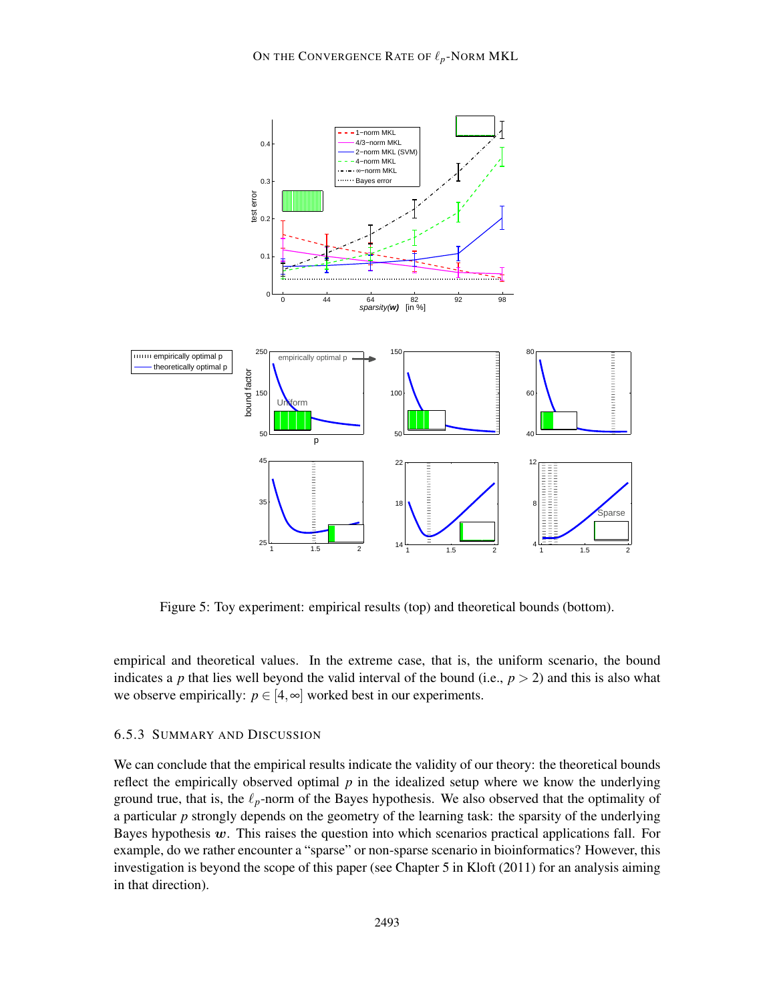

Figure 5: Toy experiment: empirical results (top) and theoretical bounds (bottom).

empirical and theoretical values. In the extreme case, that is, the uniform scenario, the bound indicates a *p* that lies well beyond the valid interval of the bound (i.e.,  $p > 2$ ) and this is also what we observe empirically:  $p \in [4, \infty]$  worked best in our experiments.

#### 6.5.3 SUMMARY AND DISCUSSION

We can conclude that the empirical results indicate the validity of our theory: the theoretical bounds reflect the empirically observed optimal  $p$  in the idealized setup where we know the underlying ground true, that is, the  $\ell_p$ -norm of the Bayes hypothesis. We also observed that the optimality of a particular *p* strongly depends on the geometry of the learning task: the sparsity of the underlying Bayes hypothesis  $w$ . This raises the question into which scenarios practical applications fall. For example, do we rather encounter a "sparse" or non-sparse scenario in bioinformatics? However, this investigation is beyond the scope of this paper (see Chapter 5 in Kloft (2011) for an analysis aiming in that direction).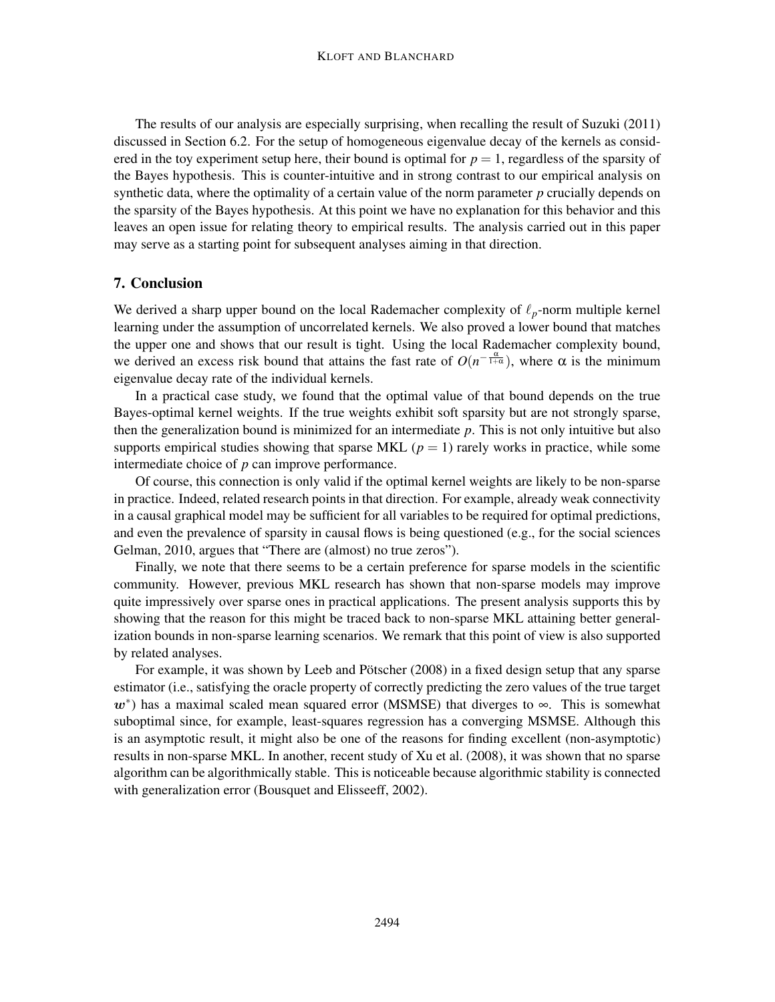The results of our analysis are especially surprising, when recalling the result of Suzuki (2011) discussed in Section 6.2. For the setup of homogeneous eigenvalue decay of the kernels as considered in the toy experiment setup here, their bound is optimal for  $p = 1$ , regardless of the sparsity of the Bayes hypothesis. This is counter-intuitive and in strong contrast to our empirical analysis on synthetic data, where the optimality of a certain value of the norm parameter *p* crucially depends on the sparsity of the Bayes hypothesis. At this point we have no explanation for this behavior and this leaves an open issue for relating theory to empirical results. The analysis carried out in this paper may serve as a starting point for subsequent analyses aiming in that direction.

#### 7. Conclusion

We derived a sharp upper bound on the local Rademacher complexity of ℓ*p*-norm multiple kernel learning under the assumption of uncorrelated kernels. We also proved a lower bound that matches the upper one and shows that our result is tight. Using the local Rademacher complexity bound, we derived an excess risk bound that attains the fast rate of  $O(n^{-\frac{\alpha}{1+\alpha}})$ , where  $\alpha$  is the minimum eigenvalue decay rate of the individual kernels.

In a practical case study, we found that the optimal value of that bound depends on the true Bayes-optimal kernel weights. If the true weights exhibit soft sparsity but are not strongly sparse, then the generalization bound is minimized for an intermediate *p*. This is not only intuitive but also supports empirical studies showing that sparse MKL  $(p = 1)$  rarely works in practice, while some intermediate choice of *p* can improve performance.

Of course, this connection is only valid if the optimal kernel weights are likely to be non-sparse in practice. Indeed, related research points in that direction. For example, already weak connectivity in a causal graphical model may be sufficient for all variables to be required for optimal predictions, and even the prevalence of sparsity in causal flows is being questioned (e.g., for the social sciences Gelman, 2010, argues that "There are (almost) no true zeros").

Finally, we note that there seems to be a certain preference for sparse models in the scientific community. However, previous MKL research has shown that non-sparse models may improve quite impressively over sparse ones in practical applications. The present analysis supports this by showing that the reason for this might be traced back to non-sparse MKL attaining better generalization bounds in non-sparse learning scenarios. We remark that this point of view is also supported by related analyses.

For example, it was shown by Leeb and Pötscher (2008) in a fixed design setup that any sparse estimator (i.e., satisfying the oracle property of correctly predicting the zero values of the true target  $w^*$ ) has a maximal scaled mean squared error (MSMSE) that diverges to  $\infty$ . This is somewhat suboptimal since, for example, least-squares regression has a converging MSMSE. Although this is an asymptotic result, it might also be one of the reasons for finding excellent (non-asymptotic) results in non-sparse MKL. In another, recent study of Xu et al. (2008), it was shown that no sparse algorithm can be algorithmically stable. This is noticeable because algorithmic stability is connected with generalization error (Bousquet and Elisseeff, 2002).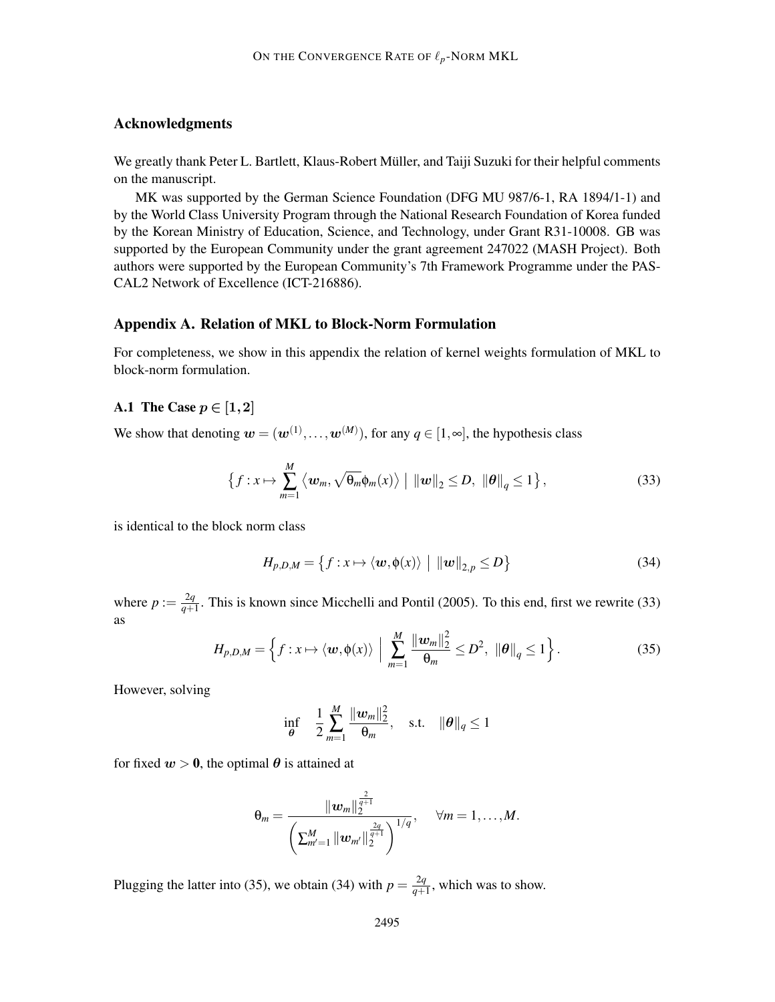# Acknowledgments

We greatly thank Peter L. Bartlett, Klaus-Robert Müller, and Taiji Suzuki for their helpful comments on the manuscript.

MK was supported by the German Science Foundation (DFG MU 987/6-1, RA 1894/1-1) and by the World Class University Program through the National Research Foundation of Korea funded by the Korean Ministry of Education, Science, and Technology, under Grant R31-10008. GB was supported by the European Community under the grant agreement 247022 (MASH Project). Both authors were supported by the European Community's 7th Framework Programme under the PAS-CAL2 Network of Excellence (ICT-216886).

#### Appendix A. Relation of MKL to Block-Norm Formulation

For completeness, we show in this appendix the relation of kernel weights formulation of MKL to block-norm formulation.

# A.1 The Case  $p \in [1,2]$

We show that denoting  $w = (w^{(1)}, \dots, w^{(M)})$ , for any  $q \in [1, \infty]$ , the hypothesis class

$$
\left\{f:x\mapsto\sum_{m=1}^M\left\langle\boldsymbol{w}_m,\sqrt{\theta_m}\boldsymbol{\phi}_m(x)\right\rangle\big|\,\left\|\boldsymbol{w}\right\|_2\leq D,\,\left\|\boldsymbol{\theta}\right\|_q\leq 1\right\},\tag{33}
$$

is identical to the block norm class

$$
H_{p,D,M} = \left\{ f : x \mapsto \langle \boldsymbol{w}, \phi(x) \rangle \mid ||\boldsymbol{w}||_{2,p} \le D \right\}
$$
 (34)

where  $p := \frac{2q}{q+1}$  $\frac{2q}{q+1}$ . This is known since Micchelli and Pontil (2005). To this end, first we rewrite (33) as

$$
H_{p,D,M} = \left\{ f:x\mapsto \langle \boldsymbol{w}, \phi(x)\rangle \; \Big| \; \sum_{m=1}^M \frac{\|\boldsymbol{w}_m\|_2^2}{\theta_m} \le D^2, \; \|\boldsymbol{\theta}\|_q \le 1 \right\}.
$$

However, solving

$$
\inf_{\theta} \quad \frac{1}{2} \sum_{m=1}^{M} \frac{\|w_m\|_2^2}{\theta_m}, \quad \text{s.t.} \quad \|\theta\|_q \le 1
$$

for fixed  $w > 0$ , the optimal  $\theta$  is attained at

$$
\theta_m = \frac{\|w_m\|_2^{\frac{2}{q+1}}}{\left(\sum_{m'=1}^M \|w_{m'}\|_2^{\frac{2q}{q+1}}\right)^{1/q}}, \quad \forall m = 1,\ldots,M.
$$

Plugging the latter into (35), we obtain (34) with  $p = \frac{2q}{q+1}$  $\frac{2q}{q+1}$ , which was to show.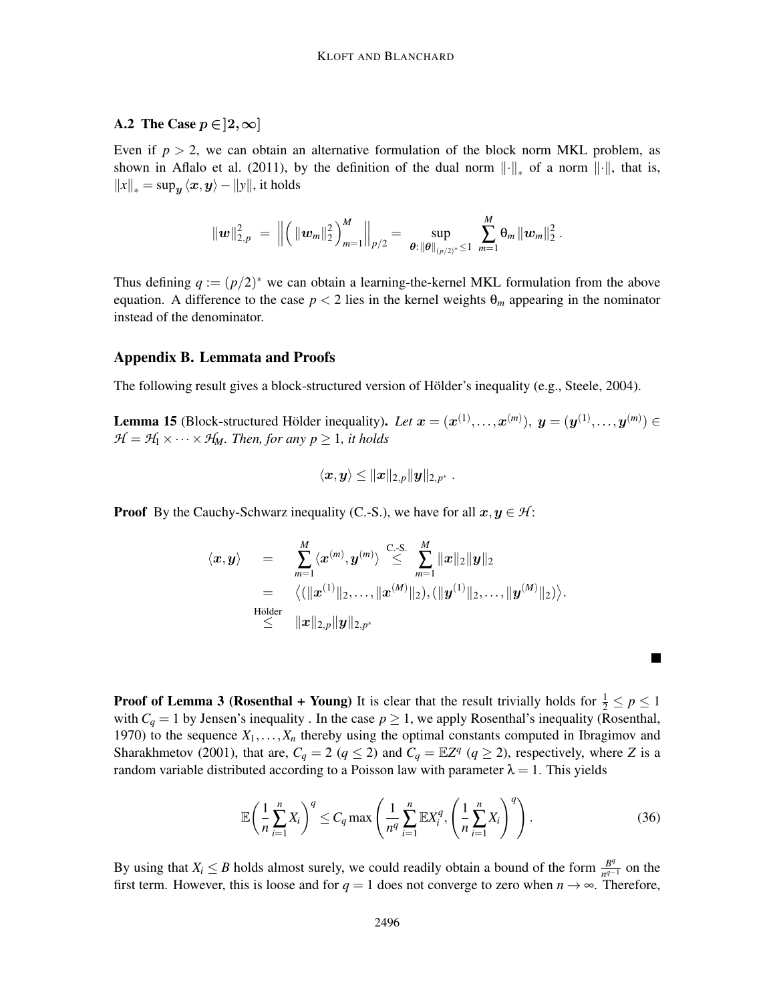# A.2 The Case  $p \in ]2,\infty]$

Even if  $p > 2$ , we can obtain an alternative formulation of the block norm MKL problem, as shown in Aflalo et al. (2011), by the definition of the dual norm  $\|\cdot\|_*$  of a norm  $\|\cdot\|$ , that is,  $||x||_* = \sup_{\boldsymbol{y}} \langle \boldsymbol{x}, \boldsymbol{y} \rangle - ||y||$ , it holds

$$
\|\bm{w}\|_{2,p}^2 \;=\; \Big\|\Big(\|\bm{w}_m\|_2^2\Big)_{m=1}^M\Big\|_{p/2}=\,\sup_{\bm{\theta}:\,\|\bm{\theta}\|_{(p/2)^*}\leq 1}\;\sum_{m=1}^M \theta_m\|\bm{w}_m\|_2^2\,.
$$

Thus defining  $q := (p/2)^*$  we can obtain a learning-the-kernel MKL formulation from the above equation. A difference to the case  $p < 2$  lies in the kernel weights  $\theta_m$  appearing in the nominator instead of the denominator.

#### Appendix B. Lemmata and Proofs

The following result gives a block-structured version of Hölder's inequality (e.g., Steele, 2004).

**Lemma 15** (Block-structured Hölder inequality). Let  $x = (x^{(1)},...,x^{(m)})$ ,  $y = (y^{(1)},...,y^{(m)}) \in$  $H = H_1 \times \cdots \times H_M$ *. Then, for any p*  $\geq 1$ *, it holds* 

$$
\langle \boldsymbol{x},\boldsymbol{y}\rangle \leq \|\boldsymbol{x}\|_{2,p} \|\boldsymbol{y}\|_{2,p^*}\;.
$$

**Proof** By the Cauchy-Schwarz inequality (C.-S.), we have for all  $x, y \in H$ :

$$
\langle x, y \rangle = \sum_{m=1}^{M} \langle x^{(m)}, y^{(m)} \rangle \overset{\text{C-S.}}{\leq} \sum_{m=1}^{M} ||x||_2 ||y||_2
$$
  
\n
$$
= \langle (||x^{(1)}||_2, \dots, ||x^{(M)}||_2), (||y^{(1)}||_2, \dots, ||y^{(M)}||_2) \rangle.
$$
  
\nHölder  
\n
$$
\leq ||x||_{2,p} ||y||_{2,p^*}
$$

**Proof of Lemma 3 (Rosenthal + Young)** It is clear that the result trivially holds for  $\frac{1}{2} \le p \le 1$ with  $C_q = 1$  by Jensen's inequality. In the case  $p \ge 1$ , we apply Rosenthal's inequality (Rosenthal, 1970) to the sequence  $X_1, \ldots, X_n$  thereby using the optimal constants computed in Ibragimov and Sharakhmetov (2001), that are,  $C_q = 2$  ( $q \le 2$ ) and  $C_q = \mathbb{E}Z^q$  ( $q \ge 2$ ), respectively, where *Z* is a random variable distributed according to a Poisson law with parameter  $\lambda = 1$ . This yields

$$
\mathbb{E}\left(\frac{1}{n}\sum_{i=1}^{n}X_{i}\right)^{q}\leq C_{q}\max\left(\frac{1}{n^{q}}\sum_{i=1}^{n}\mathbb{E}X_{i}^{q},\left(\frac{1}{n}\sum_{i=1}^{n}X_{i}\right)^{q}\right).
$$
\n(36)

By using that  $X_i \leq B$  holds almost surely, we could readily obtain a bound of the form  $\frac{B^q}{n^{q-1}}$  $\frac{B^q}{n^{q-1}}$  on the first term. However, this is loose and for  $q = 1$  does not converge to zero when  $n \to \infty$ . Therefore,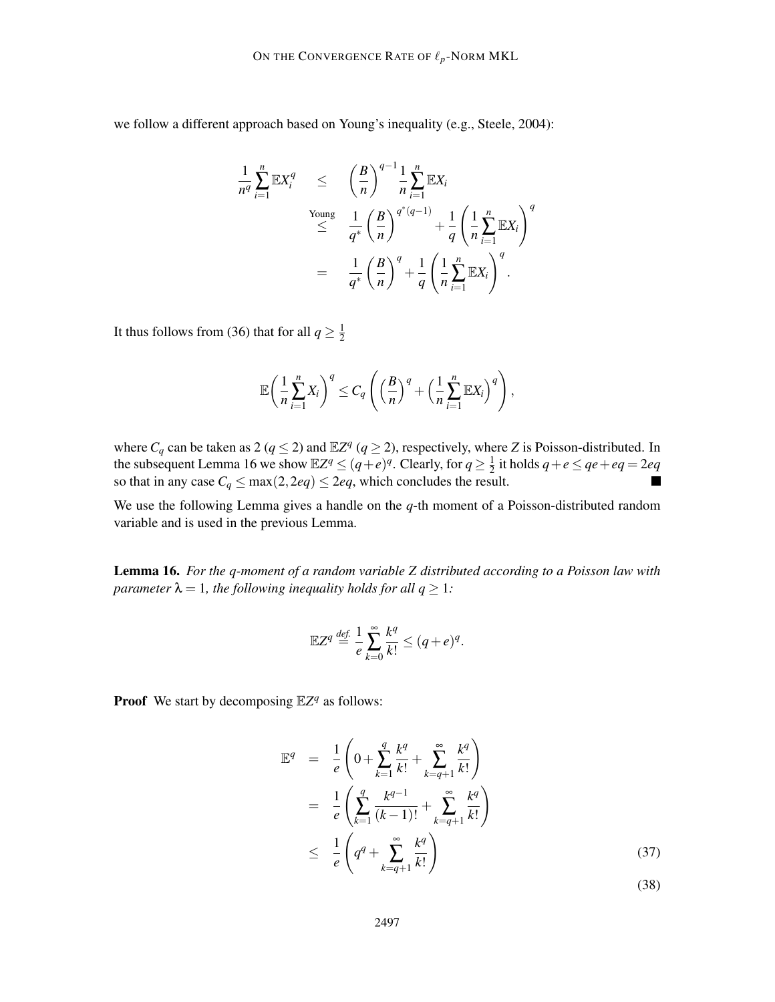we follow a different approach based on Young's inequality (e.g., Steele, 2004):

$$
\frac{1}{n^q} \sum_{i=1}^n \mathbb{E}X_i^q \le \left(\frac{B}{n}\right)^{q-1} \frac{1}{n} \sum_{i=1}^n \mathbb{E}X_i
$$
\n
$$
\le \frac{1}{q^*} \left(\frac{B}{n}\right)^{q^*(q-1)} + \frac{1}{q} \left(\frac{1}{n} \sum_{i=1}^n \mathbb{E}X_i\right)^q
$$
\n
$$
= \frac{1}{q^*} \left(\frac{B}{n}\right)^q + \frac{1}{q} \left(\frac{1}{n} \sum_{i=1}^n \mathbb{E}X_i\right)^q.
$$

It thus follows from (36) that for all  $q \geq \frac{1}{2}$ 2

$$
\mathbb{E}\left(\frac{1}{n}\sum_{i=1}^n X_i\right)^q \leq C_q \left(\left(\frac{B}{n}\right)^q + \left(\frac{1}{n}\sum_{i=1}^n \mathbb{E}X_i\right)^q\right),
$$

where  $C_q$  can be taken as 2 ( $q \le 2$ ) and  $\mathbb{E}Z^q$  ( $q \ge 2$ ), respectively, where *Z* is Poisson-distributed. In the subsequent Lemma 16 we show  $\mathbb{E}Z^q \leq (q+e)^q$ . Clearly, for  $q \geq \frac{1}{2}$  $\frac{1}{2}$  it holds  $q + e \leq qe + eq = 2eq$ so that in any case  $C_q \le \max(2, 2eq) \le 2eq$ , which concludes the result.

We use the following Lemma gives a handle on the *q*-th moment of a Poisson-distributed random variable and is used in the previous Lemma.

Lemma 16. *For the q-moment of a random variable Z distributed according to a Poisson law with parameter*  $\lambda = 1$ *, the following inequality holds for all*  $q \geq 1$ *:* 

$$
\mathbb{E}Z^q \stackrel{\text{def.}}{=} \frac{1}{e} \sum_{k=0}^{\infty} \frac{k^q}{k!} \leq (q+e)^q.
$$

**Proof** We start by decomposing  $\mathbb{E}Z^q$  as follows:

$$
\mathbb{E}^{q} = \frac{1}{e} \left( 0 + \sum_{k=1}^{q} \frac{k^{q}}{k!} + \sum_{k=q+1}^{\infty} \frac{k^{q}}{k!} \right)
$$
  
\n
$$
= \frac{1}{e} \left( \sum_{k=1}^{q} \frac{k^{q-1}}{(k-1)!} + \sum_{k=q+1}^{\infty} \frac{k^{q}}{k!} \right)
$$
  
\n
$$
\leq \frac{1}{e} \left( q^{q} + \sum_{k=q+1}^{\infty} \frac{k^{q}}{k!} \right)
$$
\n(37)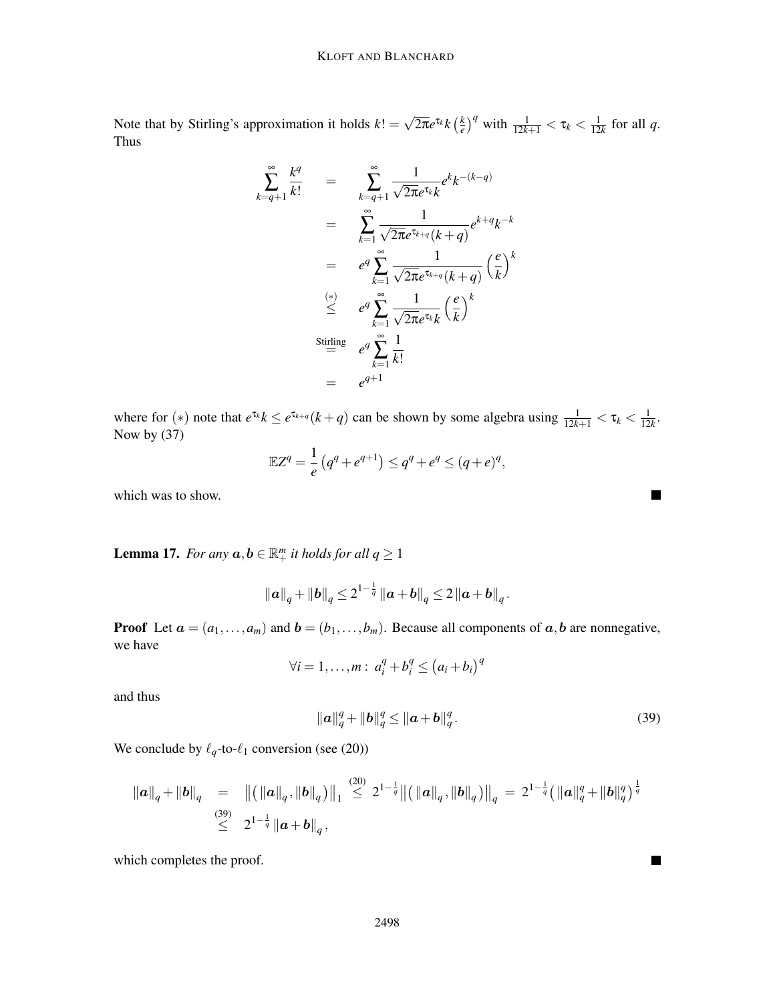Note that by Stirling's approximation it holds  $k! = \sqrt{2\pi}e^{\tau_k}k\left(\frac{k}{e}\right)$  $\left(\frac{k}{e}\right)^q$  with  $\frac{1}{12k+1} < \tau_k < \frac{1}{12}$  $\frac{1}{12k}$  for all *q*. Thus

$$
\sum_{k=q+1}^{\infty} \frac{k^q}{k!} = \sum_{k=q+1}^{\infty} \frac{1}{\sqrt{2\pi}e^{\tau_k}k} e^k k^{-(k-q)}
$$
  

$$
= \sum_{k=1}^{\infty} \frac{1}{\sqrt{2\pi}e^{\tau_{k+q}}(k+q)} e^{k+q} k^{-k}
$$
  

$$
= e^q \sum_{k=1}^{\infty} \frac{1}{\sqrt{2\pi}e^{\tau_{k+q}}(k+q)} \left(\frac{e}{k}\right)^k
$$
  

$$
\stackrel{(*)}{\leq} e^q \sum_{k=1}^{\infty} \frac{1}{\sqrt{2\pi}e^{\tau_k}k} \left(\frac{e}{k}\right)^k
$$
  
Stirling  

$$
= e^q \sum_{k=1}^{\infty} \frac{1}{k!}
$$
  

$$
= e^{q+1}
$$

where for (\*) note that  $e^{\tau_k} k \leq e^{\tau_{k+q}} (k+q)$  can be shown by some algebra using  $\frac{1}{12k+1} < \tau_k < \frac{1}{12}$  $\frac{1}{12k}$ . Now by (37)

$$
\mathbb{E}Z^{q} = \frac{1}{e} (q^{q} + e^{q+1}) \leq q^{q} + e^{q} \leq (q+e)^{q},
$$

which was to show.

**Lemma 17.** *For any*  $a, b \in \mathbb{R}^m_+$  *it holds for all*  $q \ge 1$ 

$$
\|a\|_q + \|b\|_q \leq 2^{1-\frac{1}{q}} \|a+b\|_q \leq 2 \|a+b\|_q.
$$

**Proof** Let  $a = (a_1, \ldots, a_m)$  and  $b = (b_1, \ldots, b_m)$ . Because all components of  $a, b$  are nonnegative, we have

$$
\forall i = 1, \ldots, m: a_i^q + b_i^q \leq (a_i + b_i)^q
$$

and thus

$$
\|\mathbf{a}\|_{q}^{q} + \|b\|_{q}^{q} \le \|\mathbf{a} + \mathbf{b}\|_{q}^{q}.
$$
 (39)

 $\blacksquare$ 

▅

We conclude by  $\ell_q$ -to- $\ell_1$  conversion (see (20))

$$
\|a\|_q + \|b\|_q = \| ( \|a\|_q, \|b\|_q ) \|_1 \stackrel{(20)}{\leq} 2^{1-\frac{1}{q}} \| ( \|a\|_q, \|b\|_q ) \|_q = 2^{1-\frac{1}{q}} ( \|a\|_q^q + \|b\|_q^q )^{\frac{1}{q}}
$$
  

$$
\stackrel{(39)}{\leq} 2^{1-\frac{1}{q}} \|a+b\|_q,
$$

which completes the proof.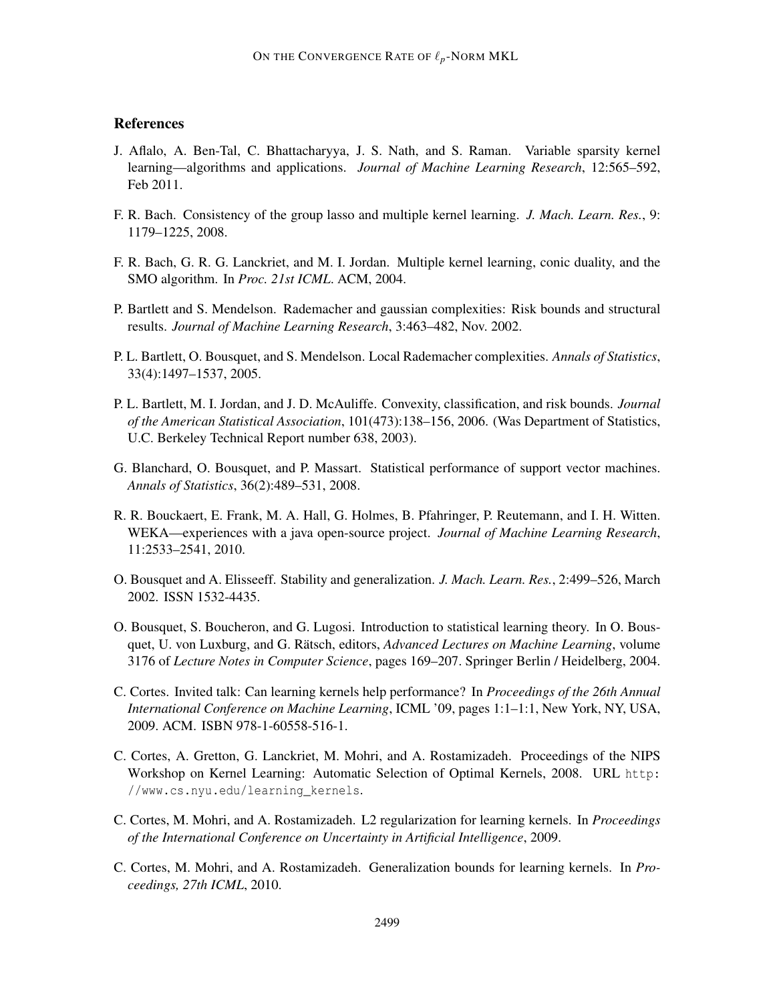# **References**

- J. Aflalo, A. Ben-Tal, C. Bhattacharyya, J. S. Nath, and S. Raman. Variable sparsity kernel learning—algorithms and applications. *Journal of Machine Learning Research*, 12:565–592, Feb 2011.
- F. R. Bach. Consistency of the group lasso and multiple kernel learning. *J. Mach. Learn. Res.*, 9: 1179–1225, 2008.
- F. R. Bach, G. R. G. Lanckriet, and M. I. Jordan. Multiple kernel learning, conic duality, and the SMO algorithm. In *Proc. 21st ICML*. ACM, 2004.
- P. Bartlett and S. Mendelson. Rademacher and gaussian complexities: Risk bounds and structural results. *Journal of Machine Learning Research*, 3:463–482, Nov. 2002.
- P. L. Bartlett, O. Bousquet, and S. Mendelson. Local Rademacher complexities. *Annals of Statistics*, 33(4):1497–1537, 2005.
- P. L. Bartlett, M. I. Jordan, and J. D. McAuliffe. Convexity, classification, and risk bounds. *Journal of the American Statistical Association*, 101(473):138–156, 2006. (Was Department of Statistics, U.C. Berkeley Technical Report number 638, 2003).
- G. Blanchard, O. Bousquet, and P. Massart. Statistical performance of support vector machines. *Annals of Statistics*, 36(2):489–531, 2008.
- R. R. Bouckaert, E. Frank, M. A. Hall, G. Holmes, B. Pfahringer, P. Reutemann, and I. H. Witten. WEKA—experiences with a java open-source project. *Journal of Machine Learning Research*, 11:2533–2541, 2010.
- O. Bousquet and A. Elisseeff. Stability and generalization. *J. Mach. Learn. Res.*, 2:499–526, March 2002. ISSN 1532-4435.
- O. Bousquet, S. Boucheron, and G. Lugosi. Introduction to statistical learning theory. In O. Bousquet, U. von Luxburg, and G. Rätsch, editors, *Advanced Lectures on Machine Learning*, volume 3176 of *Lecture Notes in Computer Science*, pages 169–207. Springer Berlin / Heidelberg, 2004.
- C. Cortes. Invited talk: Can learning kernels help performance? In *Proceedings of the 26th Annual International Conference on Machine Learning*, ICML '09, pages 1:1–1:1, New York, NY, USA, 2009. ACM. ISBN 978-1-60558-516-1.
- C. Cortes, A. Gretton, G. Lanckriet, M. Mohri, and A. Rostamizadeh. Proceedings of the NIPS Workshop on Kernel Learning: Automatic Selection of Optimal Kernels, 2008. URL http: //www.cs.nyu.edu/learning\_kernels.
- C. Cortes, M. Mohri, and A. Rostamizadeh. L2 regularization for learning kernels. In *Proceedings of the International Conference on Uncertainty in Artificial Intelligence*, 2009.
- C. Cortes, M. Mohri, and A. Rostamizadeh. Generalization bounds for learning kernels. In *Proceedings, 27th ICML*, 2010.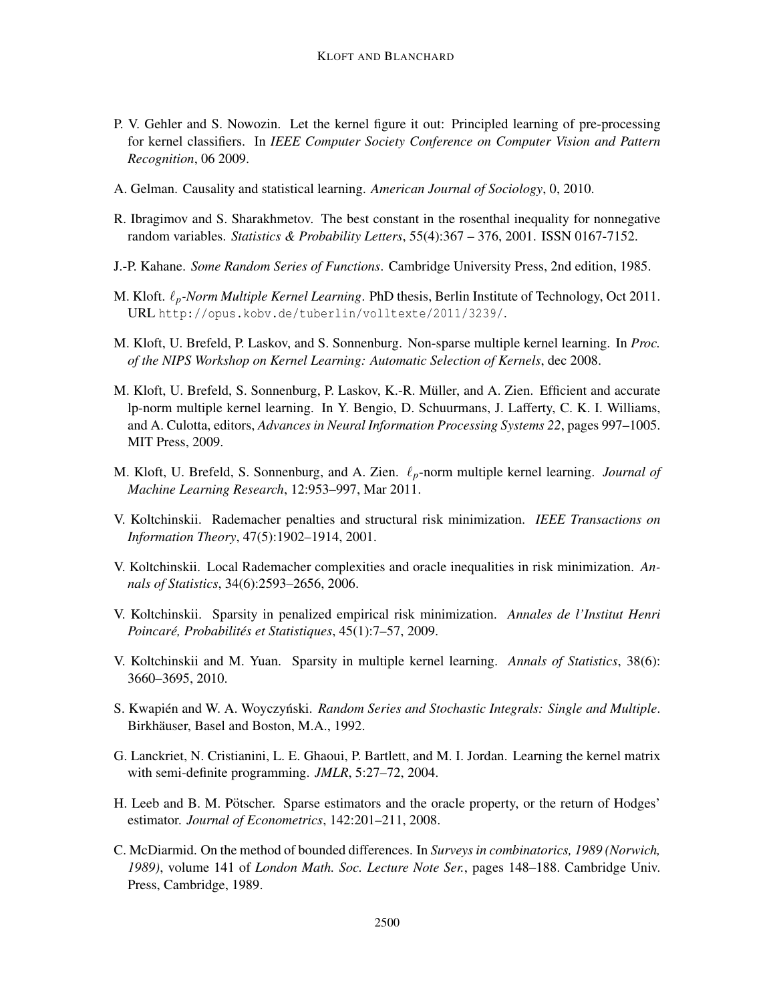- P. V. Gehler and S. Nowozin. Let the kernel figure it out: Principled learning of pre-processing for kernel classifiers. In *IEEE Computer Society Conference on Computer Vision and Pattern Recognition*, 06 2009.
- A. Gelman. Causality and statistical learning. *American Journal of Sociology*, 0, 2010.
- R. Ibragimov and S. Sharakhmetov. The best constant in the rosenthal inequality for nonnegative random variables. *Statistics & Probability Letters*, 55(4):367 – 376, 2001. ISSN 0167-7152.
- J.-P. Kahane. *Some Random Series of Functions*. Cambridge University Press, 2nd edition, 1985.
- M. Kloft. ℓ*p-Norm Multiple Kernel Learning*. PhD thesis, Berlin Institute of Technology, Oct 2011. URL http://opus.kobv.de/tuberlin/volltexte/2011/3239/.
- M. Kloft, U. Brefeld, P. Laskov, and S. Sonnenburg. Non-sparse multiple kernel learning. In *Proc. of the NIPS Workshop on Kernel Learning: Automatic Selection of Kernels*, dec 2008.
- M. Kloft, U. Brefeld, S. Sonnenburg, P. Laskov, K.-R. Müller, and A. Zien. Efficient and accurate lp-norm multiple kernel learning. In Y. Bengio, D. Schuurmans, J. Lafferty, C. K. I. Williams, and A. Culotta, editors, *Advances in Neural Information Processing Systems 22*, pages 997–1005. MIT Press, 2009.
- M. Kloft, U. Brefeld, S. Sonnenburg, and A. Zien. ℓ*p*-norm multiple kernel learning. *Journal of Machine Learning Research*, 12:953–997, Mar 2011.
- V. Koltchinskii. Rademacher penalties and structural risk minimization. *IEEE Transactions on Information Theory*, 47(5):1902–1914, 2001.
- V. Koltchinskii. Local Rademacher complexities and oracle inequalities in risk minimization. *Annals of Statistics*, 34(6):2593–2656, 2006.
- V. Koltchinskii. Sparsity in penalized empirical risk minimization. *Annales de l'Institut Henri Poincaré, Probabilités et Statistiques, 45(1):7–57, 2009.*
- V. Koltchinskii and M. Yuan. Sparsity in multiple kernel learning. *Annals of Statistics*, 38(6): 3660–3695, 2010.
- S. Kwapién and W. A. Woyczyński. *Random Series and Stochastic Integrals: Single and Multiple*. Birkhäuser, Basel and Boston, M.A., 1992.
- G. Lanckriet, N. Cristianini, L. E. Ghaoui, P. Bartlett, and M. I. Jordan. Learning the kernel matrix with semi-definite programming. *JMLR*, 5:27–72, 2004.
- H. Leeb and B. M. Pötscher. Sparse estimators and the oracle property, or the return of Hodges' estimator. *Journal of Econometrics*, 142:201–211, 2008.
- C. McDiarmid. On the method of bounded differences. In *Surveys in combinatorics, 1989 (Norwich, 1989)*, volume 141 of *London Math. Soc. Lecture Note Ser.*, pages 148–188. Cambridge Univ. Press, Cambridge, 1989.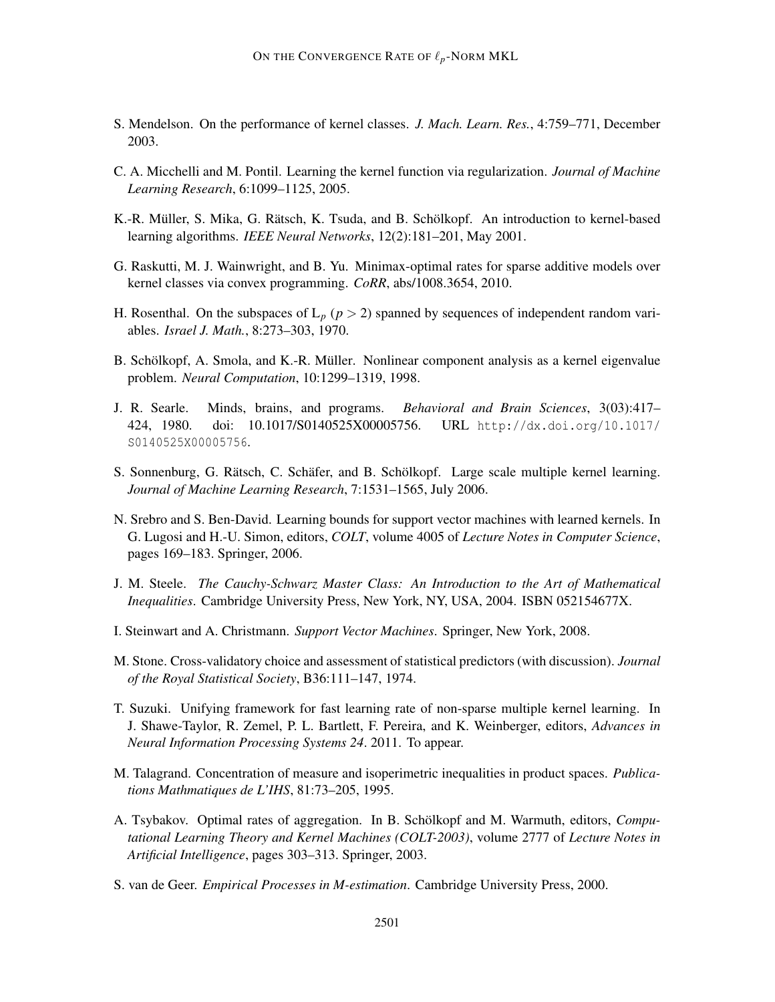- S. Mendelson. On the performance of kernel classes. *J. Mach. Learn. Res.*, 4:759–771, December 2003.
- C. A. Micchelli and M. Pontil. Learning the kernel function via regularization. *Journal of Machine Learning Research*, 6:1099–1125, 2005.
- K.-R. Müller, S. Mika, G. Rätsch, K. Tsuda, and B. Schölkopf. An introduction to kernel-based learning algorithms. *IEEE Neural Networks*, 12(2):181–201, May 2001.
- G. Raskutti, M. J. Wainwright, and B. Yu. Minimax-optimal rates for sparse additive models over kernel classes via convex programming. *CoRR*, abs/1008.3654, 2010.
- H. Rosenthal. On the subspaces of  $L_p$  ( $p > 2$ ) spanned by sequences of independent random variables. *Israel J. Math.*, 8:273–303, 1970.
- B. Schölkopf, A. Smola, and K.-R. Müller. Nonlinear component analysis as a kernel eigenvalue problem. *Neural Computation*, 10:1299–1319, 1998.
- J. R. Searle. Minds, brains, and programs. *Behavioral and Brain Sciences*, 3(03):417– 424, 1980. doi: 10.1017/S0140525X00005756. URL http://dx.doi.org/10.1017/ S0140525X00005756.
- S. Sonnenburg, G. Rätsch, C. Schäfer, and B. Schölkopf. Large scale multiple kernel learning. *Journal of Machine Learning Research*, 7:1531–1565, July 2006.
- N. Srebro and S. Ben-David. Learning bounds for support vector machines with learned kernels. In G. Lugosi and H.-U. Simon, editors, *COLT*, volume 4005 of *Lecture Notes in Computer Science*, pages 169–183. Springer, 2006.
- J. M. Steele. *The Cauchy-Schwarz Master Class: An Introduction to the Art of Mathematical Inequalities*. Cambridge University Press, New York, NY, USA, 2004. ISBN 052154677X.
- I. Steinwart and A. Christmann. *Support Vector Machines*. Springer, New York, 2008.
- M. Stone. Cross-validatory choice and assessment of statistical predictors (with discussion). *Journal of the Royal Statistical Society*, B36:111–147, 1974.
- T. Suzuki. Unifying framework for fast learning rate of non-sparse multiple kernel learning. In J. Shawe-Taylor, R. Zemel, P. L. Bartlett, F. Pereira, and K. Weinberger, editors, *Advances in Neural Information Processing Systems 24*. 2011. To appear.
- M. Talagrand. Concentration of measure and isoperimetric inequalities in product spaces. *Publications Mathmatiques de L'IHS*, 81:73–205, 1995.
- A. Tsybakov. Optimal rates of aggregation. In B. Schölkopf and M. Warmuth, editors, *Computational Learning Theory and Kernel Machines (COLT-2003)*, volume 2777 of *Lecture Notes in Artificial Intelligence*, pages 303–313. Springer, 2003.
- S. van de Geer. *Empirical Processes in M-estimation*. Cambridge University Press, 2000.